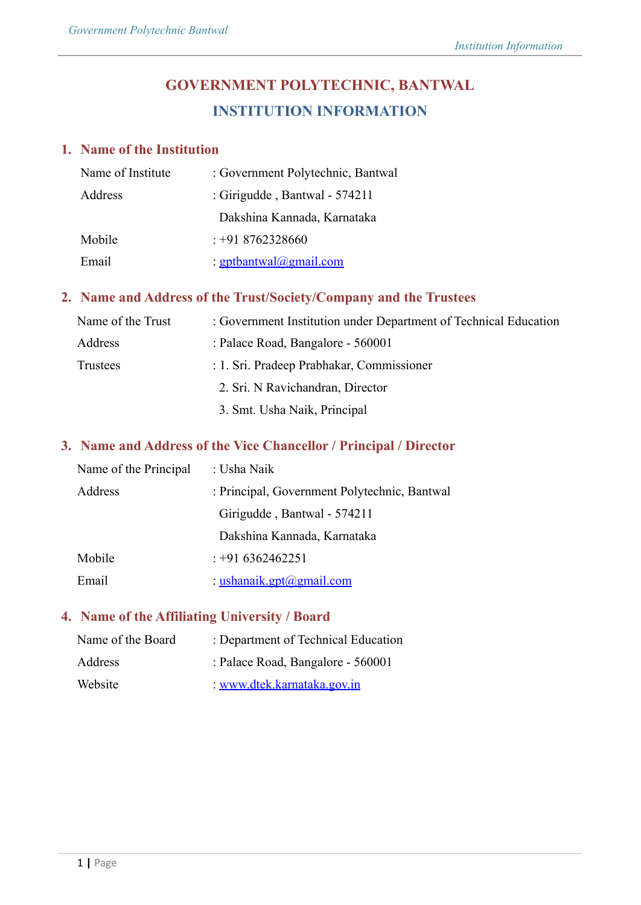# **GOVERNMENT POLYTECHNIC, BANTWAL INSTITUTION INFORMATION**

# **1. Name of the Institution**

| Name of Institute | : Government Polytechnic, Bantwal |
|-------------------|-----------------------------------|
| Address           | : Girigudde, Bantwal - $574211$   |
|                   | Dakshina Kannada, Karnataka       |
| Mobile            | $: +918762328660$                 |
| Email             | <u>: gptbantwal@gmail.com</u>     |

# **2. Name and Address of the Trust/Society/Company and the Trustees**

| Name of the Trust | : Government Institution under Department of Technical Education |
|-------------------|------------------------------------------------------------------|
| Address           | : Palace Road, Bangalore - 560001                                |
| Trustees          | : 1. Sri. Pradeep Prabhakar, Commissioner                        |
|                   | 2. Sri. N Ravichandran, Director                                 |
|                   | 3. Smt. Usha Naik, Principal                                     |

# **3. Name and Address of the Vice Chancellor / Principal / Director**

| Name of the Principal | : Usha Naik                                  |
|-----------------------|----------------------------------------------|
| Address               | : Principal, Government Polytechnic, Bantwal |
|                       | Girigudde, Bantwal - 574211                  |
|                       | Dakshina Kannada, Karnataka                  |
| Mobile                | $: +916362462251$                            |
| Email                 | : ushanaik.gpt@gmail.com                     |

# **4. Name of the Affiliating University / Board**

| Name of the Board | : Department of Technical Education |
|-------------------|-------------------------------------|
| Address           | : Palace Road, Bangalore - 560001   |
| Website           | <u>www.dtek.karnataka.gov.in</u>    |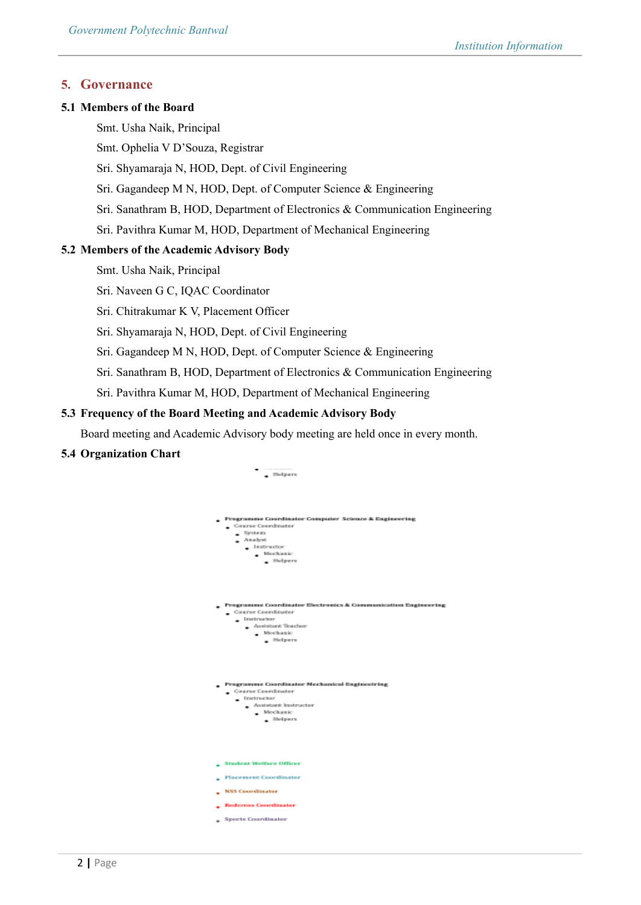### **5. Governance**

#### **5.1 Members of the Board**

- Smt. Usha Naik, Principal
- Smt. Ophelia V D'Souza, Registrar
- Sri. Shyamaraja N, HOD, Dept. of Civil Engineering
- Sri. Gagandeep M N, HOD, Dept. of Computer Science & Engineering
- Sri. Sanathram B, HOD, Department of Electronics & Communication Engineering
- Sri. Pavithra Kumar M, HOD, Department of Mechanical Engineering

#### **5.2 Members of the Academic Advisory Body**

- Smt. Usha Naik, Principal
- Sri. Naveen G C, IQAC Coordinator
- Sri. Chitrakumar K V, Placement Officer
- Sri. Shyamaraja N, HOD, Dept. of Civil Engineering
- Sri. Gagandeep M N, HOD, Dept. of Computer Science & Engineering
- Sri. Sanathram B, HOD, Department of Electronics & Communication Engineering
- Sri. Pavithra Kumar M, HOD, Department of Mechanical Engineering

### **5.3 Frequency of the Board Meeting and Academic Advisory Body**

Board meeting and Academic Advisory body meeting are held once in every month.

#### **5.4 Organization Chart**

| . Helpers                                                                                                                                                                             |
|---------------------------------------------------------------------------------------------------------------------------------------------------------------------------------------|
| <b>Programme Coordinater Computer Science &amp; Engineering</b><br>Course Coordinator<br>$-$ System<br>- Analyst<br>$\blacksquare$ Instructor<br>$\blacksquare$ Mochanic<br>. Helpers |
| Programme Coordinater Electronics & Communication Engineerin<br>Gaurse Coordinator<br>$\blacksquare$ Instructor<br>Acoistors Teacher<br>$\_$ Mechanic<br>. Helpers                    |
| Programme Coordinater Mechanical Engineeiring<br>Gourse Coordinator<br>- Instructor<br>Assistant Instructor<br>$\blacksquare$ Mechanic<br>. Helpers                                   |
| <b>Student Welfare Officer</b><br><b>Placement Coordinator</b><br>NSS Coordinator<br>Redeross Coordinator                                                                             |
| Sports Coordinator                                                                                                                                                                    |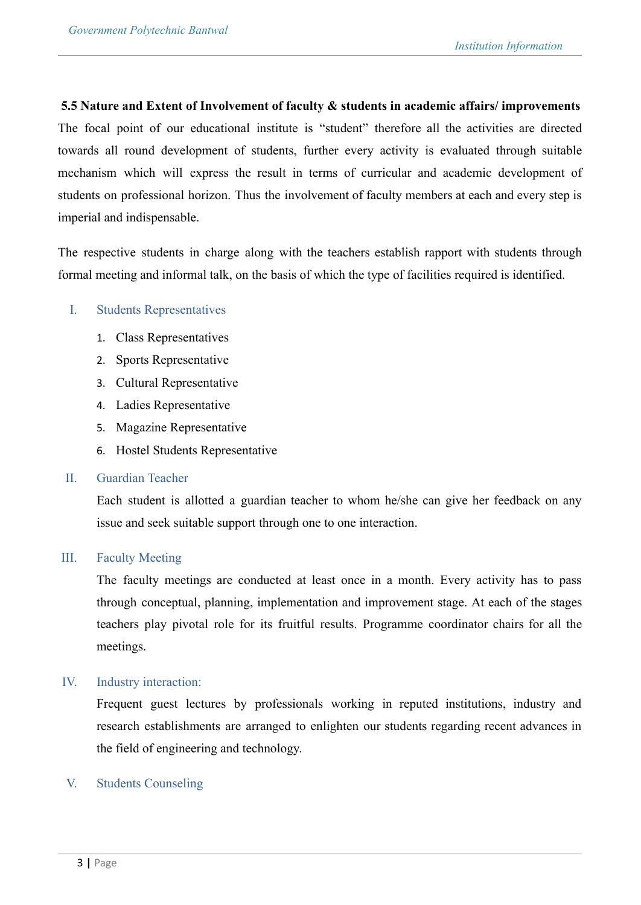### **5.5 Nature and Extent of Involvement of faculty & students in academic affairs/ improvements**

The focal point of our educational institute is "student" therefore all the activities are directed towards all round development of students, further every activity is evaluated through suitable mechanism which will express the result in terms of curricular and academic development of students on professional horizon. Thus the involvement of faculty members at each and every step is imperial and indispensable.

The respective students in charge along with the teachers establish rapport with students through formal meeting and informal talk, on the basis of which the type of facilities required is identified.

### I. Students Representatives

- 1. Class Representatives
- 2. Sports Representative
- 3. Cultural Representative
- 4. Ladies Representative
- 5. Magazine Representative
- 6. Hostel Students Representative

### II. Guardian Teacher

Each student is allotted a guardian teacher to whom he/she can give her feedback on any issue and seek suitable support through one to one interaction.

### III. Faculty Meeting

The faculty meetings are conducted at least once in a month. Every activity has to pass through conceptual, planning, implementation and improvement stage. At each of the stages teachers play pivotal role for its fruitful results. Programme coordinator chairs for all the meetings.

### IV. Industry interaction:

Frequent guest lectures by professionals working in reputed institutions, industry and research establishments are arranged to enlighten our students regarding recent advances in the field of engineering and technology.

### V. Students Counseling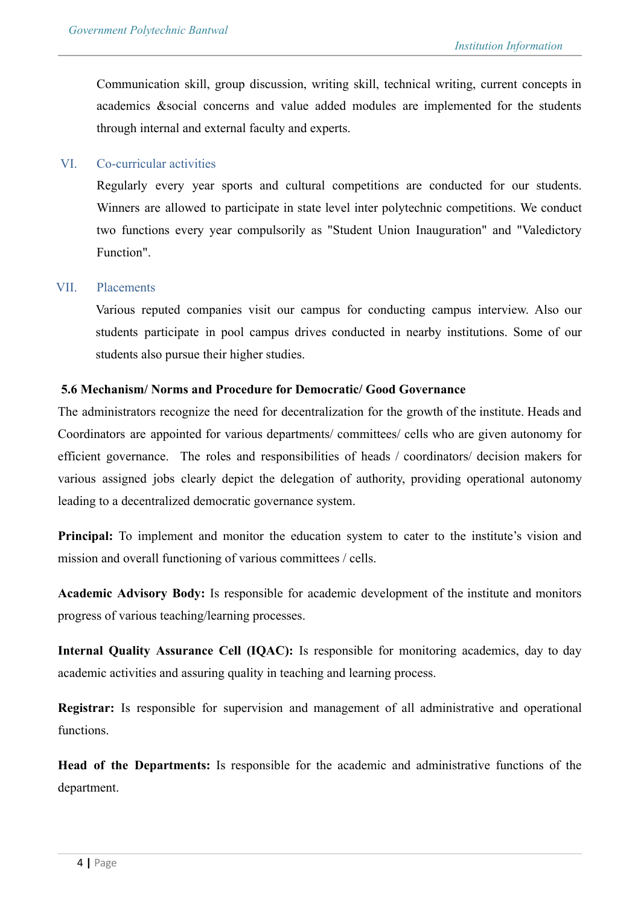Communication skill, group discussion, writing skill, technical writing, current concepts in academics &social concerns and value added modules are implemented for the students through internal and external faculty and experts.

### VI. Co-curricular activities

Regularly every year sports and cultural competitions are conducted for our students. Winners are allowed to participate in state level inter polytechnic competitions. We conduct two functions every year compulsorily as "Student Union Inauguration" and "Valedictory Function".

### VII. Placements

Various reputed companies visit our campus for conducting campus interview. Also our students participate in pool campus drives conducted in nearby institutions. Some of our students also pursue their higher studies.

### **5.6 Mechanism/ Norms and Procedure for Democratic/ Good Governance**

The administrators recognize the need for decentralization for the growth of the institute. Heads and Coordinators are appointed for various departments/ committees/ cells who are given autonomy for efficient governance. The roles and responsibilities of heads / coordinators/ decision makers for various assigned jobs clearly depict the delegation of authority, providing operational autonomy leading to a decentralized democratic governance system.

**Principal:** To implement and monitor the education system to cater to the institute's vision and mission and overall functioning of various committees / cells.

**Academic Advisory Body:** Is responsible for academic development of the institute and monitors progress of various teaching/learning processes.

**Internal Quality Assurance Cell (IQAC):** Is responsible for monitoring academics, day to day academic activities and assuring quality in teaching and learning process.

**Registrar:** Is responsible for supervision and management of all administrative and operational functions.

**Head of the Departments:** Is responsible for the academic and administrative functions of the department.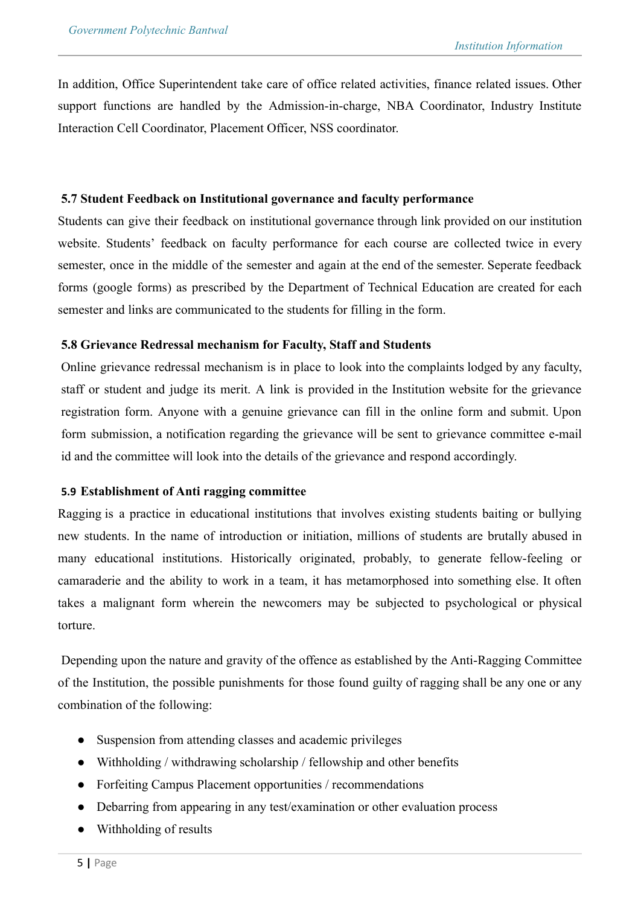In addition, Office Superintendent take care of office related activities, finance related issues. Other support functions are handled by the Admission-in-charge, NBA Coordinator, Industry Institute Interaction Cell Coordinator, Placement Officer, NSS coordinator.

### **5.7 Student Feedback on Institutional governance and faculty performance**

Students can give their feedback on institutional governance through link provided on our institution website. Students' feedback on faculty performance for each course are collected twice in every semester, once in the middle of the semester and again at the end of the semester. Seperate feedback forms (google forms) as prescribed by the Department of Technical Education are created for each semester and links are communicated to the students for filling in the form.

### **5.8 Grievance Redressal mechanism for Faculty, Staff and Students**

Online grievance redressal mechanism is in place to look into the complaints lodged by any faculty, staff or student and judge its merit. A link is provided in the Institution website for the grievance registration form. Anyone with a genuine grievance can fill in the online form and submit. Upon form submission, a notification regarding the grievance will be sent to grievance committee e-mail id and the committee will look into the details of the grievance and respond accordingly.

### **5.9 Establishment of Anti ragging committee**

Ragging is a practice in educational institutions that involves existing students baiting or bullying new students. In the name of introduction or initiation, millions of students are brutally abused in many educational institutions. Historically originated, probably, to generate fellow-feeling or camaraderie and the ability to work in a team, it has metamorphosed into something else. It often takes a malignant form wherein the newcomers may be subjected to psychological or physical torture.

Depending upon the nature and gravity of the offence as established by the Anti-Ragging Committee of the Institution, the possible punishments for those found guilty of ragging shall be any one or any combination of the following:

- Suspension from attending classes and academic privileges
- Withholding / withdrawing scholarship / fellowship and other benefits
- Forfeiting Campus Placement opportunities / recommendations
- Debarring from appearing in any test/examination or other evaluation process
- Withholding of results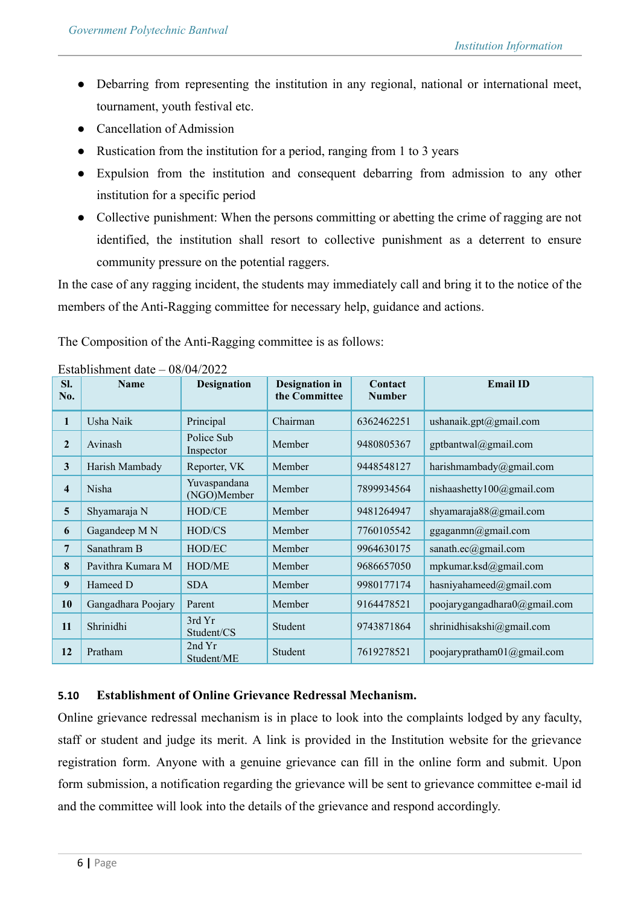- Debarring from representing the institution in any regional, national or international meet, tournament, youth festival etc.
- Cancellation of Admission
- Rustication from the institution for a period, ranging from 1 to 3 years
- Expulsion from the institution and consequent debarring from admission to any other institution for a specific period
- Collective punishment: When the persons committing or abetting the crime of ragging are not identified, the institution shall resort to collective punishment as a deterrent to ensure community pressure on the potential raggers.

In the case of any ragging incident, the students may immediately call and bring it to the notice of the members of the Anti-Ragging committee for necessary help, guidance and actions.

The Composition of the Anti-Ragging committee is as follows:

| SI.<br>No.              | <b>Name</b>        | <b>Designation</b>          | <b>Designation</b> in<br>the Committee | Contact<br><b>Number</b> | <b>Email ID</b>                 |  |  |
|-------------------------|--------------------|-----------------------------|----------------------------------------|--------------------------|---------------------------------|--|--|
| 1                       | Usha Naik          | Principal                   | Chairman                               | 6362462251               | ushanaik.gpt@gmail.com          |  |  |
| $\overline{2}$          | Avinash            | Police Sub<br>Inspector     | Member                                 | 9480805367               | gptbantwal@gmail.com            |  |  |
| 3                       | Harish Mambady     | Reporter, VK                | Member                                 | 9448548127               | harishmambady@gmail.com         |  |  |
| $\overline{\mathbf{4}}$ | Nisha              | Yuvaspandana<br>(NGO)Member | Member                                 | 7899934564               | nishaashetty100@gmail.com       |  |  |
| 5                       | Shyamaraja N       | HOD/CE                      | Member                                 | 9481264947               | shyamaraja88@gmail.com          |  |  |
| 6                       | Gagandeep M N      | HOD/CS                      | Member                                 | 7760105542               | ggaganmn@gmail.com              |  |  |
| 7                       | Sanathram B        | HOD/EC                      | Member                                 | 9964630175               | sanath.ec@gmail.com             |  |  |
| 8                       | Pavithra Kumara M  | <b>HOD/ME</b>               | Member                                 | 9686657050               | mpkumar.ksd@gmail.com           |  |  |
| 9                       | Hameed D           | <b>SDA</b>                  | Member                                 | 9980177174               | hasniyahameed@gmail.com         |  |  |
| 10                      | Gangadhara Poojary | Parent                      | Member                                 | 9164478521               | poojarygangadhara0@gmail.com    |  |  |
| 11                      | Shrinidhi          | 3rd Yr<br>Student/CS        | Student                                | 9743871864               | shrinidhisakshi@gmail.com       |  |  |
| 12                      | Pratham            | 2nd Yr<br>Student/ME        | Student                                | 7619278521               | poojarypratham $01$ @ gmail.com |  |  |

Establishment date – 08/04/2022

# **5.10 Establishment of Online Grievance Redressal Mechanism.**

Online grievance redressal mechanism is in place to look into the complaints lodged by any faculty, staff or student and judge its merit. A link is provided in the Institution website for the grievance registration form. Anyone with a genuine grievance can fill in the online form and submit. Upon form submission, a notification regarding the grievance will be sent to grievance committee e-mail id and the committee will look into the details of the grievance and respond accordingly.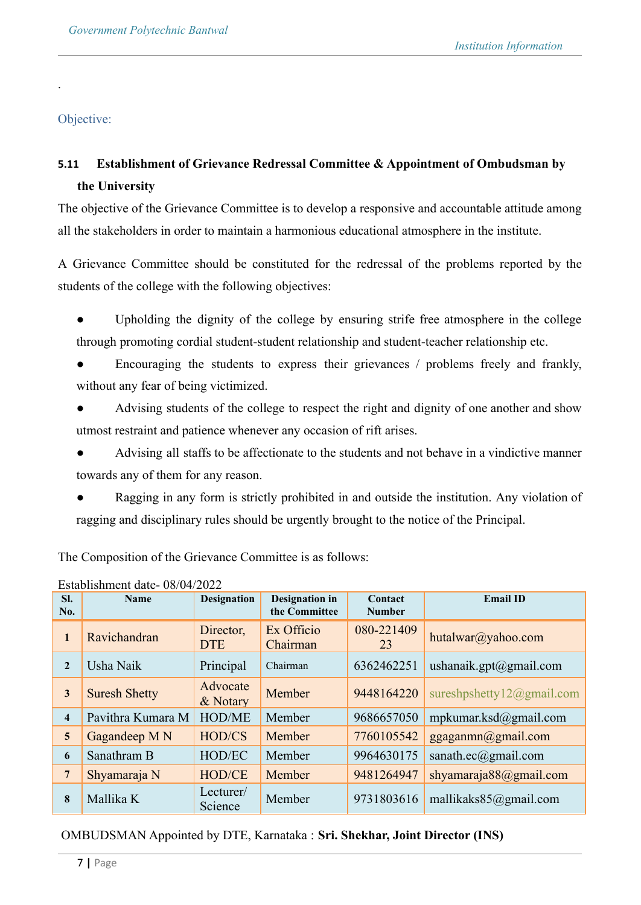Objective:

.

# **5.11 Establishment of Grievance Redressal Committee & Appointment of Ombudsman by the University**

The objective of the Grievance Committee is to develop a responsive and accountable attitude among all the stakeholders in order to maintain a harmonious educational atmosphere in the institute.

A Grievance Committee should be constituted for the redressal of the problems reported by the students of the college with the following objectives:

- Upholding the dignity of the college by ensuring strife free atmosphere in the college through promoting cordial student-student relationship and student-teacher relationship etc.
- Encouraging the students to express their grievances / problems freely and frankly, without any fear of being victimized.
- Advising students of the college to respect the right and dignity of one another and show utmost restraint and patience whenever any occasion of rift arises.
- Advising all staffs to be affectionate to the students and not behave in a vindictive manner towards any of them for any reason.
- Ragging in any form is strictly prohibited in and outside the institution. Any violation of ragging and disciplinary rules should be urgently brought to the notice of the Principal.

The Composition of the Grievance Committee is as follows:

|                         | Establishment date- 08/04/2022 |                         |                                        |                          |                           |  |
|-------------------------|--------------------------------|-------------------------|----------------------------------------|--------------------------|---------------------------|--|
| SI.<br>No.              | <b>Name</b>                    | <b>Designation</b>      | <b>Designation</b> in<br>the Committee | Contact<br><b>Number</b> | <b>Email ID</b>           |  |
| $\mathbf{1}$            | Ravichandran                   | Director,<br><b>DTE</b> | Ex Officio<br>Chairman                 | 080-221409<br>23         | hutalwar@yahoo.com        |  |
| $\overline{2}$          | Usha Naik                      | Principal               | Chairman                               | 6362462251               | ushanaik.gpt@gmail.com    |  |
| $\mathbf{3}$            | <b>Suresh Shetty</b>           | Advocate<br>& Notary    | Member                                 | 9448164220               | sureshpshetty12@gmail.com |  |
| $\overline{\mathbf{4}}$ | Pavithra Kumara M              | <b>HOD/ME</b>           | Member                                 | 9686657050               | mpkumar.ksd@gmail.com     |  |
| $5\overline{)}$         | Gagandeep M N                  | <b>HOD/CS</b>           | Member                                 | 7760105542               | ggaganmn@gmail.com        |  |
| 6                       | Sanathram B                    | HOD/EC                  | Member                                 | 9964630175               | sanath.ec@gmail.com       |  |
| $7\overline{ }$         | Shyamaraja N                   | <b>HOD/CE</b>           | Member                                 | 9481264947               | shyamaraja88@gmail.com    |  |
| 8                       | Mallika K                      | Lecturer/<br>Science    | Member                                 | 9731803616               | mallikaks $85$ @gmail.com |  |

Establishment date- 08/04/2022

# OMBUDSMAN Appointed by DTE, Karnataka : **Sri. Shekhar, Joint Director (INS)**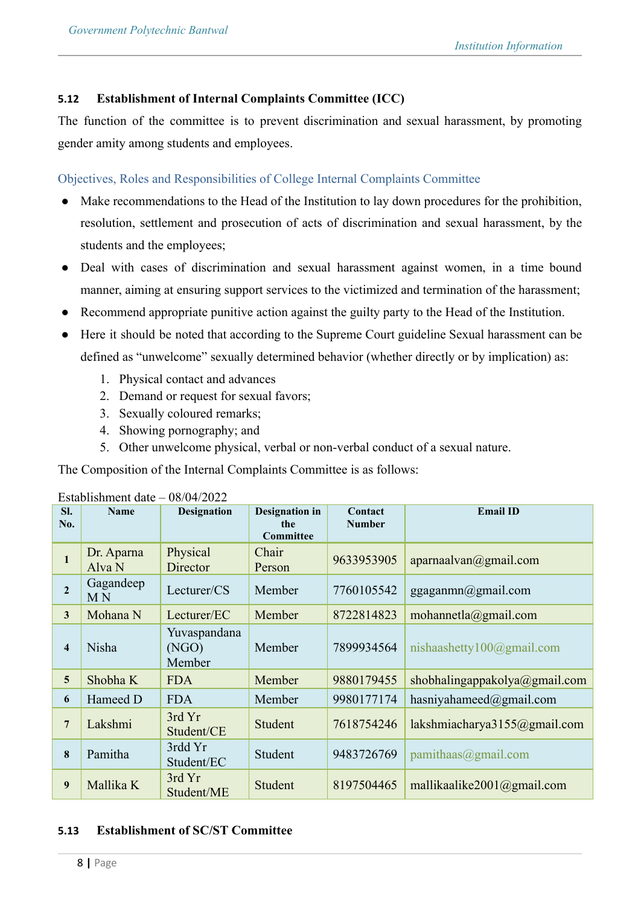### **5.12 Establishment of Internal Complaints Committee (ICC)**

The function of the committee is to prevent discrimination and sexual harassment, by promoting gender amity among students and employees.

Objectives, Roles and Responsibilities of College Internal Complaints Committee

- Make recommendations to the Head of the Institution to lay down procedures for the prohibition, resolution, settlement and prosecution of acts of discrimination and sexual harassment, by the students and the employees;
- Deal with cases of discrimination and sexual harassment against women, in a time bound manner, aiming at ensuring support services to the victimized and termination of the harassment;
- Recommend appropriate punitive action against the guilty party to the Head of the Institution.
- Here it should be noted that according to the Supreme Court guideline Sexual harassment can be defined as "unwelcome" sexually determined behavior (whether directly or by implication) as:
	- 1. Physical contact and advances
	- 2. Demand or request for sexual favors;
	- 3. Sexually coloured remarks;
	- 4. Showing pornography; and
	- 5. Other unwelcome physical, verbal or non-verbal conduct of a sexual nature.

The Composition of the Internal Complaints Committee is as follows:

| SI.<br>No.     | <b>Name</b>                 | <b>Designation</b>              | <b>Designation in</b><br>the<br>Committee | Contact<br><b>Number</b> | <b>Email ID</b>               |
|----------------|-----------------------------|---------------------------------|-------------------------------------------|--------------------------|-------------------------------|
| $\mathbf{1}$   | Dr. Aparna<br>Alva N        | Physical<br>Director            | Chair<br>Person                           | 9633953905               | aparnaalvan@gmail.com         |
| $\overline{2}$ | Gagandeep<br>M <sub>N</sub> | Lecturer/CS                     | Member                                    | 7760105542               | ggaganmn@gmail.com            |
| $\mathbf{3}$   | Mohana N                    | Lecturer/EC                     | Member                                    | 8722814823               | mohannetla@gmail.com          |
| 4              | <b>Nisha</b>                | Yuvaspandana<br>(NGO)<br>Member | Member                                    | 7899934564               | nishaashetty $100$ @gmail.com |
| 5              | Shobha K                    | <b>FDA</b>                      | Member                                    | 9880179455               | shobhalingappakolya@gmail.com |
| 6              | Hameed D                    | <b>FDA</b>                      | Member                                    | 9980177174               | hasniyahameed $@g$ mail.com   |
| $\overline{7}$ | Lakshmi                     | 3rd Yr<br>Student/CE            | Student                                   | 7618754246               | lakshmiacharya3155@gmail.com  |
| 8              | Pamitha                     | 3rdd Yr<br>Student/EC           | Student                                   | 9483726769               | $p$ amithaas $@g$ mail.com    |
| 9              | Mallika K                   | 3rd Yr<br>Student/ME            | Student                                   | 8197504465               | mallikaalike2001@gmail.com    |

Establishment date – 08/04/2022

# **5.13 Establishment of SC/ST Committee**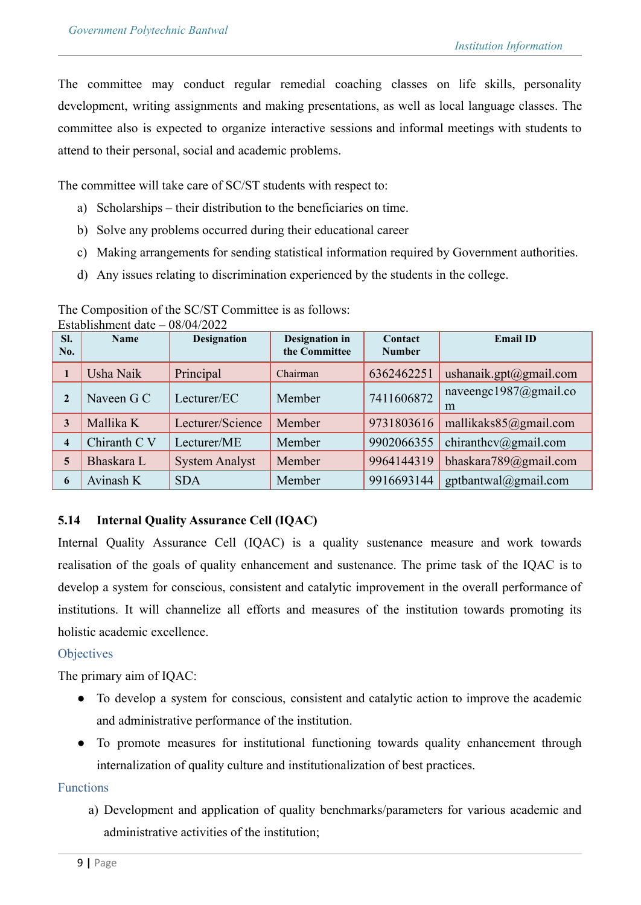The committee may conduct regular remedial coaching classes on life skills, personality development, writing assignments and making presentations, as well as local language classes. The committee also is expected to organize interactive sessions and informal meetings with students to attend to their personal, social and academic problems.

The committee will take care of SC/ST students with respect to:

- a) Scholarships their distribution to the beneficiaries on time.
- b) Solve any problems occurred during their educational career
- c) Making arrangements for sending statistical information required by Government authorities.
- d) Any issues relating to discrimination experienced by the students in the college.

| SI.<br>No.              | <b>Name</b>  | <b>Designation</b>    | <b>Designation</b> in<br>the Committee | Contact<br><b>Number</b> | <b>Email ID</b>            |
|-------------------------|--------------|-----------------------|----------------------------------------|--------------------------|----------------------------|
| $\mathbf{1}$            | Usha Naik    | Principal             | Chairman                               | 6362462251               | ushanaik.gpt@gmail.com     |
| $\overline{2}$          | Naveen G C   | Lecturer/EC           | Member                                 | 7411606872               | naveengc1987@gmail.co<br>m |
| 3                       | Mallika K    | Lecturer/Science      | Member                                 | 9731803616               | mallikaks85@gmail.com      |
| $\overline{\mathbf{4}}$ | Chiranth C V | Lecturer/ME           | Member                                 | 9902066355               | chiranthev@gmail.com       |
| 5                       | Bhaskara L   | <b>System Analyst</b> | Member                                 | 9964144319               | bhaskara789@gmail.com      |
| 6                       | Avinash K    | <b>SDA</b>            | Member                                 | 9916693144               | gptbantwal@gmail.com       |

The Composition of the SC/ST Committee is as follows: Establishment date – 08/04/2022

# **5.14 Internal Quality Assurance Cell (IQAC)**

Internal Quality Assurance Cell (IQAC) is a quality sustenance measure and work towards realisation of the goals of quality enhancement and sustenance. The prime task of the IQAC is to develop a system for conscious, consistent and catalytic improvement in the overall performance of institutions. It will channelize all efforts and measures of the institution towards promoting its holistic academic excellence.

# **Objectives**

The primary aim of IQAC:

- To develop a system for conscious, consistent and catalytic action to improve the academic and administrative performance of the institution.
- To promote measures for institutional functioning towards quality enhancement through internalization of quality culture and institutionalization of best practices.

### Functions

a) Development and application of quality benchmarks/parameters for various academic and administrative activities of the institution;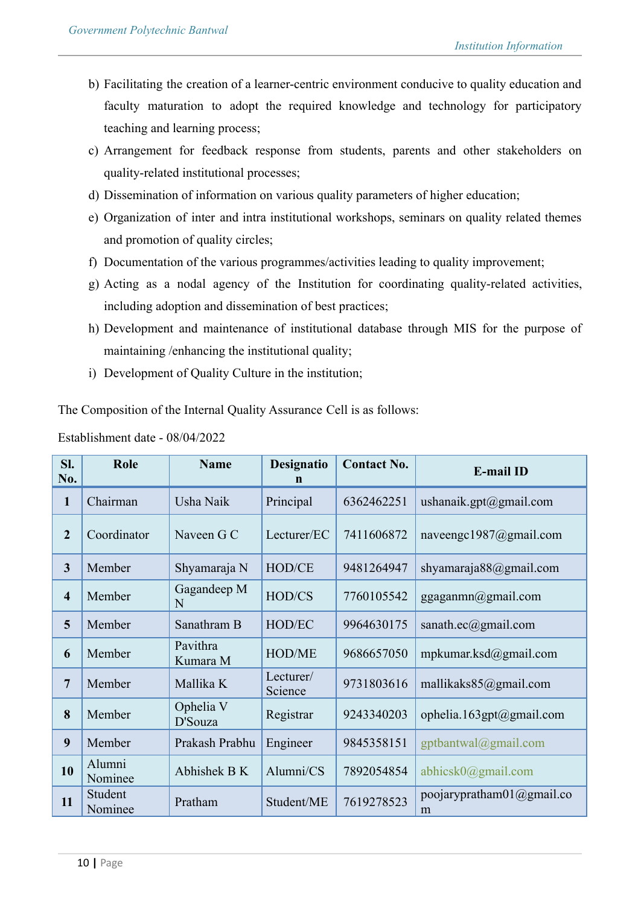- b) Facilitating the creation of a learner-centric environment conducive to quality education and faculty maturation to adopt the required knowledge and technology for participatory teaching and learning process;
- c) Arrangement for feedback response from students, parents and other stakeholders on quality-related institutional processes;
- d) Dissemination of information on various quality parameters of higher education;
- e) Organization of inter and intra institutional workshops, seminars on quality related themes and promotion of quality circles;
- f) Documentation of the various programmes/activities leading to quality improvement;
- g) Acting as a nodal agency of the Institution for coordinating quality-related activities, including adoption and dissemination of best practices;
- h) Development and maintenance of institutional database through MIS for the purpose of maintaining /enhancing the institutional quality;
- i) Development of Quality Culture in the institution;

The Composition of the Internal Quality Assurance Cell is as follows:

| Sl.<br>No.     | Role               | <b>Name</b>          | <b>Designatio</b><br>n | <b>Contact No.</b> | <b>E-mail ID</b>                   |
|----------------|--------------------|----------------------|------------------------|--------------------|------------------------------------|
| 1              | Chairman           | Usha Naik            | Principal              | 6362462251         | ushanaik.gpt@gmail.com             |
| $\overline{2}$ | Coordinator        | Naveen G C           | Lecturer/EC            | 7411606872         | naveengc1987@gmail.com             |
| $\overline{3}$ | Member             | Shyamaraja N         | HOD/CE                 | 9481264947         | shyamaraja88@gmail.com             |
| $\overline{4}$ | Member             | Gagandeep M<br>N     | HOD/CS                 | 7760105542         | ggaganmn@gmail.com                 |
| 5              | Member             | Sanathram B          | HOD/EC                 | 9964630175         | sanath.ec@gmail.com                |
| 6              | Member             | Pavithra<br>Kumara M | <b>HOD/ME</b>          | 9686657050         | mpkumar.ksd@gmail.com              |
| $\overline{7}$ | Member             | Mallika K            | Lecturer/<br>Science   | 9731803616         | mallikaks85@gmail.com              |
| 8              | Member             | Ophelia V<br>D'Souza | Registrar              | 9243340203         | ophelia.163gpt@gmail.com           |
| 9              | Member             | Prakash Prabhu       | Engineer               | 9845358151         | gptbantwal@gmail.com               |
| 10             | Alumni<br>Nominee  | Abhishek B K         | Alumni/CS              | 7892054854         | abhicsk $0$ @gmail.com             |
| 11             | Student<br>Nominee | Pratham              | Student/ME             | 7619278523         | poojarypratham $01$ @gmail.co<br>m |

Establishment date - 08/04/2022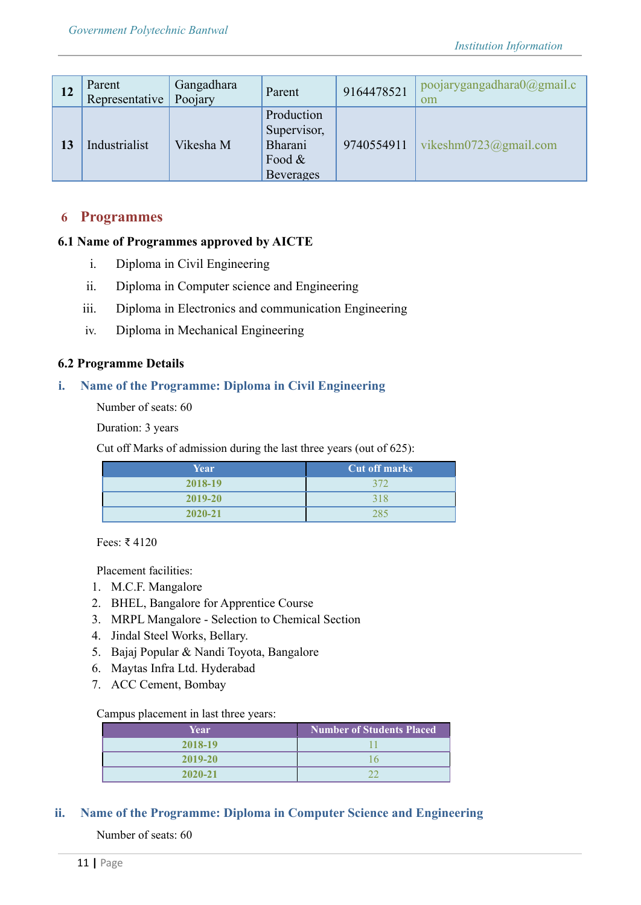| 12 | Parent<br>Representative | Gangadhara<br>Poojary | Parent                                                                | 9164478521 | poojarygangadhara0@gmail.c<br>om |
|----|--------------------------|-----------------------|-----------------------------------------------------------------------|------------|----------------------------------|
| 13 | Industrialist            | Vikesha M             | Production<br>Supervisor,<br>Bharani<br>Food $\&$<br><b>Beverages</b> | 9740554911 | vikeshm $0723$ @gmail.com        |

### **6 Programmes**

### **6.1 Name of Programmes approved by AICTE**

- i. Diploma in Civil Engineering
- ii. Diploma in Computer science and Engineering
- iii. Diploma in Electronics and communication Engineering
- iv. Diploma in Mechanical Engineering

### **6.2 Programme Details**

### **i. Name of the Programme: Diploma in Civil Engineering**

Number of seats: 60

Duration: 3 years

Cut off Marks of admission during the last three years (out of 625):

| Year        | <b>Cut off marks</b> |
|-------------|----------------------|
| 2018-19     | 372                  |
| 2019-20     | 318                  |
| $2020 - 21$ | 285                  |

Fees: ₹ 4120

Placement facilities:

- 1. M.C.F. Mangalore
- 2. BHEL, Bangalore for Apprentice Course
- 3. MRPL Mangalore Selection to Chemical Section
- 4. Jindal Steel Works, Bellary.
- 5. Bajaj Popular & Nandi Toyota, Bangalore
- 6. Maytas Infra Ltd. Hyderabad
- 7. ACC Cement, Bombay

#### Campus placement in last three years:

| Year        | <b>Number of Students Placed</b> |
|-------------|----------------------------------|
| 2018-19     |                                  |
| $2019 - 20$ |                                  |
| $2020 - 21$ |                                  |

### **ii. Name of the Programme: Diploma in Computer Science and Engineering**

Number of seats: 60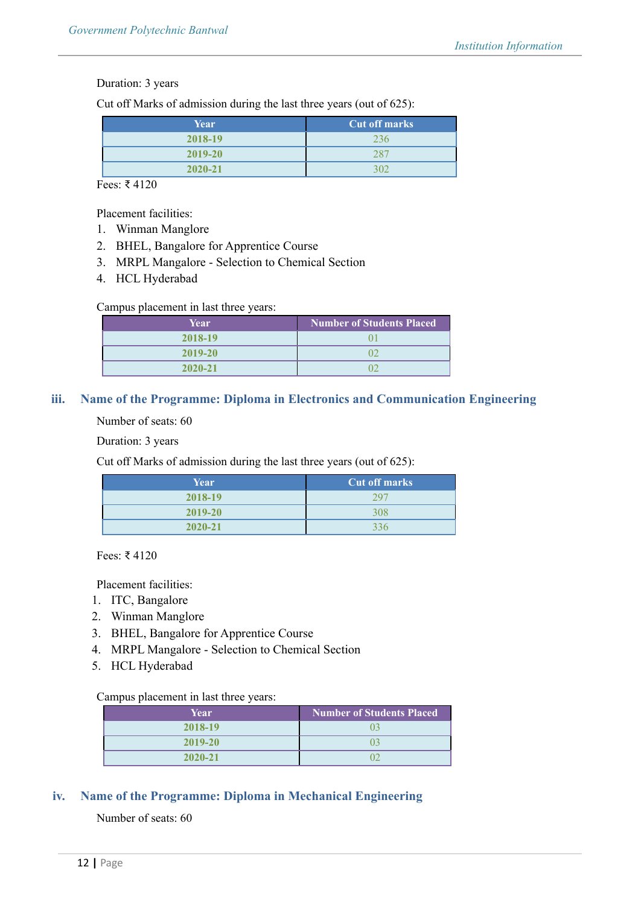#### Duration: 3 years

Cut off Marks of admission during the last three years (out of 625):

| Year        | <b>Cut off marks</b> |  |
|-------------|----------------------|--|
| 2018-19     | 236.                 |  |
| 2019-20     | 280                  |  |
| $2020 - 21$ | 300                  |  |

Fees: ₹ 4120

Placement facilities:

- 1. Winman Manglore
- 2. BHEL, Bangalore for Apprentice Course
- 3. MRPL Mangalore Selection to Chemical Section
- 4. HCL Hyderabad

#### Campus placement in last three years:

| Year        | Number of Students Placed |
|-------------|---------------------------|
| 2018-19     |                           |
| 2019-20     |                           |
| $2020 - 21$ |                           |

### **iii. Name of the Programme: Diploma in Electronics and Communication Engineering**

Number of seats: 60

Duration: 3 years

Cut off Marks of admission during the last three years (out of 625):

| Year        | <b>Cut off marks</b> |
|-------------|----------------------|
| 2018-19     | 297                  |
| 2019-20     | 308                  |
| $2020 - 21$ | 336                  |

Fees: ₹ 4120

Placement facilities:

- 1. ITC, Bangalore
- 2. Winman Manglore
- 3. BHEL, Bangalore for Apprentice Course
- 4. MRPL Mangalore Selection to Chemical Section
- 5. HCL Hyderabad

#### Campus placement in last three years:

| Year        | <b>Number of Students Placed</b> |  |
|-------------|----------------------------------|--|
| 2018-19     |                                  |  |
| $2019 - 20$ |                                  |  |
| $2020 - 21$ |                                  |  |

### **iv. Name of the Programme: Diploma in Mechanical Engineering**

### Number of seats: 60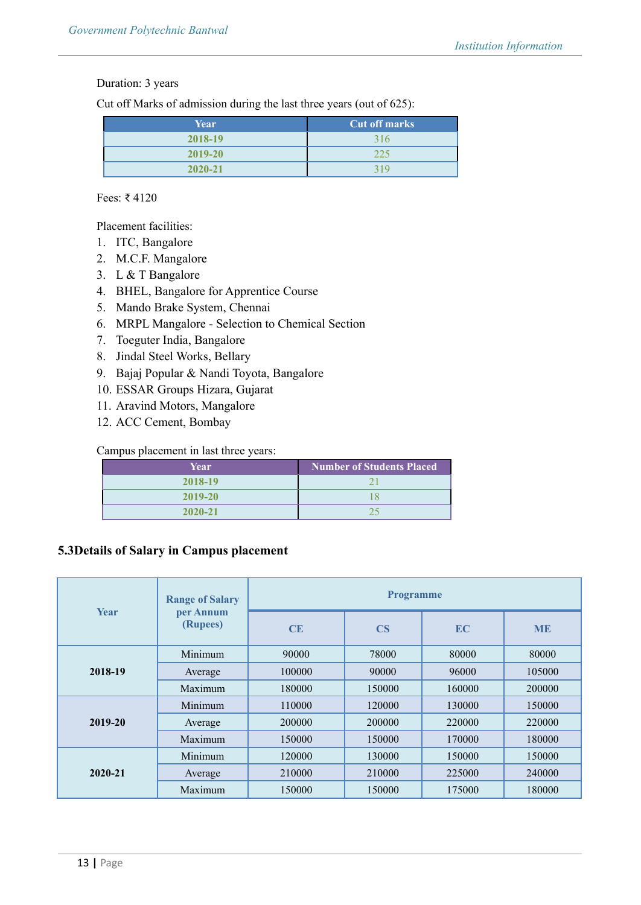# Duration: 3 years

Cut off Marks of admission during the last three years (out of 625):

| Year        | <b>Cut off marks</b> |  |
|-------------|----------------------|--|
| 2018-19     | 316                  |  |
| 2019-20     | 225                  |  |
| $2020 - 21$ | 319                  |  |

# Fees: ₹ 4120

Placement facilities:

- 1. ITC, Bangalore
- 2. M.C.F. Mangalore
- 3. L & T Bangalore
- 4. BHEL, Bangalore for Apprentice Course
- 5. Mando Brake System, Chennai
- 6. MRPL Mangalore Selection to Chemical Section
- 7. Toeguter India, Bangalore
- 8. Jindal Steel Works, Bellary
- 9. Bajaj Popular & Nandi Toyota, Bangalore
- 10. ESSAR Groups Hizara, Gujarat
- 11. Aravind Motors, Mangalore
- 12. ACC Cement, Bombay

# Campus placement in last three years:

| Year        | <b>Number of Students Placed</b> |
|-------------|----------------------------------|
| 2018-19     |                                  |
| $2019 - 20$ |                                  |
| $2020 - 21$ |                                  |

# **5.3Details of Salary in Campus placement**

| <b>Year</b> | <b>Range of Salary</b><br>per Annum<br>(Rupees) | <b>Programme</b> |                        |           |           |
|-------------|-------------------------------------------------|------------------|------------------------|-----------|-----------|
|             |                                                 | CE               | $\overline{\text{CS}}$ | <b>EC</b> | <b>ME</b> |
|             | Minimum                                         | 90000            | 78000                  | 80000     | 80000     |
| 2018-19     | Average                                         | 100000           | 90000                  | 96000     | 105000    |
|             | Maximum                                         | 180000           | 150000                 | 160000    | 200000    |
| 2019-20     | Minimum                                         | 110000           | 120000                 | 130000    | 150000    |
|             | Average                                         | 200000           | 200000                 | 220000    | 220000    |
|             | Maximum                                         | 150000           | 150000                 | 170000    | 180000    |
| 2020-21     | Minimum                                         | 120000           | 130000                 | 150000    | 150000    |
|             | Average                                         | 210000           | 210000                 | 225000    | 240000    |
|             | Maximum                                         | 150000           | 150000                 | 175000    | 180000    |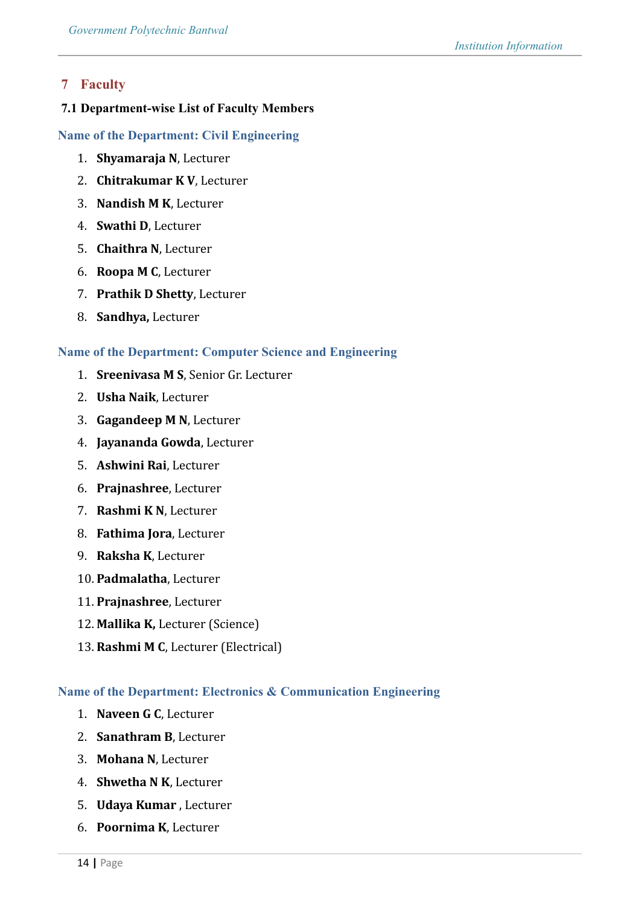# **7 Faculty**

### **7.1 Department-wise List of Faculty Members**

### **Name of the Department: Civil Engineering**

- 1. **Shyamaraja N**, Lecturer
- 2. **Chitrakumar K V**, Lecturer
- 3. **Nandish M K**, Lecturer
- 4. **Swathi D**, Lecturer
- 5. **Chaithra N**, Lecturer
- 6. **Roopa M C**, Lecturer
- 7. **Prathik D Shetty**, Lecturer
- 8. **Sandhya,** Lecturer

### **Name of the Department: Computer Science and Engineering**

- 1. **Sreenivasa M S**, Senior Gr. Lecturer
- 2. **Usha Naik**, Lecturer
- 3. **Gagandeep M N**, Lecturer
- 4. **Jayananda Gowda**, Lecturer
- 5. **Ashwini Rai**, Lecturer
- 6. **Prajnashree**, Lecturer
- 7. **Rashmi K N**, Lecturer
- 8. **Fathima Jora**, Lecturer
- 9. **Raksha K**, Lecturer
- 10. **Padmalatha**, Lecturer
- 11. **Prajnashree**, Lecturer
- 12. **Mallika K,** Lecturer (Science)
- 13. **Rashmi M C**, Lecturer (Electrical)

### **Name of the Department: Electronics & Communication Engineering**

- 1. **Naveen G C**, Lecturer
- 2. **Sanathram B**, Lecturer
- 3. **Mohana N**, Lecturer
- 4. **Shwetha N K**, Lecturer
- 5. **Udaya Kumar** , Lecturer
- 6. **Poornima K**, Lecturer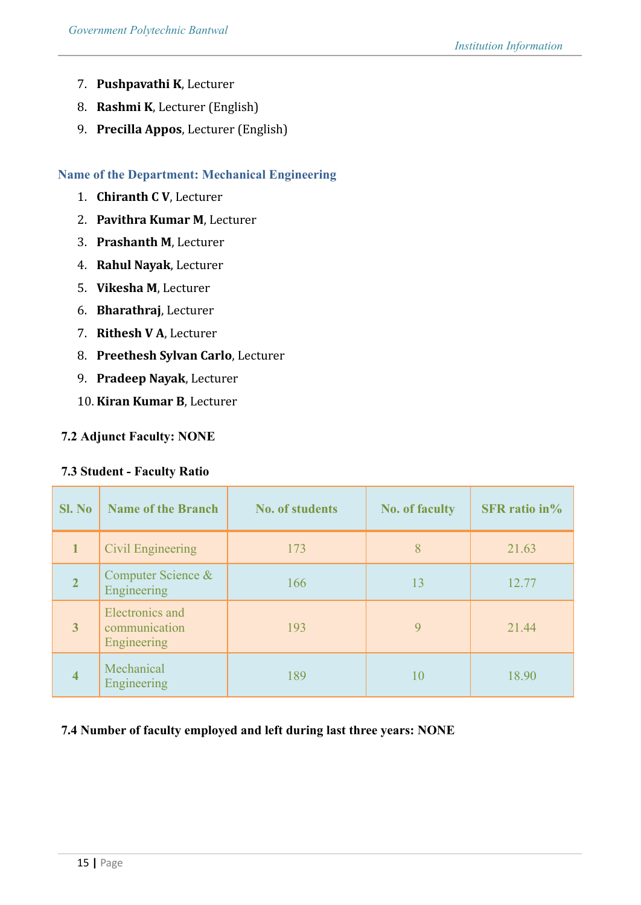- 7. **Pushpavathi K**, Lecturer
- 8. **Rashmi K**, Lecturer (English)
- 9. **Precilla Appos**, Lecturer (English)

### **Name of the Department: Mechanical Engineering**

- 1. **Chiranth C V**, Lecturer
- 2. **Pavithra Kumar M**, Lecturer
- 3. **Prashanth M**, Lecturer
- 4. **Rahul Nayak**, Lecturer
- 5. **Vikesha M**, Lecturer
- 6. **Bharathraj**, Lecturer
- 7. **Rithesh V A**, Lecturer
- 8. **Preethesh Sylvan Carlo**, Lecturer
- 9. **Pradeep Nayak**, Lecturer
- 10. **Kiran Kumar B**, Lecturer

### **7.2 Adjunct Faculty: NONE**

### **7.3 Student - Faculty Ratio**

| <b>Sl. No</b>  | <b>Name of the Branch</b>                       | <b>No. of students</b> | <b>No. of faculty</b> | <b>SFR</b> ratio in% |
|----------------|-------------------------------------------------|------------------------|-----------------------|----------------------|
| $\mathbf{1}$   | Civil Engineering                               | 173                    | 8                     | 21.63                |
| $\overline{2}$ | Computer Science &<br>Engineering               | 166                    | 13                    | 12.77                |
| $\overline{3}$ | Electronics and<br>communication<br>Engineering | 193                    | 9                     | 21.44                |
| $\overline{4}$ | Mechanical<br>Engineering                       | 189                    | 10                    | 18.90                |

### **7.4 Number of faculty employed and left during last three years: NONE**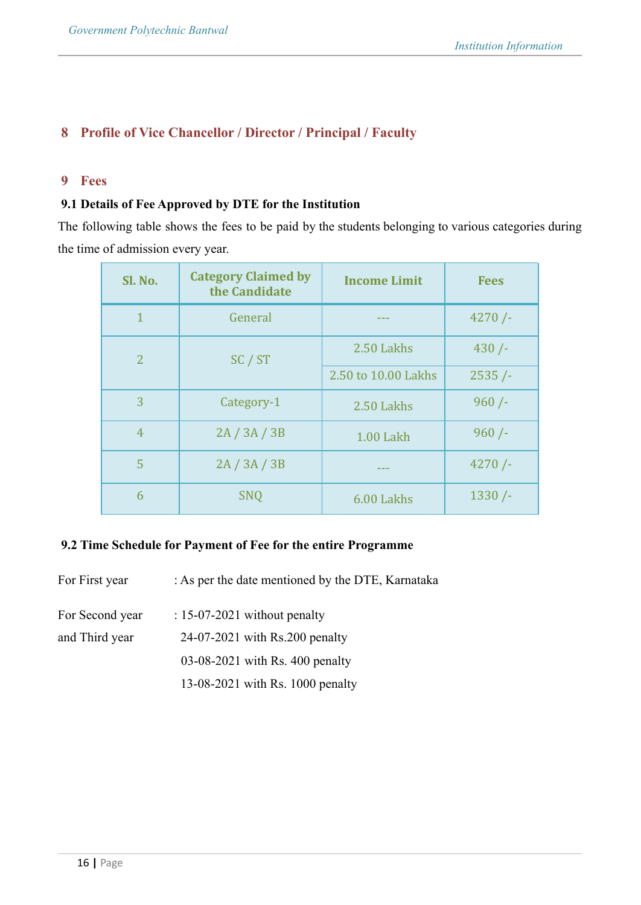# **8 Profile of Vice Chancellor / Director / Principal / Faculty**

### **9 Fees**

### **9.1 Details of Fee Approved by DTE for the Institution**

The following table shows the fees to be paid by the students belonging to various categories during the time of admission every year.

| Sl. No.        | <b>Category Claimed by</b><br>the Candidate | <b>Income Limit</b> | <b>Fees</b> |
|----------------|---------------------------------------------|---------------------|-------------|
| $\mathbf{1}$   | General                                     |                     | 4270/       |
| $\overline{2}$ | SC / ST                                     | 2.50 Lakhs          | 430/        |
|                |                                             | 2.50 to 10.00 Lakhs | 2535/       |
| 3              | Category-1                                  | 2.50 Lakhs          | $960/$ -    |
| $\overline{4}$ | 2A/3A/3B                                    | 1.00 Lakh           | 960/        |
| 5              | 2A/3A/3B                                    |                     | 4270/       |
| 6              | <b>SNQ</b>                                  | 6.00 Lakhs          | $1330/$ -   |

### **9.2 Time Schedule for Payment of Fee for the entire Programme**

For First year : As per the date mentioned by the DTE, Karnataka

For Second year : 15-07-2021 without penalty and Third year 24-07-2021 with Rs.200 penalty 03-08-2021 with Rs. 400 penalty

13-08-2021 with Rs. 1000 penalty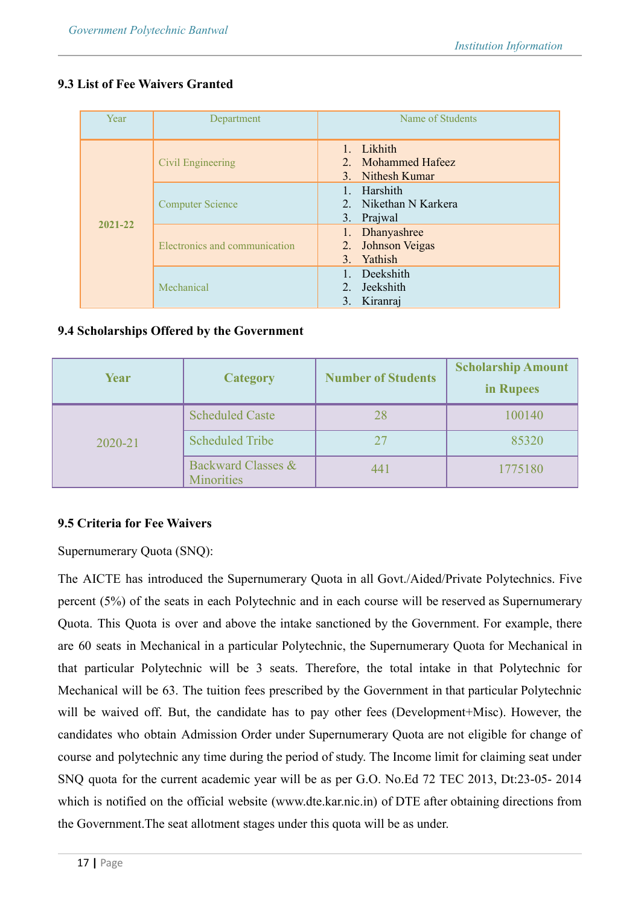# **9.3 List of Fee Waivers Granted**

| Year        | Department                    | Name of Students                                                 |  |  |
|-------------|-------------------------------|------------------------------------------------------------------|--|--|
| $2021 - 22$ | Civil Engineering             | 1. Likhith<br>2. Mohammed Hafeez<br>3. Nithesh Kumar             |  |  |
|             | <b>Computer Science</b>       | 1. Harshith<br>2. Nikethan N Karkera<br>3. Prajwal               |  |  |
|             | Electronics and communication | 1. Dhanyashree<br>2. Johnson Veigas<br>Yathish<br>3 <sub>1</sub> |  |  |
|             | Mechanical                    | Deekshith<br>2. Jeekshith<br>3. Kiranraj                         |  |  |

### **9.4 Scholarships Offered by the Government**

| Year    | <b>Category</b>                         | <b>Number of Students</b> | <b>Scholarship Amount</b><br>in Rupees |
|---------|-----------------------------------------|---------------------------|----------------------------------------|
| 2020-21 | <b>Scheduled Caste</b>                  | 28                        | 100140                                 |
|         | <b>Scheduled Tribe</b>                  | 27                        | 85320                                  |
|         | Backward Classes &<br><b>Minorities</b> | 441                       | 1775180                                |

# **9.5 Criteria for Fee Waivers**

Supernumerary Quota (SNQ):

The AICTE has introduced the Supernumerary Quota in all Govt./Aided/Private Polytechnics. Five percent (5%) of the seats in each Polytechnic and in each course will be reserved as Supernumerary Quota. This Quota is over and above the intake sanctioned by the Government. For example, there are 60 seats in Mechanical in a particular Polytechnic, the Supernumerary Quota for Mechanical in that particular Polytechnic will be 3 seats. Therefore, the total intake in that Polytechnic for Mechanical will be 63. The tuition fees prescribed by the Government in that particular Polytechnic will be waived off. But, the candidate has to pay other fees (Development+Misc). However, the candidates who obtain Admission Order under Supernumerary Quota are not eligible for change of course and polytechnic any time during the period of study. The Income limit for claiming seat under SNQ quota for the current academic year will be as per G.O. No.Ed 72 TEC 2013, Dt:23-05- 2014 which is notified on the official website (www.dte.kar.nic.in) of DTE after obtaining directions from the Government.The seat allotment stages under this quota will be as under.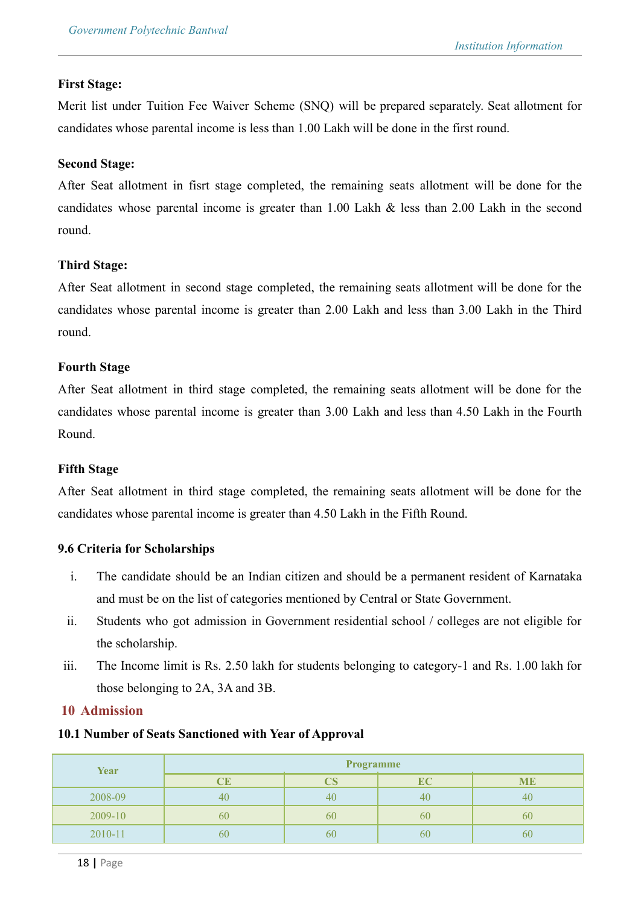### **First Stage:**

Merit list under Tuition Fee Waiver Scheme (SNQ) will be prepared separately. Seat allotment for candidates whose parental income is less than 1.00 Lakh will be done in the first round.

### **Second Stage:**

After Seat allotment in fisrt stage completed, the remaining seats allotment will be done for the candidates whose parental income is greater than 1.00 Lakh & less than 2.00 Lakh in the second round.

### **Third Stage:**

After Seat allotment in second stage completed, the remaining seats allotment will be done for the candidates whose parental income is greater than 2.00 Lakh and less than 3.00 Lakh in the Third round.

### **Fourth Stage**

After Seat allotment in third stage completed, the remaining seats allotment will be done for the candidates whose parental income is greater than 3.00 Lakh and less than 4.50 Lakh in the Fourth Round.

### **Fifth Stage**

After Seat allotment in third stage completed, the remaining seats allotment will be done for the candidates whose parental income is greater than 4.50 Lakh in the Fifth Round.

### **9.6 Criteria for Scholarships**

- i. The candidate should be an Indian citizen and should be a permanent resident of Karnataka and must be on the list of categories mentioned by Central or State Government.
- ii. Students who got admission in Government residential school / colleges are not eligible for the scholarship.
- iii. The Income limit is Rs. 2.50 lakh for students belonging to category-1 and Rs. 1.00 lakh for those belonging to 2A, 3A and 3B.

### **10 Admission**

### **10.1 Number of Seats Sanctioned with Year of Approval**

| Year    |    | <b>Programme</b> |           |           |
|---------|----|------------------|-----------|-----------|
|         | CE |                  | <b>EC</b> | <b>ME</b> |
| 2008-09 | 40 | 40               | 40        | 40        |
| 2009-10 | 60 | 60               | 60        | σŪ        |
| 2010-11 | 60 | 60               | 60        | OU        |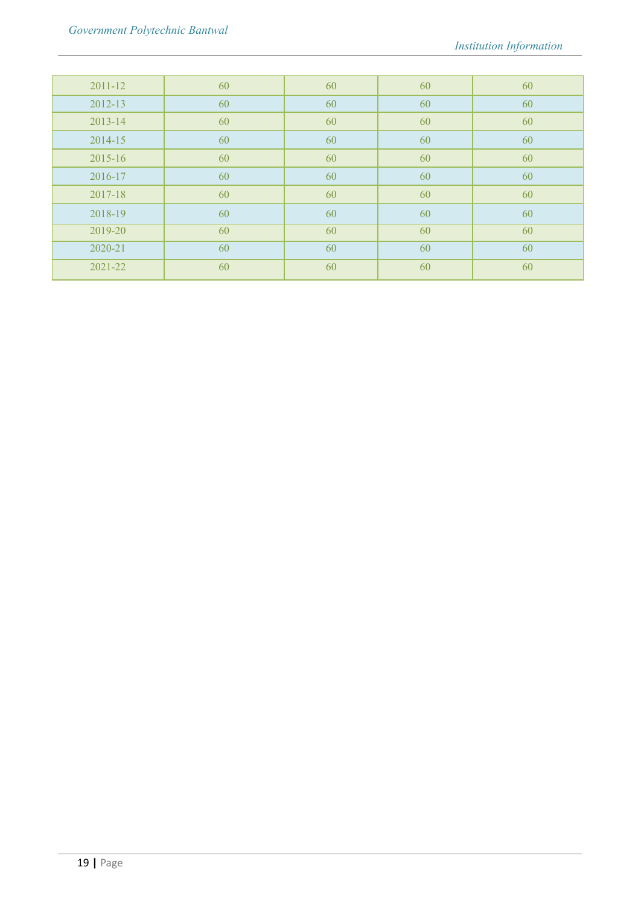| 2011-12     | 60 | 60 | 60 | 60 |
|-------------|----|----|----|----|
| $2012 - 13$ | 60 | 60 | 60 | 60 |
| 2013-14     | 60 | 60 | 60 | 60 |
| 2014-15     | 60 | 60 | 60 | 60 |
| 2015-16     | 60 | 60 | 60 | 60 |
| 2016-17     | 60 | 60 | 60 | 60 |
| 2017-18     | 60 | 60 | 60 | 60 |
| 2018-19     | 60 | 60 | 60 | 60 |
| 2019-20     | 60 | 60 | 60 | 60 |
| 2020-21     | 60 | 60 | 60 | 60 |
| 2021-22     | 60 | 60 | 60 | 60 |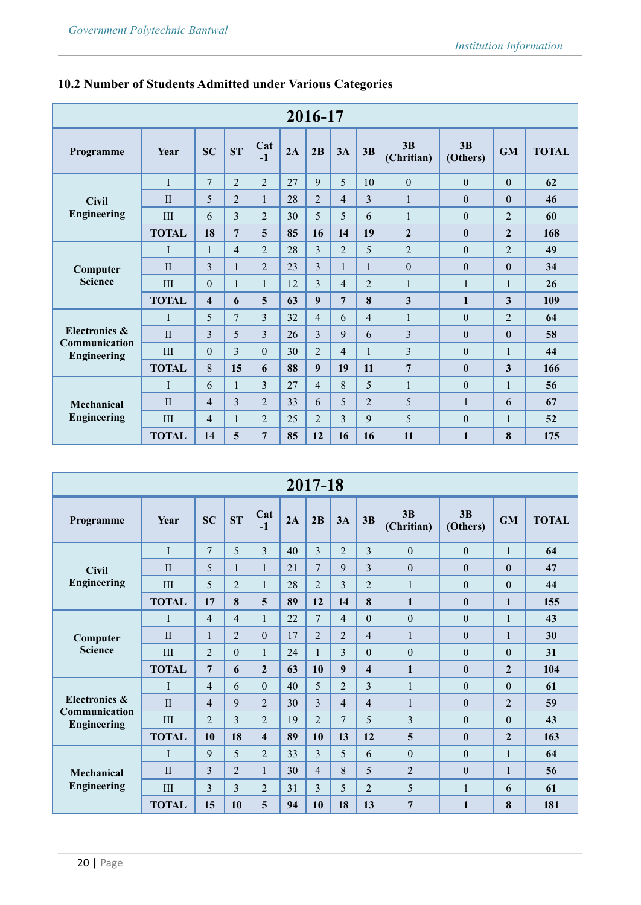|                                     | 2016-17      |                         |                |                |    |                |                |                |                  |                |                |              |
|-------------------------------------|--------------|-------------------------|----------------|----------------|----|----------------|----------------|----------------|------------------|----------------|----------------|--------------|
| Programme                           | Year         | <b>SC</b>               | ST             | Cat<br>$-1$    | 2A | 2B             | 3A             | 3B             | 3B<br>(Chritian) | 3B<br>(Others) | <b>GM</b>      | <b>TOTAL</b> |
|                                     | $\mathbf I$  | $\overline{7}$          | $\overline{2}$ | $\overline{2}$ | 27 | 9              | 5              | 10             | $\mathbf{0}$     | $\mathbf{0}$   | $\mathbf{0}$   | 62           |
| <b>Civil</b>                        | $\mathbf{H}$ | 5                       | $\overline{2}$ | $\mathbf{1}$   | 28 | $\overline{2}$ | $\overline{4}$ | 3              | 1                | $\theta$       | $\Omega$       | 46           |
| <b>Engineering</b>                  | III          | 6                       | 3              | $\overline{2}$ | 30 | 5              | 5              | 6              | 1                | $\theta$       | 2              | 60           |
|                                     | <b>TOTAL</b> | 18                      | 7              | 5              | 85 | 16             | 14             | 19             | $\overline{2}$   | $\mathbf{0}$   | $\overline{2}$ | 168          |
|                                     | I            | $\mathbf{1}$            | $\overline{4}$ | $\overline{2}$ | 28 | 3              | $\overline{2}$ | 5              | $\overline{2}$   | $\theta$       | $\overline{2}$ | 49           |
| Computer                            | $\mathbf{I}$ | 3                       | $\mathbf{1}$   | $\overline{2}$ | 23 | 3              | $\mathbf{1}$   | $\mathbf{1}$   | $\overline{0}$   | $\mathbf{0}$   | $\mathbf{0}$   | 34           |
| <b>Science</b>                      | III          | $\mathbf{0}$            | 1              | $\mathbf{1}$   | 12 | 3              | $\overline{4}$ | $\overline{2}$ | 1                | $\mathbf{1}$   | $\mathbf{1}$   | 26           |
|                                     | <b>TOTAL</b> | $\overline{\mathbf{4}}$ | 6              | 5              | 63 | 9              | $\overline{7}$ | 8              | 3                | $\mathbf{1}$   | 3              | 109          |
|                                     | T            | 5                       | 7              | 3              | 32 | 4              | 6              | $\overline{4}$ | 1                | $\theta$       | $\overline{2}$ | 64           |
| Electronics &                       | $\mathbf{I}$ | 3                       | 5              | 3              | 26 | 3              | 9              | 6              | 3                | $\mathbf{0}$   | $\Omega$       | 58           |
| Communication<br><b>Engineering</b> | III          | $\theta$                | 3              | $\theta$       | 30 | $\overline{2}$ | $\overline{4}$ | 1              | 3                | $\theta$       | $\mathbf{1}$   | 44           |
|                                     | <b>TOTAL</b> | 8                       | 15             | 6              | 88 | 9              | 19             | 11             | $\overline{7}$   | $\bf{0}$       | $\overline{3}$ | 166          |
|                                     | I            | 6                       | 1              | 3              | 27 | 4              | 8              | 5              | $\mathbf{1}$     | $\mathbf{0}$   | $\mathbf{1}$   | 56           |
| <b>Mechanical</b>                   | $\mathbf{I}$ | 4                       | 3              | $\overline{2}$ | 33 | 6              | 5              | $\overline{2}$ | 5                | 1              | 6              | 67           |
| <b>Engineering</b>                  | III          | $\overline{4}$          | $\mathbf{1}$   | $\overline{2}$ | 25 | $\overline{2}$ | 3              | 9              | 5                | $\mathbf{0}$   | $\mathbf{1}$   | 52           |
|                                     | <b>TOTAL</b> | 14                      | 5              | 7              | 85 | 12             | 16             | 16             | 11               | $\mathbf{1}$   | 8              | 175          |

# **10.2 Number of Students Admitted under Various Categories**

|                                     |              |                |                |                         |    | 2017-18        |                |                         |                              |                  |                |              |
|-------------------------------------|--------------|----------------|----------------|-------------------------|----|----------------|----------------|-------------------------|------------------------------|------------------|----------------|--------------|
| Programme                           | <b>Year</b>  | <b>SC</b>      | <b>ST</b>      | Cat<br>$-1$             | 2A | 2B             | 3A             | 3B                      | 3 <sub>B</sub><br>(Chritian) | 3B<br>(Others)   | <b>GM</b>      | <b>TOTAL</b> |
|                                     | I            | 7              | 5              | $\overline{3}$          | 40 | 3              | $\overline{2}$ | $\overline{3}$          | $\theta$                     | $\theta$         | $\mathbf{1}$   | 64           |
| <b>Civil</b>                        | $\mathbf{I}$ | 5              | 1              | 1                       | 21 | 7              | 9              | 3                       | $\theta$                     | $\theta$         | $\theta$       | 47           |
| Engineering                         | III          | 5              | $\overline{2}$ | 1                       | 28 | $\overline{2}$ | 3              | $\overline{2}$          | $\mathbf{1}$                 | $\theta$         | $\theta$       | 44           |
|                                     | <b>TOTAL</b> | 17             | 8              | 5                       | 89 | 12             | 14             | 8                       | $\mathbf{1}$                 | $\bf{0}$         | $\mathbf{1}$   | 155          |
|                                     | I            | $\overline{4}$ | $\overline{4}$ | $\mathbf{1}$            | 22 | 7              | $\overline{4}$ | $\theta$                | $\theta$                     | $\theta$         | $\mathbf{1}$   | 43           |
| Computer<br><b>Science</b>          | $\mathbf{I}$ | $\mathbf{1}$   | $\overline{2}$ | $\mathbf{0}$            | 17 | $\overline{2}$ | $\overline{2}$ | $\overline{4}$          | $\mathbf{1}$                 | $\boldsymbol{0}$ | $\mathbf{1}$   | 30           |
|                                     | III          | $\overline{2}$ | $\overline{0}$ | $\mathbf{1}$            | 24 | 1              | 3              | $\theta$                | $\theta$                     | $\boldsymbol{0}$ | $\theta$       | 31           |
|                                     | <b>TOTAL</b> | 7              | 6              | $\overline{2}$          | 63 | 10             | 9              | $\overline{\mathbf{4}}$ | $\mathbf{1}$                 | $\mathbf{0}$     | $\overline{2}$ | 104          |
|                                     | I            | $\overline{4}$ | 6              | $\mathbf{0}$            | 40 | 5              | $\overline{2}$ | 3                       | $\mathbf{1}$                 | $\mathbf{0}$     | $\theta$       | 61           |
| Electronics &                       | $\mathbf{I}$ | 4              | 9              | $\overline{2}$          | 30 | 3              | $\overline{4}$ | 4                       | $\mathbf{1}$                 | $\theta$         | $\overline{2}$ | 59           |
| Communication<br><b>Engineering</b> | III          | $\overline{2}$ | 3              | $\overline{2}$          | 19 | $\overline{2}$ | $\overline{7}$ | 5                       | 3                            | $\theta$         | $\theta$       | 43           |
|                                     | <b>TOTAL</b> | 10             | 18             | $\overline{\mathbf{4}}$ | 89 | 10             | 13             | 12                      | 5                            | $\bf{0}$         | $\overline{2}$ | 163          |
|                                     | I            | 9              | 5              | $\overline{2}$          | 33 | 3              | 5              | 6                       | $\theta$                     | $\boldsymbol{0}$ | 1              | 64           |
| <b>Mechanical</b>                   | $\mathbf{I}$ | 3              | $\overline{2}$ | 1                       | 30 | $\overline{4}$ | 8              | 5                       | $\overline{2}$               | $\theta$         | 1              | 56           |
| <b>Engineering</b>                  | III          | 3              | 3              | $\overline{2}$          | 31 | 3              | 5              | 2                       | 5                            | 1                | 6              | 61           |
|                                     | <b>TOTAL</b> | 15             | 10             | 5                       | 94 | 10             | 18             | 13                      | $\overline{7}$               | $\mathbf{1}$     | 8              | 181          |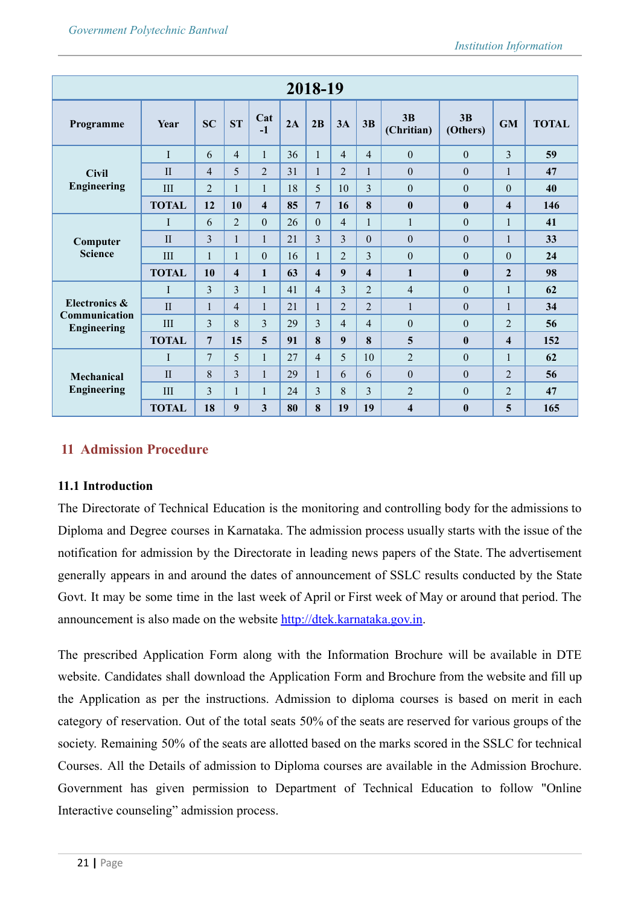|                                     |                             |                |                         |                         |    | 2018-19                 |                |                |                         |                  |                         |              |
|-------------------------------------|-----------------------------|----------------|-------------------------|-------------------------|----|-------------------------|----------------|----------------|-------------------------|------------------|-------------------------|--------------|
| Programme                           | Year                        | <b>SC</b>      | ST                      | Cat<br>$-1$             | 2A | 2B                      | 3A             | 3B             | 3B<br>(Chritian)        | 3B<br>(Others)   | <b>GM</b>               | <b>TOTAL</b> |
|                                     | I                           | 6              | $\overline{4}$          | $\mathbf{1}$            | 36 | $\mathbf{1}$            | $\overline{4}$ | $\overline{4}$ | $\theta$                | $\theta$         | 3                       | 59           |
| <b>Civil</b>                        | $\mathbf{I}$                | $\overline{4}$ | 5                       | $\overline{2}$          | 31 | 1                       | $\overline{2}$ | 1              | $\theta$                | $\theta$         | 1                       | 47           |
| <b>Engineering</b>                  | III                         | $\overline{2}$ | $\mathbf{1}$            | $\mathbf{1}$            | 18 | 5                       | 10             | 3              | $\mathbf{0}$            | $\theta$         | $\theta$                | 40           |
|                                     | <b>TOTAL</b>                | 12             | 10                      | $\overline{\mathbf{4}}$ | 85 | 7                       | 16             | 8              | $\mathbf{0}$            | $\mathbf{0}$     | $\overline{\mathbf{4}}$ | 146          |
|                                     | I                           | 6              | $\overline{2}$          | $\theta$                | 26 | $\theta$                | $\overline{4}$ | 1              | $\mathbf{1}$            | $\theta$         | $\mathbf{1}$            | 41           |
| Computer                            | $\mathbf{I}$                | 3              | $\mathbf{1}$            | 1                       | 21 | 3                       | $\overline{3}$ | $\theta$       | $\mathbf{0}$            | $\boldsymbol{0}$ | $\mathbf{1}$            | 33           |
| <b>Science</b>                      | III                         | 1              | $\mathbf{1}$            | $\theta$                | 16 | $\mathbf{1}$            | $\overline{2}$ | 3              | $\mathbf{0}$            | $\boldsymbol{0}$ | $\theta$                | 24           |
|                                     | <b>TOTAL</b>                | 10             | $\overline{\mathbf{4}}$ | $\mathbf{1}$            | 63 | $\overline{\mathbf{4}}$ | 9              | 4              | $\mathbf{1}$            | $\bf{0}$         | $\overline{2}$          | 98           |
|                                     | I                           | 3              | 3                       | 1                       | 41 | 4                       | 3              | $\overline{2}$ | $\overline{4}$          | $\theta$         | $\mathbf{1}$            | 62           |
| Electronics &                       | $\mathbf{I}$                | 1              | $\overline{4}$          | 1                       | 21 |                         | $\overline{2}$ | $\overline{2}$ | $\mathbf{1}$            | $\theta$         | $\mathbf{1}$            | 34           |
| Communication<br><b>Engineering</b> | III                         | 3              | 8                       | 3                       | 29 | 3                       | $\overline{4}$ | 4              | $\mathbf{0}$            | $\theta$         | $\overline{2}$          | 56           |
|                                     | <b>TOTAL</b>                | $\overline{7}$ | 15                      | 5                       | 91 | 8                       | 9              | 8              | 5                       | $\mathbf{0}$     | $\overline{\mathbf{4}}$ | 152          |
|                                     | I                           | 7              | 5                       | 1                       | 27 | 4                       | 5              | 10             | $\overline{2}$          | $\boldsymbol{0}$ | 1                       | 62           |
| Mechanical                          | $\mathbf{I}$                | 8              | 3                       | 1                       | 29 | $\mathbf{1}$            | 6              | 6              | $\mathbf{0}$            | $\boldsymbol{0}$ | $\overline{2}$          | 56           |
| <b>Engineering</b>                  | $\mathop{\rm III}\nolimits$ | 3              | $\mathbf{1}$            | 1                       | 24 | 3                       | 8              | 3              | $\overline{2}$          | $\boldsymbol{0}$ | $\overline{2}$          | 47           |
|                                     | <b>TOTAL</b>                | 18             | 9                       | 3                       | 80 | 8                       | 19             | 19             | $\overline{\mathbf{4}}$ | $\bf{0}$         | 5                       | 165          |

# **11 Admission Procedure**

### **11.1 Introduction**

The Directorate of Technical Education is the monitoring and controlling body for the admissions to Diploma and Degree courses in Karnataka. The admission process usually starts with the issue of the notification for admission by the Directorate in leading news papers of the State. The advertisement generally appears in and around the dates of announcement of SSLC results conducted by the State Govt. It may be some time in the last week of April or First week of May or around that period. The announcement is also made on the website [http://dtek.karnataka.gov.in.](http://dtek.karnataka.gov.in)

The prescribed Application Form along with the Information Brochure will be available in DTE website. Candidates shall download the Application Form and Brochure from the website and fill up the Application as per the instructions. Admission to diploma courses is based on merit in each category of reservation. Out of the total seats 50% of the seats are reserved for various groups of the society. Remaining 50% of the seats are allotted based on the marks scored in the SSLC for technical Courses. All the Details of admission to Diploma courses are available in the Admission Brochure. Government has given permission to Department of Technical Education to follow "Online Interactive counseling" admission process.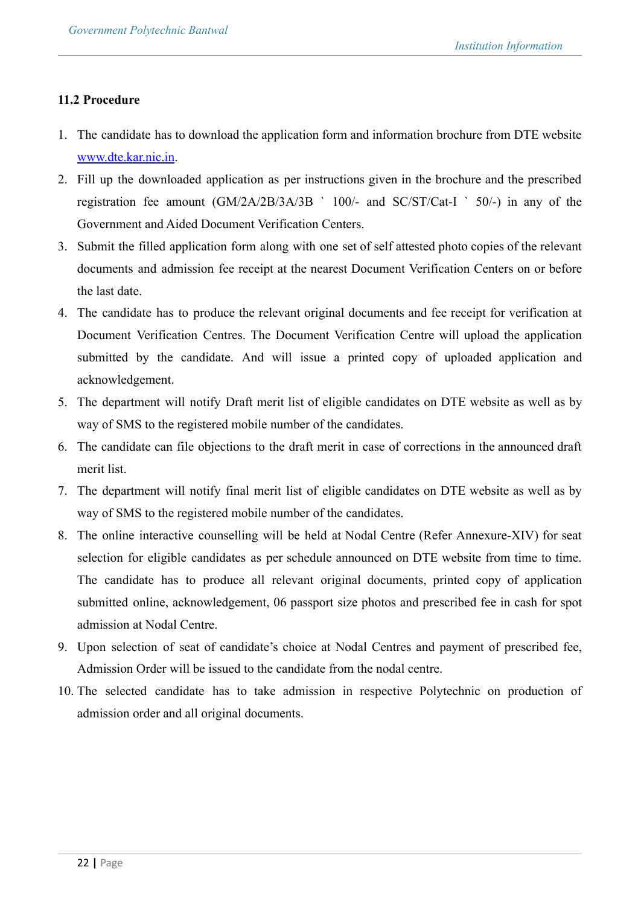### **11.2 Procedure**

- 1. The candidate has to download the application form and information brochure from DTE website [www.dte.kar.nic.in](http://www.dte.kar.nic.in).
- 2. Fill up the downloaded application as per instructions given in the brochure and the prescribed registration fee amount  $(GM/2A/2B/3A/3B \t 100/4$  and  $SC/ST/Cat-I \t 50/4$  in any of the Government and Aided Document Verification Centers.
- 3. Submit the filled application form along with one set of self attested photo copies of the relevant documents and admission fee receipt at the nearest Document Verification Centers on or before the last date.
- 4. The candidate has to produce the relevant original documents and fee receipt for verification at Document Verification Centres. The Document Verification Centre will upload the application submitted by the candidate. And will issue a printed copy of uploaded application and acknowledgement.
- 5. The department will notify Draft merit list of eligible candidates on DTE website as well as by way of SMS to the registered mobile number of the candidates.
- 6. The candidate can file objections to the draft merit in case of corrections in the announced draft merit list.
- 7. The department will notify final merit list of eligible candidates on DTE website as well as by way of SMS to the registered mobile number of the candidates.
- 8. The online interactive counselling will be held at Nodal Centre (Refer Annexure-XIV) for seat selection for eligible candidates as per schedule announced on DTE website from time to time. The candidate has to produce all relevant original documents, printed copy of application submitted online, acknowledgement, 06 passport size photos and prescribed fee in cash for spot admission at Nodal Centre.
- 9. Upon selection of seat of candidate's choice at Nodal Centres and payment of prescribed fee, Admission Order will be issued to the candidate from the nodal centre.
- 10. The selected candidate has to take admission in respective Polytechnic on production of admission order and all original documents.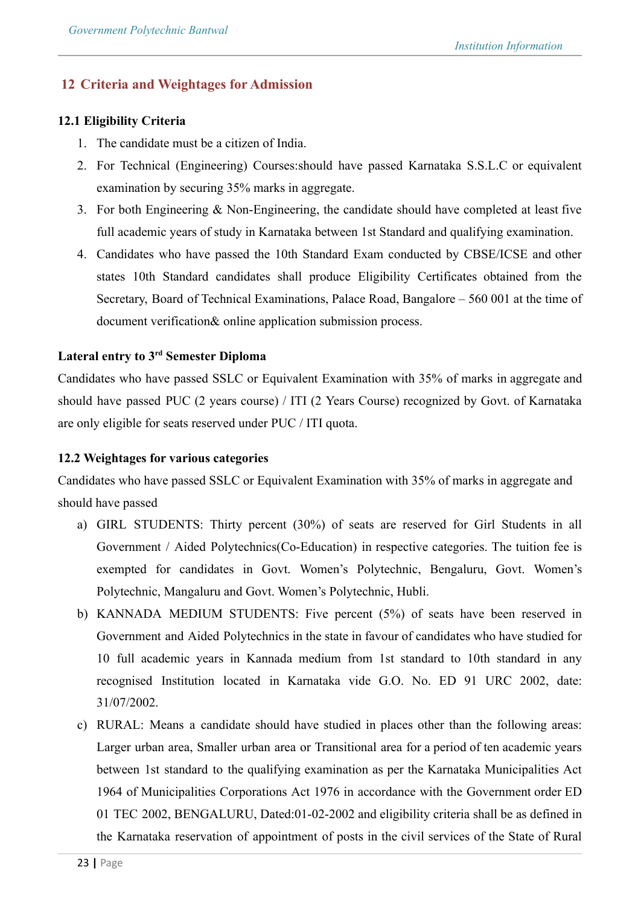# **12 Criteria and Weightages for Admission**

### **12.1 Eligibility Criteria**

- 1. The candidate must be a citizen of India.
- 2. For Technical (Engineering) Courses:should have passed Karnataka S.S.L.C or equivalent examination by securing 35% marks in aggregate.
- 3. For both Engineering & Non-Engineering, the candidate should have completed at least five full academic years of study in Karnataka between 1st Standard and qualifying examination.
- 4. Candidates who have passed the 10th Standard Exam conducted by CBSE/ICSE and other states 10th Standard candidates shall produce Eligibility Certificates obtained from the Secretary, Board of Technical Examinations, Palace Road, Bangalore – 560 001 at the time of document verification& online application submission process.

# **Lateral entry to 3rd Semester Diploma**

Candidates who have passed SSLC or Equivalent Examination with 35% of marks in aggregate and should have passed PUC (2 years course) / ITI (2 Years Course) recognized by Govt. of Karnataka are only eligible for seats reserved under PUC / ITI quota.

### **12.2 Weightages for various categories**

Candidates who have passed SSLC or Equivalent Examination with 35% of marks in aggregate and should have passed

- a) GIRL STUDENTS: Thirty percent (30%) of seats are reserved for Girl Students in all Government / Aided Polytechnics(Co-Education) in respective categories. The tuition fee is exempted for candidates in Govt. Women's Polytechnic, Bengaluru, Govt. Women's Polytechnic, Mangaluru and Govt. Women's Polytechnic, Hubli.
- b) KANNADA MEDIUM STUDENTS: Five percent (5%) of seats have been reserved in Government and Aided Polytechnics in the state in favour of candidates who have studied for 10 full academic years in Kannada medium from 1st standard to 10th standard in any recognised Institution located in Karnataka vide G.O. No. ED 91 URC 2002, date: 31/07/2002.
- c) RURAL: Means a candidate should have studied in places other than the following areas: Larger urban area, Smaller urban area or Transitional area for a period of ten academic years between 1st standard to the qualifying examination as per the Karnataka Municipalities Act 1964 of Municipalities Corporations Act 1976 in accordance with the Government order ED 01 TEC 2002, BENGALURU, Dated:01-02-2002 and eligibility criteria shall be as defined in the Karnataka reservation of appointment of posts in the civil services of the State of Rural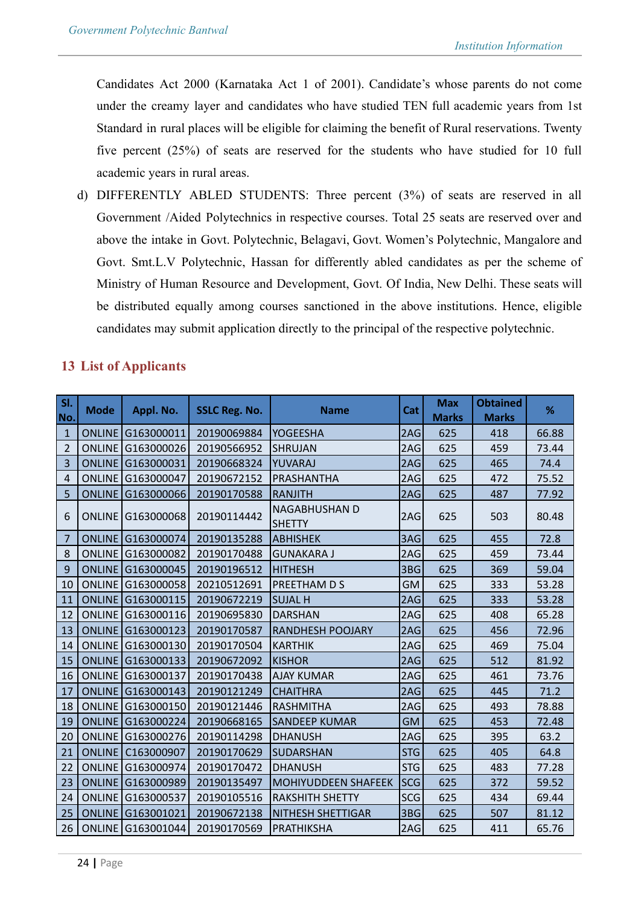Candidates Act 2000 (Karnataka Act 1 of 2001). Candidate's whose parents do not come under the creamy layer and candidates who have studied TEN full academic years from 1st Standard in rural places will be eligible for claiming the benefit of Rural reservations. Twenty five percent (25%) of seats are reserved for the students who have studied for 10 full academic years in rural areas.

d) DIFFERENTLY ABLED STUDENTS: Three percent (3%) of seats are reserved in all Government /Aided Polytechnics in respective courses. Total 25 seats are reserved over and above the intake in Govt. Polytechnic, Belagavi, Govt. Women's Polytechnic, Mangalore and Govt. Smt.L.V Polytechnic, Hassan for differently abled candidates as per the scheme of Ministry of Human Resource and Development, Govt. Of India, New Delhi. These seats will be distributed equally among courses sanctioned in the above institutions. Hence, eligible candidates may submit application directly to the principal of the respective polytechnic.

# **13 List of Applicants**

| SI.<br>No.     | <b>Mode</b>   | Appl. No.                | <b>SSLC Reg. No.</b> | <b>Name</b>                           | Cat        | <b>Max</b><br><b>Marks</b> | <b>Obtained</b><br><b>Marks</b> | %     |
|----------------|---------------|--------------------------|----------------------|---------------------------------------|------------|----------------------------|---------------------------------|-------|
| $\mathbf{1}$   |               | ONLINE G163000011        | 20190069884          | <b>YOGEESHA</b>                       | 2AG        | 625                        | 418                             | 66.88 |
| $\overline{2}$ |               | ONLINE G163000026        | 20190566952          | <b>SHRUJAN</b>                        | 2AG        | 625                        | 459                             | 73.44 |
| 3              |               | ONLINE G163000031        | 20190668324          | YUVARAJ                               | 2AG        | 625                        | 465                             | 74.4  |
| 4              |               | ONLINE G163000047        | 20190672152          | PRASHANTHA                            | 2AG        | 625                        | 472                             | 75.52 |
| 5              |               | ONLINE G163000066        | 20190170588          | <b>RANJITH</b>                        | 2AG        | 625                        | 487                             | 77.92 |
| 6              |               | ONLINE G163000068        | 20190114442          | <b>NAGABHUSHAN D</b><br><b>SHETTY</b> | 2AG        | 625                        | 503                             | 80.48 |
| 7              |               | ONLINE G163000074        | 20190135288          | IABHISHEK                             | 3AG        | 625                        | 455                             | 72.8  |
| 8              |               | ONLINE G163000082        | 20190170488          | <b>GUNAKARA J</b>                     | 2AG        | 625                        | 459                             | 73.44 |
| 9              |               | ONLINE G163000045        | 20190196512          | <b>HITHESH</b>                        | 3BG        | 625                        | 369                             | 59.04 |
| 10             |               | ONLINE G163000058        | 20210512691          | PREETHAM D S                          | <b>GM</b>  | 625                        | 333                             | 53.28 |
| 11             |               | ONLINE G163000115        | 20190672219          | <b>SUJAL H</b>                        | 2AG        | 625                        | 333                             | 53.28 |
| 12             |               | ONLINE G163000116        | 20190695830          | <b>DARSHAN</b>                        | 2AG        | 625                        | 408                             | 65.28 |
| 13             |               | ONLINE G163000123        | 20190170587          | <b>RANDHESH POOJARY</b>               | 2AG        | 625                        | 456                             | 72.96 |
| 14             |               | ONLINE G163000130        | 20190170504          | <b>KARTHIK</b>                        | 2AG        | 625                        | 469                             | 75.04 |
| 15             |               | ONLINE G163000133        | 20190672092          | <b>KISHOR</b>                         | 2AG        | 625                        | 512                             | 81.92 |
| 16             |               | ONLINE G163000137        | 20190170438          | <b>AJAY KUMAR</b>                     | 2AG        | 625                        | 461                             | 73.76 |
| 17             |               | ONLINE G163000143        | 20190121249          | <b>CHAITHRA</b>                       | 2AG        | 625                        | 445                             | 71.2  |
| 18             |               | ONLINE G163000150        | 20190121446          | <b>RASHMITHA</b>                      | 2AG        | 625                        | 493                             | 78.88 |
| 19             |               | ONLINE G163000224        | 20190668165          | <b>SANDEEP KUMAR</b>                  | <b>GM</b>  | 625                        | 453                             | 72.48 |
| 20             |               | ONLINE G163000276        | 20190114298          | <b>DHANUSH</b>                        | 2AG        | 625                        | 395                             | 63.2  |
| 21             | <b>ONLINE</b> | C163000907               | 20190170629          | <b>SUDARSHAN</b>                      | <b>STG</b> | 625                        | 405                             | 64.8  |
| 22             |               | ONLINE G163000974        | 20190170472          | <b>DHANUSH</b>                        | <b>STG</b> | 625                        | 483                             | 77.28 |
| 23             |               | ONLINE G163000989        | 20190135497          | MOHIYUDDEEN SHAFEEK                   | <b>SCG</b> | 625                        | 372                             | 59.52 |
| 24             |               | ONLINE G163000537        | 20190105516          | <b>RAKSHITH SHETTY</b>                | <b>SCG</b> | 625                        | 434                             | 69.44 |
| 25             |               | <b>ONLINE G163001021</b> | 20190672138          | <b>NITHESH SHETTIGAR</b>              | 3BG        | 625                        | 507                             | 81.12 |
| 26             |               | ONLINE G163001044        | 20190170569          | PRATHIKSHA                            | 2AG        | 625                        | 411                             | 65.76 |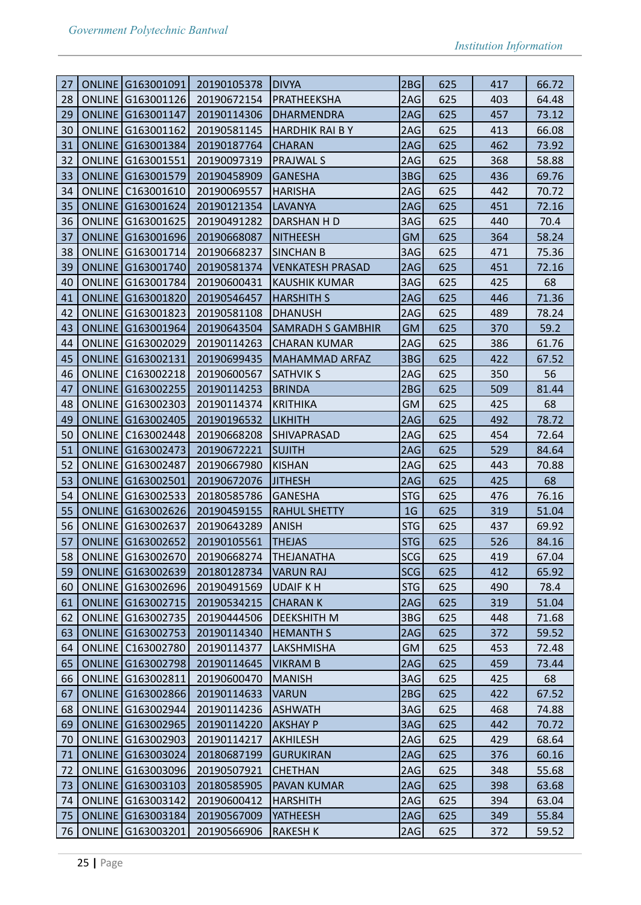| 27 | ONLINE G163001091             | 20190105378 | <b>DIVYA</b>             | 2BGI            | 625 | 417 | 66.72 |
|----|-------------------------------|-------------|--------------------------|-----------------|-----|-----|-------|
| 28 | ONLINE G163001126             | 20190672154 | PRATHEEKSHA              | 2AG             | 625 | 403 | 64.48 |
| 29 | <b>ONLINE</b><br>G163001147   | 20190114306 | <b>DHARMENDRA</b>        | 2AG             | 625 | 457 | 73.12 |
| 30 | ONLINE G163001162             | 20190581145 | HARDHIK RAI B Y          | 2AG             | 625 | 413 | 66.08 |
| 31 | ONLINE G163001384             | 20190187764 | <b>CHARAN</b>            | 2AG             | 625 | 462 | 73.92 |
| 32 | ONLINE<br>G163001551          | 20190097319 | <b>PRAJWAL S</b>         | 2AG             | 625 | 368 | 58.88 |
| 33 | ONLINE G163001579             | 20190458909 | <b>GANESHA</b>           | 3B <sub>G</sub> | 625 | 436 | 69.76 |
| 34 | <b>ONLINE</b><br>C163001610   | 20190069557 | <b>HARISHA</b>           | 2AG             | 625 | 442 | 70.72 |
| 35 | ONLINE G163001624             | 20190121354 | <b>LAVANYA</b>           | 2AG             | 625 | 451 | 72.16 |
| 36 | ONLINE G163001625             | 20190491282 | DARSHAN H D              | 3AG             | 625 | 440 | 70.4  |
| 37 | <b>ONLINE G163001696</b>      | 20190668087 | <b>NITHEESH</b>          | <b>GM</b>       | 625 | 364 | 58.24 |
| 38 | ONLINE G163001714             | 20190668237 | SINCHAN B                | 3AG             | 625 | 471 | 75.36 |
| 39 | ONLINE G163001740             | 20190581374 | <b>VENKATESH PRASAD</b>  | 2AG             | 625 | 451 | 72.16 |
| 40 | ONLINE G163001784             | 20190600431 | <b>KAUSHIK KUMAR</b>     | 3AG             | 625 | 425 | 68    |
| 41 | ONLINE G163001820             | 20190546457 | HARSHITH S               | 2AG             | 625 | 446 | 71.36 |
| 42 | ONLINE G163001823             | 20190581108 | <b>DHANUSH</b>           | 2AG             | 625 | 489 | 78.24 |
| 43 | <b>ONLINE</b><br>G163001964   | 20190643504 | <b>SAMRADH S GAMBHIR</b> | <b>GM</b>       | 625 | 370 | 59.2  |
| 44 | ONLINE<br>G163002029          | 20190114263 | <b>CHARAN KUMAR</b>      | 2AG             | 625 | 386 | 61.76 |
| 45 | <b>ONLINE</b><br>G163002131   | 20190699435 | MAHAMMAD ARFAZ           | 3BG             | 625 | 422 | 67.52 |
| 46 | ONLINE   C163002218           | 20190600567 | <b>SATHVIK S</b>         | 2AG             | 625 | 350 | 56    |
| 47 | ONLINE G163002255             | 20190114253 | <b>BRINDA</b>            | 2BGI            | 625 | 509 | 81.44 |
| 48 | ONLINE G163002303             | 20190114374 | KRITHIKA                 | <b>GM</b>       | 625 | 425 | 68    |
| 49 | ONLINE G163002405             | 20190196532 | <b>LIKHITH</b>           | 2AG             | 625 | 492 | 78.72 |
| 50 | <b>ONLINE</b><br>C163002448   | 20190668208 | <b>SHIVAPRASAD</b>       | 2AG             | 625 | 454 | 72.64 |
| 51 | ONLINE<br>G163002473          | 20190672221 | <b>SUJITH</b>            | 2AG             | 625 | 529 | 84.64 |
| 52 | ONLINE G163002487             | 20190667980 | KISHAN                   | 2AG             | 625 | 443 | 70.88 |
| 53 | ONLINE G163002501             | 20190672076 | <b>JITHESH</b>           | 2AG             | 625 | 425 | 68    |
| 54 | ONLINE<br>G163002533          | 20180585786 | <b>GANESHA</b>           | <b>STG</b>      | 625 | 476 | 76.16 |
| 55 | <b>ONLINE</b><br>G163002626   | 20190459155 | <b>RAHUL SHETTY</b>      | 1 <sub>G</sub>  | 625 | 319 | 51.04 |
| 56 | ONLINE G163002637             | 20190643289 | <b>ANISH</b>             | <b>STG</b>      | 625 | 437 | 69.92 |
| 57 | <b>ONLINE G163002652</b>      | 20190105561 | <b>THEJAS</b>            | STG             | 625 | 526 | 84.16 |
| 58 | ONLINE G163002670 20190668274 |             | THEJANATHA               | SCG             | 625 | 419 | 67.04 |
| 59 | ONLINE G163002639             | 20180128734 | <b>VARUN RAJ</b>         | SCG             | 625 | 412 | 65.92 |
| 60 | ONLINE G163002696             | 20190491569 | UDAIF K H                | STG             | 625 | 490 | 78.4  |
| 61 | ONLINE G163002715             | 20190534215 | <b>CHARANK</b>           | 2AG             | 625 | 319 | 51.04 |
| 62 | ONLINE G163002735             | 20190444506 | <b>DEEKSHITH M</b>       | 3BG             | 625 | 448 | 71.68 |
| 63 | ONLINE G163002753             | 20190114340 | HEMANTH S                | 2AG             | 625 | 372 | 59.52 |
| 64 | ONLINE   C163002780           | 20190114377 | LAKSHMISHA               | GM              | 625 | 453 | 72.48 |
| 65 | <b>ONLINE</b><br>G163002798   | 20190114645 | <b>VIKRAM B</b>          | 2AG             | 625 | 459 | 73.44 |
| 66 | ONLINE G163002811             | 20190600470 | <b>MANISH</b>            | 3AG             | 625 | 425 | 68    |
| 67 | ONLINE G163002866             | 20190114633 | <b>VARUN</b>             | 2BG             | 625 | 422 | 67.52 |
| 68 | ONLINE G163002944             | 20190114236 | ASHWATH                  | 3AG             | 625 | 468 | 74.88 |
| 69 | ONLINE G163002965             | 20190114220 | <b>AKSHAY P</b>          | 3AG             | 625 | 442 | 70.72 |
| 70 | ONLINE G163002903             | 20190114217 | AKHILESH                 | 2AG             | 625 | 429 | 68.64 |
| 71 | ONLINE G163003024             | 20180687199 | GURUKIRAN                | 2AG             | 625 | 376 | 60.16 |
| 72 | ONLINE G163003096             | 20190507921 | <b>CHETHAN</b>           | 2AG             | 625 | 348 | 55.68 |
| 73 | ONLINE G163003103             | 20180585905 | <b>PAVAN KUMAR</b>       | 2AG             | 625 | 398 | 63.68 |
| 74 | ONLINE G163003142             | 20190600412 | <b>HARSHITH</b>          | 2AG             | 625 | 394 | 63.04 |
| 75 | ONLINE G163003184             | 20190567009 | YATHEESH                 | 2AG             | 625 | 349 | 55.84 |
| 76 | ONLINE<br>G163003201          | 20190566906 | RAKESH K                 | 2AG             | 625 | 372 | 59.52 |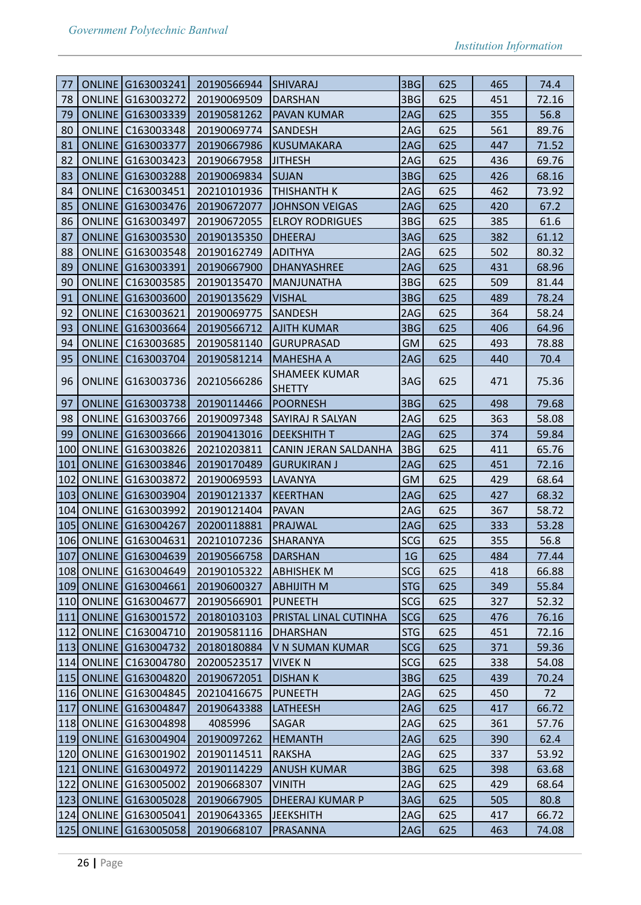| 77  |               | ONLINE G163003241        | 20190566944 | <b>SHIVARAJ</b>             | 3BG             | 625 | 465 | 74.4  |
|-----|---------------|--------------------------|-------------|-----------------------------|-----------------|-----|-----|-------|
| 78  |               | ONLINE G163003272        | 20190069509 | <b>DARSHAN</b>              | 3BG             | 625 | 451 | 72.16 |
| 79  |               | ONLINE G163003339        | 20190581262 | <b>PAVAN KUMAR</b>          | 2AG             | 625 | 355 | 56.8  |
| 80  |               | ONLINE   C163003348      | 20190069774 | <b>SANDESH</b>              | 2AG             | 625 | 561 | 89.76 |
| 81  |               | ONLINE G163003377        | 20190667986 | <b>KUSUMAKARA</b>           | 2AG             | 625 | 447 | 71.52 |
| 82  |               | ONLINE G163003423        | 20190667958 | <b>JITHESH</b>              | 2AG             | 625 | 436 | 69.76 |
| 83  |               | ONLINE G163003288        | 20190069834 | <b>SUJAN</b>                | 3BG             | 625 | 426 | 68.16 |
| 84  | <b>ONLINE</b> | C163003451               | 20210101936 | <b>THISHANTH K</b>          | 2AG             | 625 | 462 | 73.92 |
| 85  |               | ONLINE G163003476        | 20190672077 | <b>JOHNSON VEIGAS</b>       | 2AG             | 625 | 420 | 67.2  |
| 86  |               | ONLINE G163003497        | 20190672055 | <b>ELROY RODRIGUES</b>      | 3BG             | 625 | 385 | 61.6  |
| 87  |               | ONLINE G163003530        | 20190135350 | <b>DHEERAJ</b>              | 3AG             | 625 | 382 | 61.12 |
| 88  |               | ONLINE G163003548        | 20190162749 | ADITHYA                     | 2AG             | 625 | 502 | 80.32 |
| 89  |               | ONLINE G163003391        | 20190667900 | DHANYASHREE                 | 2AG             | 625 | 431 | 68.96 |
| 90  | <b>ONLINE</b> | C163003585               | 20190135470 | <b>MANJUNATHA</b>           | 3BG             | 625 | 509 | 81.44 |
| 91  |               | ONLINE G163003600        | 20190135629 | <b>VISHAL</b>               | 3BG             | 625 | 489 | 78.24 |
| 92  |               | ONLINE   C163003621      | 20190069775 | <b>SANDESH</b>              | 2AG             | 625 | 364 | 58.24 |
| 93  | <b>ONLINE</b> | G163003664               | 20190566712 | AJITH KUMAR                 | 3BG             | 625 | 406 | 64.96 |
| 94  | <b>ONLINE</b> | C163003685               | 20190581140 | <b>GURUPRASAD</b>           | <b>GM</b>       | 625 | 493 | 78.88 |
| 95  | <b>ONLINE</b> | C163003704               | 20190581214 | <b>MAHESHA A</b>            | 2AG             | 625 | 440 | 70.4  |
|     |               |                          |             | <b>SHAMEEK KUMAR</b>        |                 |     |     |       |
| 96  |               | ONLINE G163003736        | 20210566286 | <b>SHETTY</b>               | 3AG             | 625 | 471 | 75.36 |
| 97  |               | ONLINE G163003738        | 20190114466 | <b>POORNESH</b>             | 3BG             | 625 | 498 | 79.68 |
| 98  |               | ONLINE G163003766        | 20190097348 | <b>SAYIRAJ R SALYAN</b>     | 2AG             | 625 | 363 | 58.08 |
| 99  |               | ONLINE G163003666        | 20190413016 | <b>DEEKSHITH T</b>          | 2AG             | 625 | 374 | 59.84 |
| 100 | <b>ONLINE</b> | G163003826               | 20210203811 | <b>CANIN JERAN SALDANHA</b> | 3BG             | 625 | 411 | 65.76 |
| 101 |               | ONLINE G163003846        | 20190170489 | <b>GURUKIRAN J</b>          | 2AG             | 625 | 451 | 72.16 |
| 102 |               | ONLINE G163003872        | 20190069593 | LAVANYA                     | <b>GM</b>       | 625 | 429 | 68.64 |
| 103 |               | <b>ONLINE G163003904</b> | 20190121337 | <b>KEERTHAN</b>             | 2AG             | 625 | 427 | 68.32 |
| 104 | <b>ONLINE</b> | G163003992               | 20190121404 | PAVAN                       | 2AG             | 625 | 367 | 58.72 |
| 105 |               | <b>ONLINE G163004267</b> | 20200118881 | PRAJWAL                     | 2AG             | 625 | 333 | 53.28 |
|     |               | 106 ONLINE G163004631    | 20210107236 | SHARANYA                    | SCG             | 625 | 355 | 56.8  |
|     |               | 107 ONLINE G163004639    | 20190566758 | DARSHAN                     | $1\,\mathrm{G}$ | 625 | 484 | 77.44 |
|     |               | 108 ONLINE G163004649    | 20190105322 | ABHISHEK M                  | <b>SCG</b>      | 625 | 418 | 66.88 |
|     |               | 109 ONLINE G163004661    | 20190600327 | <b>ABHIJITH M</b>           | <b>STG</b>      | 625 | 349 | 55.84 |
|     |               | 110 ONLINE G163004677    | 20190566901 | PUNEETH                     | <b>SCG</b>      | 625 | 327 | 52.32 |
| 111 |               | ONLINE G163001572        | 20180103103 | PRISTAL LINAL CUTINHA       | <b>SCG</b>      | 625 | 476 | 76.16 |
|     |               | 112 ONLINE C163004710    | 20190581116 | DHARSHAN                    | <b>STG</b>      | 625 | 451 | 72.16 |
|     |               | 113 ONLINE G163004732    | 20180180884 | V N SUMAN KUMAR             | <b>SCG</b>      | 625 | 371 | 59.36 |
|     |               | 114 ONLINE C163004780    | 20200523517 | <b>VIVEK N</b>              | SCG             | 625 | 338 | 54.08 |
|     |               | 115 ONLINE G163004820    | 20190672051 | <b>DISHAN K</b>             | 3BG             | 625 | 439 | 70.24 |
|     |               | 116 ONLINE G163004845    | 20210416675 | PUNEETH                     | 2AG             | 625 | 450 | 72    |
| 117 |               | ONLINE G163004847        | 20190643388 | LATHEESH                    | 2AG             | 625 | 417 | 66.72 |
|     |               | 118 ONLINE G163004898    | 4085996     | SAGAR                       | 2AG             | 625 | 361 | 57.76 |
|     |               | 119 ONLINE G163004904    | 20190097262 | <b>HEMANTH</b>              | 2AG             | 625 | 390 | 62.4  |
|     |               | 120 ONLINE G163001902    | 20190114511 | <b>RAKSHA</b>               | 2AG             | 625 | 337 | 53.92 |
| 121 |               | ONLINE G163004972        | 20190114229 | ANUSH KUMAR                 | 3BG             | 625 | 398 | 63.68 |
|     |               | 122 ONLINE G163005002    | 20190668307 | <b>VINITH</b>               | 2AG             | 625 | 429 | 68.64 |
|     |               | 123 ONLINE G163005028    | 20190667905 | DHEERAJ KUMAR P             | 3AG             | 625 | 505 | 80.8  |
|     |               | 124 ONLINE G163005041    | 20190643365 | <b>JEEKSHITH</b>            | 2AG             | 625 | 417 | 66.72 |
| 125 |               | ONLINE G163005058        | 20190668107 | <b>PRASANNA</b>             | 2AG             | 625 | 463 | 74.08 |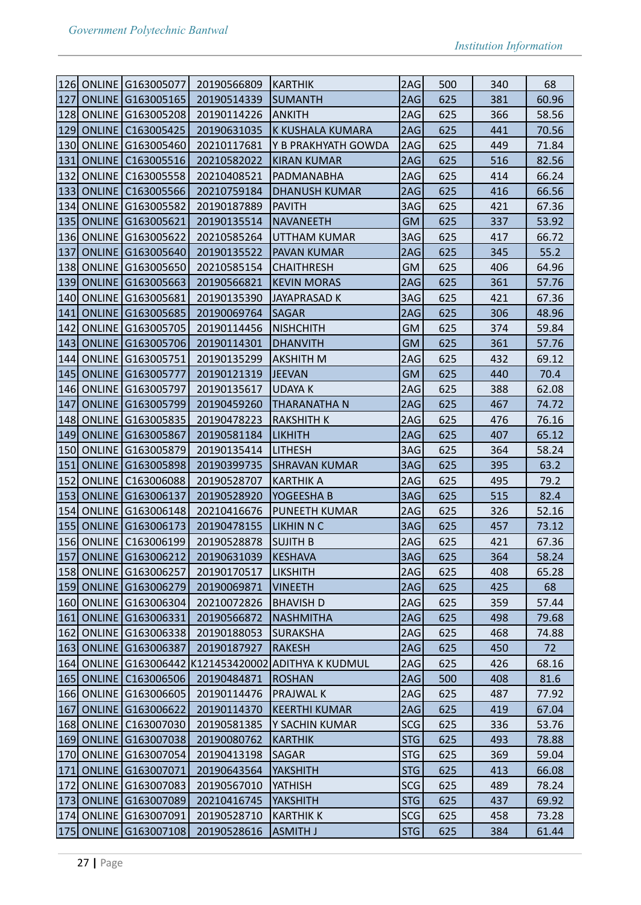| 126 ONLINE G163005077<br>20190566809<br>2AG<br>500<br>340<br>KARTHIK<br><b>ONLINE G163005165</b><br>2AG<br>127<br>20190514339<br>625<br>381<br><b>SUMANTH</b><br><b>128 ONLINE</b><br>G163005208<br>20190114226<br><b>ANKITH</b><br>2AG<br>625<br>366<br>ONLINE C163005425<br>441<br>129<br>20190631035<br>K KUSHALA KUMARA<br>2AG<br>625<br>130 ONLINE G163005460<br>20210117681<br>2AG<br>625<br>449<br>Y B PRAKHYATH GOWDA<br> 131 <br>ONLINE<br>625<br>516<br>C163005516<br>20210582022<br><b>KIRAN KUMAR</b><br>2AG<br><b>ONLINE</b><br>132<br>2AG<br>625<br>414<br>C163005558<br>20210408521<br>PADMANABHA<br> 133 <br><b>ONLINE</b><br>625<br>C163005566<br>20210759184<br><b>DHANUSH KUMAR</b><br>2AG<br>416<br>ONLINE G163005582<br>134<br>20190187889<br>PAVITH<br>3AG<br>625<br>421<br> 135 <br><b>ONLINE G163005621</b><br><b>GM</b><br>20190135514<br><b>NAVANEETH</b><br>625<br>337<br>136 ONLINE G163005622<br>20210585264<br>3AG<br>625<br>417<br>UTTHAM KUMAR<br>137<br>ONLINE G163005640<br>2AG<br>625<br>20190135522<br><b>PAVAN KUMAR</b><br>345<br>138<br>ONLINE G163005650<br><b>GM</b><br>625<br>406<br>20210585154<br><b>CHAITHRESH</b><br>139<br>ONLINE G163005663<br>20190566821<br><b>KEVIN MORAS</b><br>2AG<br>625<br>361<br>ONLINE G163005681<br>3AG<br>421<br>140<br>625<br>20190135390<br>JAYAPRASAD K | 68<br>60.96<br>58.56<br>70.56<br>71.84<br>82.56<br>66.24<br>66.56<br>67.36<br>53.92<br>66.72<br>55.2 |
|---------------------------------------------------------------------------------------------------------------------------------------------------------------------------------------------------------------------------------------------------------------------------------------------------------------------------------------------------------------------------------------------------------------------------------------------------------------------------------------------------------------------------------------------------------------------------------------------------------------------------------------------------------------------------------------------------------------------------------------------------------------------------------------------------------------------------------------------------------------------------------------------------------------------------------------------------------------------------------------------------------------------------------------------------------------------------------------------------------------------------------------------------------------------------------------------------------------------------------------------------------------------------------------------------------------------------------------|------------------------------------------------------------------------------------------------------|
|                                                                                                                                                                                                                                                                                                                                                                                                                                                                                                                                                                                                                                                                                                                                                                                                                                                                                                                                                                                                                                                                                                                                                                                                                                                                                                                                       |                                                                                                      |
|                                                                                                                                                                                                                                                                                                                                                                                                                                                                                                                                                                                                                                                                                                                                                                                                                                                                                                                                                                                                                                                                                                                                                                                                                                                                                                                                       |                                                                                                      |
|                                                                                                                                                                                                                                                                                                                                                                                                                                                                                                                                                                                                                                                                                                                                                                                                                                                                                                                                                                                                                                                                                                                                                                                                                                                                                                                                       |                                                                                                      |
|                                                                                                                                                                                                                                                                                                                                                                                                                                                                                                                                                                                                                                                                                                                                                                                                                                                                                                                                                                                                                                                                                                                                                                                                                                                                                                                                       |                                                                                                      |
|                                                                                                                                                                                                                                                                                                                                                                                                                                                                                                                                                                                                                                                                                                                                                                                                                                                                                                                                                                                                                                                                                                                                                                                                                                                                                                                                       |                                                                                                      |
|                                                                                                                                                                                                                                                                                                                                                                                                                                                                                                                                                                                                                                                                                                                                                                                                                                                                                                                                                                                                                                                                                                                                                                                                                                                                                                                                       |                                                                                                      |
|                                                                                                                                                                                                                                                                                                                                                                                                                                                                                                                                                                                                                                                                                                                                                                                                                                                                                                                                                                                                                                                                                                                                                                                                                                                                                                                                       |                                                                                                      |
|                                                                                                                                                                                                                                                                                                                                                                                                                                                                                                                                                                                                                                                                                                                                                                                                                                                                                                                                                                                                                                                                                                                                                                                                                                                                                                                                       |                                                                                                      |
|                                                                                                                                                                                                                                                                                                                                                                                                                                                                                                                                                                                                                                                                                                                                                                                                                                                                                                                                                                                                                                                                                                                                                                                                                                                                                                                                       |                                                                                                      |
|                                                                                                                                                                                                                                                                                                                                                                                                                                                                                                                                                                                                                                                                                                                                                                                                                                                                                                                                                                                                                                                                                                                                                                                                                                                                                                                                       |                                                                                                      |
|                                                                                                                                                                                                                                                                                                                                                                                                                                                                                                                                                                                                                                                                                                                                                                                                                                                                                                                                                                                                                                                                                                                                                                                                                                                                                                                                       |                                                                                                      |
|                                                                                                                                                                                                                                                                                                                                                                                                                                                                                                                                                                                                                                                                                                                                                                                                                                                                                                                                                                                                                                                                                                                                                                                                                                                                                                                                       |                                                                                                      |
|                                                                                                                                                                                                                                                                                                                                                                                                                                                                                                                                                                                                                                                                                                                                                                                                                                                                                                                                                                                                                                                                                                                                                                                                                                                                                                                                       | 64.96                                                                                                |
|                                                                                                                                                                                                                                                                                                                                                                                                                                                                                                                                                                                                                                                                                                                                                                                                                                                                                                                                                                                                                                                                                                                                                                                                                                                                                                                                       | 57.76                                                                                                |
|                                                                                                                                                                                                                                                                                                                                                                                                                                                                                                                                                                                                                                                                                                                                                                                                                                                                                                                                                                                                                                                                                                                                                                                                                                                                                                                                       | 67.36                                                                                                |
| <b>ONLINE G163005685</b><br>141<br>20190069764<br>2AG<br>625<br>306<br><b>SAGAR</b>                                                                                                                                                                                                                                                                                                                                                                                                                                                                                                                                                                                                                                                                                                                                                                                                                                                                                                                                                                                                                                                                                                                                                                                                                                                   | 48.96                                                                                                |
| $142$<br>ONLINE G163005705<br><b>GM</b><br>625<br>374<br>20190114456<br><b>NISHCHITH</b>                                                                                                                                                                                                                                                                                                                                                                                                                                                                                                                                                                                                                                                                                                                                                                                                                                                                                                                                                                                                                                                                                                                                                                                                                                              | 59.84                                                                                                |
| 143 <br>ONLINE G163005706<br><b>GM</b><br>625<br>361<br>20190114301<br><b>DHANVITH</b>                                                                                                                                                                                                                                                                                                                                                                                                                                                                                                                                                                                                                                                                                                                                                                                                                                                                                                                                                                                                                                                                                                                                                                                                                                                | 57.76                                                                                                |
| 144<br><b>ONLINE</b><br>G163005751<br>20190135299<br><b>AKSHITH M</b><br>2AG<br>625<br>432                                                                                                                                                                                                                                                                                                                                                                                                                                                                                                                                                                                                                                                                                                                                                                                                                                                                                                                                                                                                                                                                                                                                                                                                                                            | 69.12                                                                                                |
| <b>ONLINE G163005777</b><br> 145 <br>20190121319<br><b>GM</b><br>625<br>440<br><b>JEEVAN</b>                                                                                                                                                                                                                                                                                                                                                                                                                                                                                                                                                                                                                                                                                                                                                                                                                                                                                                                                                                                                                                                                                                                                                                                                                                          | 70.4                                                                                                 |
| 146 ONLINE G163005797<br>20190135617<br>2AG<br>625<br>388<br><b>UDAYA K</b>                                                                                                                                                                                                                                                                                                                                                                                                                                                                                                                                                                                                                                                                                                                                                                                                                                                                                                                                                                                                                                                                                                                                                                                                                                                           | 62.08                                                                                                |
| ONLINE G163005799<br>147<br>20190459260<br><b>THARANATHAN</b><br>2AG<br>625<br>467                                                                                                                                                                                                                                                                                                                                                                                                                                                                                                                                                                                                                                                                                                                                                                                                                                                                                                                                                                                                                                                                                                                                                                                                                                                    | 74.72                                                                                                |
| 148<br>ONLINE G163005835<br>2AG<br>625<br>20190478223<br>RAKSHITH K<br>476                                                                                                                                                                                                                                                                                                                                                                                                                                                                                                                                                                                                                                                                                                                                                                                                                                                                                                                                                                                                                                                                                                                                                                                                                                                            | 76.16                                                                                                |
| 149 <br>ONLINE G163005867<br>20190581184<br>2AG<br>625<br>407<br><b>LIKHITH</b>                                                                                                                                                                                                                                                                                                                                                                                                                                                                                                                                                                                                                                                                                                                                                                                                                                                                                                                                                                                                                                                                                                                                                                                                                                                       | 65.12                                                                                                |
| 150<br>ONLINE<br>G163005879<br>20190135414<br>3AG<br>625<br>364<br>LITHESH                                                                                                                                                                                                                                                                                                                                                                                                                                                                                                                                                                                                                                                                                                                                                                                                                                                                                                                                                                                                                                                                                                                                                                                                                                                            | 58.24                                                                                                |
| ONLINE G163005898<br>3AG<br>151<br>20190399735<br>625<br>395<br> SHRAVAN KUMAR                                                                                                                                                                                                                                                                                                                                                                                                                                                                                                                                                                                                                                                                                                                                                                                                                                                                                                                                                                                                                                                                                                                                                                                                                                                        | 63.2                                                                                                 |
| 152<br>ONLINE   C163006088<br>20190528707<br>2AG<br>625<br>495<br><b>KARTHIK A</b>                                                                                                                                                                                                                                                                                                                                                                                                                                                                                                                                                                                                                                                                                                                                                                                                                                                                                                                                                                                                                                                                                                                                                                                                                                                    | 79.2                                                                                                 |
| 153<br><b>ONLINE G163006137</b><br>515<br>YOGEESHA B<br>3AG<br>625<br>20190528920                                                                                                                                                                                                                                                                                                                                                                                                                                                                                                                                                                                                                                                                                                                                                                                                                                                                                                                                                                                                                                                                                                                                                                                                                                                     | 82.4                                                                                                 |
| ONLINE<br>154<br>2AG<br>625<br>326<br>G163006148<br>20210416676<br>PUNEETH KUMAR                                                                                                                                                                                                                                                                                                                                                                                                                                                                                                                                                                                                                                                                                                                                                                                                                                                                                                                                                                                                                                                                                                                                                                                                                                                      |                                                                                                      |
| 155<br><b>ONLINE</b><br>G163006173<br>20190478155<br>3AG<br>625<br>457<br>LIKHIN N C                                                                                                                                                                                                                                                                                                                                                                                                                                                                                                                                                                                                                                                                                                                                                                                                                                                                                                                                                                                                                                                                                                                                                                                                                                                  | 52.16                                                                                                |
|                                                                                                                                                                                                                                                                                                                                                                                                                                                                                                                                                                                                                                                                                                                                                                                                                                                                                                                                                                                                                                                                                                                                                                                                                                                                                                                                       | 73.12                                                                                                |
| 156 ONLINE C163006199<br>20190528878<br>SUJITH B<br>2AG<br>625<br>421                                                                                                                                                                                                                                                                                                                                                                                                                                                                                                                                                                                                                                                                                                                                                                                                                                                                                                                                                                                                                                                                                                                                                                                                                                                                 |                                                                                                      |
| 625<br>364                                                                                                                                                                                                                                                                                                                                                                                                                                                                                                                                                                                                                                                                                                                                                                                                                                                                                                                                                                                                                                                                                                                                                                                                                                                                                                                            | 67.36                                                                                                |
| 157 ONLINE G163006212<br>3AG<br>KESHAVA<br>20190631039<br>158 ONLINE G163006257<br>2AG<br>20190170517<br>625<br><b>LIKSHITH</b><br>408                                                                                                                                                                                                                                                                                                                                                                                                                                                                                                                                                                                                                                                                                                                                                                                                                                                                                                                                                                                                                                                                                                                                                                                                | 58.24<br>65.28                                                                                       |
| [159] ONLINE G163006279<br>2AG<br>625<br>425<br>20190069871<br><b>VINEETH</b>                                                                                                                                                                                                                                                                                                                                                                                                                                                                                                                                                                                                                                                                                                                                                                                                                                                                                                                                                                                                                                                                                                                                                                                                                                                         | 68                                                                                                   |
| 160 ONLINE G163006304<br>2AG<br>359<br>20210072826<br> BHAVISH D<br>625                                                                                                                                                                                                                                                                                                                                                                                                                                                                                                                                                                                                                                                                                                                                                                                                                                                                                                                                                                                                                                                                                                                                                                                                                                                               | 57.44                                                                                                |
| 161 ONLINE G163006331<br>20190566872<br><b>NASHMITHA</b><br>625<br>498                                                                                                                                                                                                                                                                                                                                                                                                                                                                                                                                                                                                                                                                                                                                                                                                                                                                                                                                                                                                                                                                                                                                                                                                                                                                | 79.68                                                                                                |
| 2AG<br>2AG<br>162 ONLINE G163006338<br>20190188053<br> SURAKSHA<br>468                                                                                                                                                                                                                                                                                                                                                                                                                                                                                                                                                                                                                                                                                                                                                                                                                                                                                                                                                                                                                                                                                                                                                                                                                                                                | 74.88                                                                                                |
| 625<br>20190187927<br><b>RAKESH</b>                                                                                                                                                                                                                                                                                                                                                                                                                                                                                                                                                                                                                                                                                                                                                                                                                                                                                                                                                                                                                                                                                                                                                                                                                                                                                                   |                                                                                                      |
| 163 ONLINE G163006387<br>2AG<br>625<br>450                                                                                                                                                                                                                                                                                                                                                                                                                                                                                                                                                                                                                                                                                                                                                                                                                                                                                                                                                                                                                                                                                                                                                                                                                                                                                            | 72                                                                                                   |
| 164 ONLINE G163006442 K121453420002 ADITHYA K KUDMUL<br>2AG<br>625<br>426<br>20190484871<br>408<br>ROSHAN                                                                                                                                                                                                                                                                                                                                                                                                                                                                                                                                                                                                                                                                                                                                                                                                                                                                                                                                                                                                                                                                                                                                                                                                                             | 68.16                                                                                                |
| 165 ONLINE C163006506<br>2AG<br>500<br>20190114476<br><b>PRAJWAL K</b>                                                                                                                                                                                                                                                                                                                                                                                                                                                                                                                                                                                                                                                                                                                                                                                                                                                                                                                                                                                                                                                                                                                                                                                                                                                                | 81.6                                                                                                 |
| 166 ONLINE G163006605<br>2AG<br>625<br>487<br> 167 <br>2AG<br>20190114370<br><b>KEERTHI KUMAR</b><br>419                                                                                                                                                                                                                                                                                                                                                                                                                                                                                                                                                                                                                                                                                                                                                                                                                                                                                                                                                                                                                                                                                                                                                                                                                              | 77.92<br>67.04                                                                                       |
| ONLINE G163006622<br>625<br>Y SACHIN KUMAR<br>336                                                                                                                                                                                                                                                                                                                                                                                                                                                                                                                                                                                                                                                                                                                                                                                                                                                                                                                                                                                                                                                                                                                                                                                                                                                                                     |                                                                                                      |
| 168 ONLINE C163007030<br>20190581385<br>SCG<br>625<br>20190080762<br><b>KARTHIK</b><br>493                                                                                                                                                                                                                                                                                                                                                                                                                                                                                                                                                                                                                                                                                                                                                                                                                                                                                                                                                                                                                                                                                                                                                                                                                                            | 53.76                                                                                                |
| 169 ONLINE G163007038<br>STG<br>625                                                                                                                                                                                                                                                                                                                                                                                                                                                                                                                                                                                                                                                                                                                                                                                                                                                                                                                                                                                                                                                                                                                                                                                                                                                                                                   | 78.88                                                                                                |
| 170 ONLINE G163007054<br>STG<br>20190413198<br>SAGAR<br>625<br>369<br>413                                                                                                                                                                                                                                                                                                                                                                                                                                                                                                                                                                                                                                                                                                                                                                                                                                                                                                                                                                                                                                                                                                                                                                                                                                                             | 59.04                                                                                                |
| ONLINE G163007071<br>STG<br> 171 <br>20190643564<br>YAKSHITH<br>625<br>489                                                                                                                                                                                                                                                                                                                                                                                                                                                                                                                                                                                                                                                                                                                                                                                                                                                                                                                                                                                                                                                                                                                                                                                                                                                            | 66.08                                                                                                |
| ONLINE G163007083<br>172<br>20190567010<br>YATHISH<br> SCG <br>625<br>437                                                                                                                                                                                                                                                                                                                                                                                                                                                                                                                                                                                                                                                                                                                                                                                                                                                                                                                                                                                                                                                                                                                                                                                                                                                             | 78.24                                                                                                |
| <b>STG</b><br>173 ONLINE G163007089<br>20210416745<br>YAKSHITH<br>625<br>174 ONLINE G163007091<br>20190528710<br> SCG <br><b>KARTHIK K</b><br>625<br>458                                                                                                                                                                                                                                                                                                                                                                                                                                                                                                                                                                                                                                                                                                                                                                                                                                                                                                                                                                                                                                                                                                                                                                              | 69.92<br>73.28                                                                                       |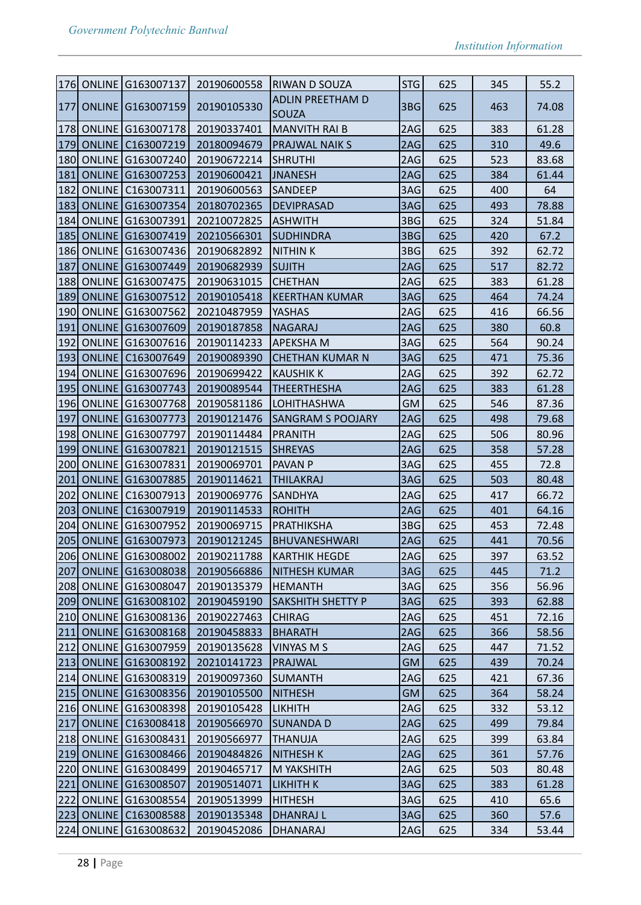|            |               | 176 ONLINE G163007137    | 20190600558                       | <b>RIWAN D SOUZA</b>     | STG       | 625 | 345 | 55.2  |
|------------|---------------|--------------------------|-----------------------------------|--------------------------|-----------|-----|-----|-------|
| 177        |               | ONLINE G163007159        | 20190105330                       | <b>ADLIN PREETHAM D</b>  | 3BG       | 625 | 463 | 74.08 |
|            |               |                          |                                   | <b>SOUZA</b>             |           |     |     |       |
|            |               | 178 ONLINE G163007178    | 20190337401                       | <b>MANVITH RAI B</b>     | 2AG       | 625 | 383 | 61.28 |
|            |               | 179 ONLINE C163007219    | 20180094679                       | <b>PRAJWAL NAIK S</b>    | 2AG       | 625 | 310 | 49.6  |
|            |               | 180 ONLINE G163007240    | 20190672214                       | <b>SHRUTHI</b>           | 2AG       | 625 | 523 | 83.68 |
| 181        |               | ONLINE G163007253        | 20190600421                       | JNANESH                  | 2AG       | 625 | 384 | 61.44 |
| 182        | <b>ONLINE</b> | C163007311               | 20190600563                       | <b>SANDEEP</b>           | 3AG       | 625 | 400 | 64    |
|            |               | 183 ONLINE G163007354    | 20180702365                       | <b>DEVIPRASAD</b>        | 3AG       | 625 | 493 | 78.88 |
| 184        |               | ONLINE G163007391        | 20210072825                       | <b>ASHWITH</b>           | 3BG       | 625 | 324 | 51.84 |
| 185        |               | ONLINE G163007419        | 20210566301                       | <b>SUDHINDRA</b>         | 3BG       | 625 | 420 | 67.2  |
|            |               | 186 ONLINE G163007436    | 20190682892                       | NITHIN K                 | 3BG       | 625 | 392 | 62.72 |
| 187        |               | <b>ONLINE G163007449</b> | 20190682939                       | <b>SUJITH</b>            | 2AG       | 625 | 517 | 82.72 |
|            |               | 188 ONLINE G163007475    | 20190631015                       | <b>CHETHAN</b>           | 2AG       | 625 | 383 | 61.28 |
| <b>189</b> |               | <b>ONLINE G163007512</b> | 20190105418                       | KEERTHAN KUMAR           | 3AG       | 625 | 464 | 74.24 |
|            |               | 190 ONLINE G163007562    | 20210487959                       | YASHAS                   | 2AG       | 625 | 416 | 66.56 |
| 191        |               | ONLINE G163007609        | 20190187858                       | <b>NAGARAJ</b>           | 2AG       | 625 | 380 | 60.8  |
| 192        | ONLINE        | G163007616               | 20190114233                       | APEKSHA M                | 3AG       | 625 | 564 | 90.24 |
| 193        | <b>ONLINE</b> | C163007649               | 20190089390                       | <b>CHETHAN KUMAR N</b>   | 3AG       | 625 | 471 | 75.36 |
|            |               | 194 ONLINE G163007696    | 20190699422                       | <b>KAUSHIK K</b>         | 2AG       | 625 | 392 | 62.72 |
| 195        |               | ONLINE G163007743        | 20190089544                       | <b>THEERTHESHA</b>       | 2AG       | 625 | 383 | 61.28 |
| 196        |               | ONLINE G163007768        | 20190581186                       | LOHITHASHWA              | GM        | 625 | 546 | 87.36 |
| 197        |               | <b>ONLINE G163007773</b> | 20190121476                       | <b>SANGRAM S POOJARY</b> | 2AG       | 625 | 498 | 79.68 |
| 198        |               | ONLINE G163007797        | 20190114484                       | <b>PRANITH</b>           | 2AG       | 625 | 506 | 80.96 |
| 199        | <b>ONLINE</b> | G163007821               | 20190121515                       | <b>SHREYAS</b>           | 2AG       | 625 | 358 | 57.28 |
|            |               | 200 ONLINE G163007831    | 20190069701                       | <b>PAVAN P</b>           | 3AG       | 625 | 455 | 72.8  |
| 201        |               | ONLINE G163007885        | 20190114621                       | <b>THILAKRAJ</b>         | 3AG       | 625 | 503 | 80.48 |
| 202        | ONLINE        | C163007913               | 20190069776                       | <b>SANDHYA</b>           | 2AG       | 625 | 417 | 66.72 |
| 203        | <b>ONLINE</b> | C163007919               | 20190114533                       | ROHITH                   | 2AG       | 625 | 401 | 64.16 |
| 204        | <b>ONLINE</b> | G163007952               | 20190069715                       | PRATHIKSHA               | 3BG       | 625 | 453 | 72.48 |
|            |               | 205 ONLINE G163007973    | 20190121245                       | <b>BHUVANESHWARI</b>     | 2AG       | 625 | 441 | 70.56 |
|            |               |                          | 206 ONLINE G163008002 20190211788 | <b>KARTHIK HEGDE</b>     | 2AG       | 625 | 397 | 63.52 |
| 207        |               | ONLINE G163008038        | 20190566886                       | <b>NITHESH KUMAR</b>     | 3AG       | 625 | 445 | 71.2  |
|            |               | 208 ONLINE G163008047    | 20190135379                       | HEMANTH                  | 3AG       | 625 | 356 | 56.96 |
|            |               | 209 ONLINE G163008102    | 20190459190                       | <b>SAKSHITH SHETTY P</b> | 3AG       | 625 | 393 | 62.88 |
|            |               | 210 ONLINE G163008136    | 20190227463                       | <b>CHIRAG</b>            | 2AG       | 625 | 451 | 72.16 |
| 211        |               | ONLINE G163008168        | 20190458833                       | <b>BHARATH</b>           | 2AG       | 625 | 366 | 58.56 |
|            |               | 212 ONLINE G163007959    | 20190135628                       | VINYAS M S               | 2AG       | 625 | 447 | 71.52 |
|            |               | 213 ONLINE G163008192    | 20210141723                       | PRAJWAL                  | <b>GM</b> | 625 | 439 | 70.24 |
|            |               | 214 ONLINE G163008319    | 20190097360                       | SUMANTH                  | 2AG       | 625 | 421 | 67.36 |
|            |               | 215 ONLINE G163008356    | 20190105500                       | <b>NITHESH</b>           | <b>GM</b> | 625 | 364 | 58.24 |
|            |               | 216 ONLINE G163008398    | 20190105428                       | <b>LIKHITH</b>           | 2AG       | 625 | 332 | 53.12 |
| 217        | ONLINE        | C163008418               | 20190566970                       | SUNANDA D                | 2AG       | 625 | 499 | 79.84 |
|            |               | 218 ONLINE G163008431    | 20190566977                       | <b>THANUJA</b>           | 2AG       | 625 | 399 | 63.84 |
|            |               | 219 ONLINE G163008466    | 20190484826                       | <b>NITHESH K</b>         | 2AG       | 625 | 361 | 57.76 |
|            |               | 220 ONLINE G163008499    | 20190465717                       | <b>M YAKSHITH</b>        | 2AG       | 625 | 503 | 80.48 |
| 221        |               | ONLINE G163008507        | 20190514071                       | <b>LIKHITH K</b>         | 3AG       | 625 | 383 | 61.28 |
|            |               | 222 ONLINE G163008554    | 20190513999                       | <b>HITHESH</b>           | 3AG       | 625 | 410 | 65.6  |
|            |               | 223 ONLINE C163008588    | 20190135348                       | <b>DHANRAJ L</b>         | 3AG       | 625 | 360 | 57.6  |
|            |               | 224 ONLINE G163008632    | 20190452086                       | DHANARAJ                 | 2AG       | 625 | 334 | 53.44 |
|            |               |                          |                                   |                          |           |     |     |       |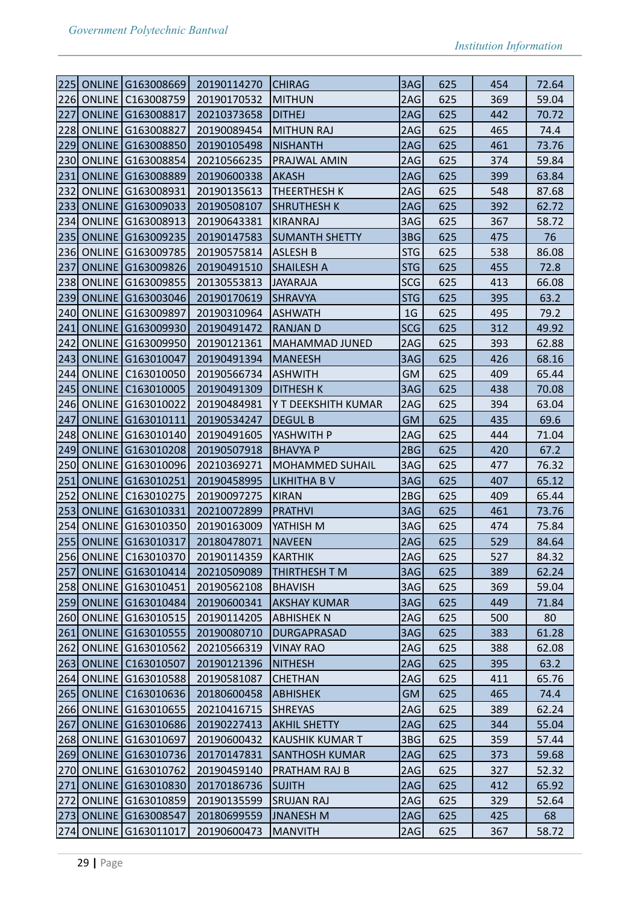| 225 | ONLINE G163008669        | 20190114270                       | <b>CHIRAG</b>          | 3AG            | 625 | 454 | 72.64 |
|-----|--------------------------|-----------------------------------|------------------------|----------------|-----|-----|-------|
| 226 | ONLINE   C163008759      | 20190170532                       | <b>MITHUN</b>          | 2AG            | 625 | 369 | 59.04 |
| 227 | ONLINE G163008817        | 20210373658                       | <b>DITHEJ</b>          | 2AG            | 625 | 442 | 70.72 |
| 228 | ONLINE G163008827        | 20190089454                       | MITHUN RAJ             | 2AG            | 625 | 465 | 74.4  |
| 229 | ONLINE G163008850        | 20190105498                       | <b>NISHANTH</b>        | 2AG            | 625 | 461 | 73.76 |
| 230 | ONLINE G163008854        | 20210566235                       | <b>PRAJWAL AMIN</b>    | 2AG            | 625 | 374 | 59.84 |
| 231 | ONLINE G163008889        | 20190600338                       | <b>AKASH</b>           | 2AG            | 625 | 399 | 63.84 |
| 232 | ONLINE G163008931        | 20190135613                       | <b>THEERTHESH K</b>    | 2AG            | 625 | 548 | 87.68 |
| 233 | ONLINE G163009033        | 20190508107                       | <b>SHRUTHESH K</b>     | 2AG            | 625 | 392 | 62.72 |
| 234 | ONLINE G163008913        | 20190643381                       | KIRANRAJ               | 3AG            | 625 | 367 | 58.72 |
| 235 | ONLINE G163009235        | 20190147583                       | <b>SUMANTH SHETTY</b>  | 3BG            | 625 | 475 | 76    |
|     | 236 ONLINE G163009785    | 20190575814                       | ASLESH B               | STG            | 625 | 538 | 86.08 |
| 237 | <b>ONLINE G163009826</b> | 20190491510                       | SHAILESH A             | <b>STG</b>     | 625 | 455 | 72.8  |
| 238 | ONLINE G163009855        | 20130553813                       | <b>JAYARAJA</b>        | <b>SCG</b>     | 625 | 413 | 66.08 |
| 239 | <b>ONLINE G163003046</b> | 20190170619                       | SHRAVYA                | <b>STG</b>     | 625 | 395 | 63.2  |
| 240 | ONLINE G163009897        | 20190310964                       | ASHWATH                | 1 <sub>G</sub> | 625 | 495 | 79.2  |
| 241 | ONLINE G163009930        | 20190491472                       | RANJAN D               | <b>SCG</b>     | 625 | 312 | 49.92 |
| 242 | ONLINE G163009950        | 20190121361                       | MAHAMMAD JUNED         | 2AG            | 625 | 393 | 62.88 |
| 243 | <b>ONLINE G163010047</b> | 20190491394                       | <b>MANEESH</b>         | 3AG            | 625 | 426 | 68.16 |
| 244 | ONLINE   C163010050      | 20190566734                       | ASHWITH                | <b>GM</b>      | 625 | 409 | 65.44 |
| 245 | <b>ONLINE C163010005</b> | 20190491309                       | <b>DITHESH K</b>       | 3AG            | 625 | 438 | 70.08 |
| 246 | ONLINE G163010022        | 20190484981                       | Y T DEEKSHITH KUMAR    | 2AG            | 625 | 394 | 63.04 |
| 247 | ONLINE G163010111        | 20190534247                       | <b>DEGUL B</b>         | <b>GM</b>      | 625 | 435 | 69.6  |
| 248 | ONLINE G163010140        | 20190491605                       | YASHWITH P             | 2AG            | 625 | 444 | 71.04 |
| 249 | <b>ONLINE G163010208</b> | 20190507918                       | <b>BHAVYA P</b>        | 2BG            | 625 | 420 | 67.2  |
| 250 | ONLINE G163010096        | 20210369271                       | MOHAMMED SUHAIL        | 3AG            | 625 | 477 | 76.32 |
| 251 | ONLINE G163010251        | 20190458995                       | LIKHITHA B V           | 3AG            | 625 | 407 | 65.12 |
| 252 | ONLINE   C163010275      | 20190097275                       | <b>KIRAN</b>           | 2BG            | 625 | 409 | 65.44 |
| 253 | ONLINE G163010331        | 20210072899                       | PRATHVI                | 3AG            | 625 | 461 | 73.76 |
| 254 | ONLINE G163010350        | 20190163009                       | YATHISH M              | 3AG            | 625 | 474 | 75.84 |
|     | 255 ONLINE G163010317    | 20180478071                       | <b>NAVEEN</b>          | 2AG            | 625 | 529 | 84.64 |
|     |                          | 256 ONLINE C163010370 20190114359 | KARTHIK                | 2AG            | 625 | 527 | 84.32 |
| 257 | ONLINE G163010414        | 20210509089                       | THIRTHESH T M          | 3AG            | 625 | 389 | 62.24 |
|     | 258 ONLINE G163010451    | 20190562108                       | BHAVISH                | 3AG            | 625 | 369 | 59.04 |
| 259 | <b>ONLINE G163010484</b> | 20190600341                       | AKSHAY KUMAR           | 3AG            | 625 | 449 | 71.84 |
|     | 260 ONLINE G163010515    | 20190114205                       | ABHISHEK N             | 2AG            | 625 | 500 | 80    |
| 261 | ONLINE G163010555        | 20190080710                       | <b>DURGAPRASAD</b>     | 3AG            | 625 | 383 | 61.28 |
|     | 262 ONLINE G163010562    | 20210566319                       | <b>VINAY RAO</b>       | 2AG            | 625 | 388 | 62.08 |
|     | 263 ONLINE C163010507    | 20190121396                       | <b>NITHESH</b>         | 2AG            | 625 | 395 | 63.2  |
|     | 264 ONLINE G163010588    | 20190581087                       | <b>CHETHAN</b>         | 2AG            | 625 | 411 | 65.76 |
|     | 265 ONLINE C163010636    | 20180600458                       | ABHISHEK               | <b>GM</b>      | 625 | 465 | 74.4  |
|     | 266 ONLINE G163010655    | 20210416715                       | <b>SHREYAS</b>         | 2AG            | 625 | 389 | 62.24 |
| 267 | ONLINE G163010686        | 20190227413                       | <b>AKHIL SHETTY</b>    | 2AG            | 625 | 344 | 55.04 |
|     | 268 ONLINE G163010697    | 20190600432                       | <b>KAUSHIK KUMAR T</b> | 3BG            | 625 | 359 | 57.44 |
|     | 269 ONLINE G163010736    | 20170147831                       | SANTHOSH KUMAR         | 2AG            | 625 | 373 | 59.68 |
| 270 | ONLINE G163010762        | 20190459140                       | <b>PRATHAM RAJ B</b>   | 2AG            | 625 | 327 | 52.32 |
| 271 | ONLINE G163010830        | 20170186736                       | SUJITH                 | 2AG            | 625 | 412 | 65.92 |
|     | 272 ONLINE G163010859    | 20190135599                       | SRUJAN RAJ             | 2AG            | 625 | 329 | 52.64 |
| 273 | ONLINE G163008547        | 20180699559                       | JNANESH M              | 2AG            | 625 | 425 | 68    |
|     | 274 ONLINE G163011017    | 20190600473                       | <b>MANVITH</b>         | 2AG            | 625 | 367 | 58.72 |
|     |                          |                                   |                        |                |     |     |       |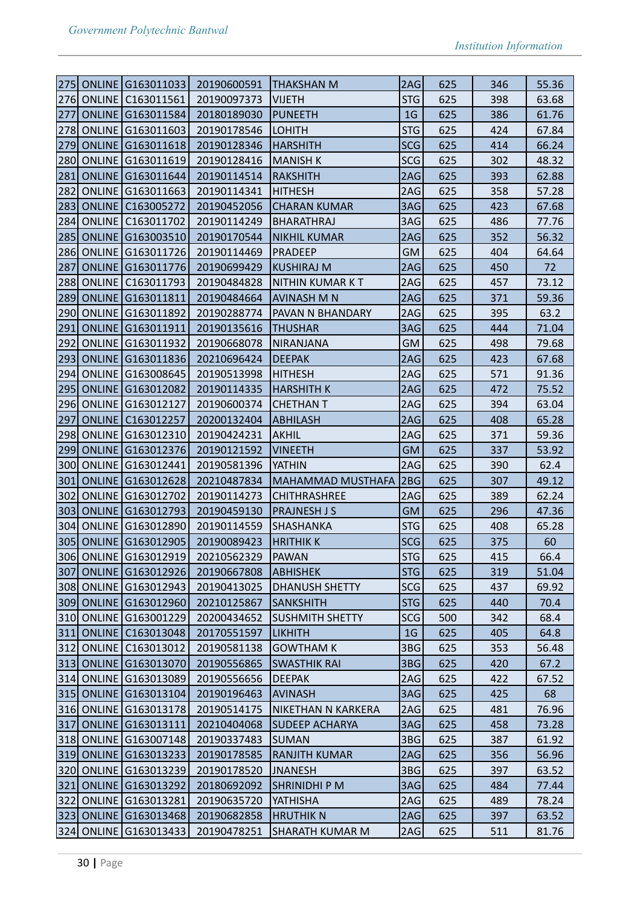|       |                   | 275 ONLINE G163011033    | 20190600591                       | <b>THAKSHAN M</b>        | 2AG            | 625 | 346 | 55.36 |
|-------|-------------------|--------------------------|-----------------------------------|--------------------------|----------------|-----|-----|-------|
|       |                   | 276 ONLINE   C163011561  | 20190097373                       | <b>VIJETH</b>            | STG            | 625 | 398 | 63.68 |
| 277   |                   | <b>ONLINE G163011584</b> | 20180189030                       | PUNEETH                  | 1 <sub>G</sub> | 625 | 386 | 61.76 |
| 278   |                   | ONLINE G163011603        | 20190178546                       | LOHITH                   | <b>STG</b>     | 625 | 424 | 67.84 |
| 279   |                   | <b>ONLINE G163011618</b> | 20190128346                       | HARSHITH                 | <b>SCG</b>     | 625 | 414 | 66.24 |
|       |                   | 280 ONLINE G163011619    | 20190128416                       | MANISH K                 | <b>SCG</b>     | 625 | 302 | 48.32 |
| 281   |                   | <b>ONLINE G163011644</b> | 20190114514                       | RAKSHITH                 | 2AG            | 625 | 393 | 62.88 |
| 282   |                   | <b>ONLINE G163011663</b> | 20190114341                       | <b>HITHESH</b>           | 2AG            | 625 | 358 | 57.28 |
| 283   |                   | <b>ONLINE C163005272</b> | 20190452056                       | <b>CHARAN KUMAR</b>      | 3AG            | 625 | 423 | 67.68 |
| 284   |                   | ONLINE   C163011702      | 20190114249                       | BHARATHRAJ               | 3AG            | 625 | 486 | 77.76 |
| 285   |                   | ONLINE G163003510        | 20190170544                       | <b>NIKHIL KUMAR</b>      | 2AG            | 625 | 352 | 56.32 |
|       |                   | 286 ONLINE G163011726    | 20190114469                       | PRADEEP                  | GM             | 625 | 404 | 64.64 |
| 287   |                   | ONLINE G163011776        | 20190699429                       | <b>KUSHIRAJ M</b>        | 2AG            | 625 | 450 | 72    |
|       | <b>288 ONLINE</b> | C163011793               | 20190484828                       | NITHIN KUMAR K T         | 2AG            | 625 | 457 | 73.12 |
| 289   |                   | ONLINE G163011811        | 20190484664                       | <b>AVINASH M N</b>       | 2AG            | 625 | 371 | 59.36 |
| 290   |                   | ONLINE G163011892        | 20190288774                       | PAVAN N BHANDARY         | 2AG            | 625 | 395 | 63.2  |
| 291   |                   | ONLINE G163011911        | 20190135616                       | <b>THUSHAR</b>           | 3AG            | 625 | 444 | 71.04 |
| 292   |                   | <b>ONLINE G163011932</b> | 20190668078                       | NIRANJANA                | GM             | 625 | 498 | 79.68 |
| 293   |                   | ONLINE G163011836        | 20210696424                       | <b>DEEPAK</b>            | 2AG            | 625 | 423 | 67.68 |
|       |                   | 294 ONLINE G163008645    | 20190513998                       | <b>HITHESH</b>           | 2AG            | 625 | 571 | 91.36 |
| 295   |                   | ONLINE G163012082        | 20190114335                       | HARSHITH K               | 2AG            | 625 | 472 | 75.52 |
|       |                   | 296 ONLINE G163012127    | 20190600374                       | <b>CHETHAN T</b>         | 2AG            | 625 | 394 | 63.04 |
| 297   |                   | ONLINE   C163012257      | 20200132404                       | ABHILASH                 | 2AG            | 625 | 408 | 65.28 |
| 298   |                   | ONLINE G163012310        | 20190424231                       | AKHIL                    | 2AG            | 625 | 371 | 59.36 |
| 299   |                   | ONLINE G163012376        | 20190121592                       | <b>VINEETH</b>           | <b>GM</b>      | 625 | 337 | 53.92 |
|       |                   | 300 ONLINE G163012441    | 20190581396                       | YATHIN                   | 2AG            | 625 | 390 | 62.4  |
| 301   |                   | <b>ONLINE G163012628</b> | 20210487834                       | <b>MAHAMMAD MUSTHAFA</b> | 2BG            | 625 | 307 | 49.12 |
| 302   |                   | ONLINE G163012702        | 20190114273                       | <b>CHITHRASHREE</b>      | 2AG            | 625 | 389 | 62.24 |
| 303   |                   | ONLINE G163012793        | 20190459130                       | <b>PRAJNESH J S</b>      | <b>GM</b>      | 625 | 296 | 47.36 |
|       |                   | 304 ONLINE G163012890    | 20190114559                       | SHASHANKA                | <b>STG</b>     | 625 | 408 | 65.28 |
|       |                   | 305 ONLINE G163012905    | 20190089423                       | <b>HRITHIK K</b>         | SCG            | 625 | 375 | 60    |
|       |                   |                          | 306 ONLINE G163012919 20210562329 | PAWAN                    | STG            | 625 | 415 | 66.4  |
|       |                   | 307 ONLINE G163012926    | 20190667808                       | <b>ABHISHEK</b>          | STG            | 625 | 319 | 51.04 |
|       |                   | 308 ONLINE G163012943    | 20190413025                       | DHANUSH SHETTY           | SCG            | 625 | 437 | 69.92 |
|       |                   | 309 ONLINE G163012960    | 20210125867                       | SANKSHITH                | STG            | 625 | 440 | 70.4  |
|       |                   | 310 ONLINE G163001229    | 20200434652                       | SUSHMITH SHETTY          | SCG            | 500 | 342 | 68.4  |
| $311$ |                   | ONLINE   C163013048      | 20170551597                       | LIKHITH                  | 1 <sub>G</sub> | 625 | 405 | 64.8  |
|       |                   | 312 ONLINE C163013012    | 20190581138                       | <b>GOWTHAM K</b>         | 3BG            | 625 | 353 | 56.48 |
|       |                   | 313 ONLINE G163013070    | 20190556865                       | <b>SWASTHIK RAI</b>      | 3BG            | 625 | 420 | 67.2  |
|       |                   | 314 ONLINE G163013089    | 20190556656                       | <b>DEEPAK</b>            | 2AG            | 625 | 422 | 67.52 |
|       |                   | 315 ONLINE G163013104    | 20190196463                       | <b>AVINASH</b>           | 3AG            | 625 | 425 | 68    |
|       |                   | 316 ONLINE G163013178    | 20190514175                       | NIKETHAN N KARKERA       | 2AG            | 625 | 481 | 76.96 |
|       |                   | 317 ONLINE G163013111    | 20210404068                       | SUDEEP ACHARYA           | 3AG            | 625 | 458 | 73.28 |
|       |                   | 318 ONLINE G163007148    | 20190337483                       | SUMAN                    | 3BG            | 625 | 387 | 61.92 |
|       |                   | 319 ONLINE G163013233    | 20190178585                       | RANJITH KUMAR            | 2AG            | 625 | 356 | 56.96 |
|       |                   | 320 ONLINE G163013239    | 20190178520                       | JNANESH                  | 3BG            | 625 | 397 | 63.52 |
| 321   |                   | ONLINE G163013292        | 20180692092                       | SHRINIDHI P M            | 3AG            | 625 | 484 | 77.44 |
|       |                   | 322 ONLINE G163013281    | 20190635720                       | YATHISHA                 | 2AG            | 625 | 489 | 78.24 |
|       |                   | 323 ONLINE G163013468    | 20190682858                       | <b>HRUTHIK N</b>         | 2AG            | 625 | 397 | 63.52 |
|       |                   | 324 ONLINE G163013433    | 20190478251                       | SHARATH KUMAR M          | 2AG            | 625 | 511 | 81.76 |
|       |                   |                          |                                   |                          |                |     |     |       |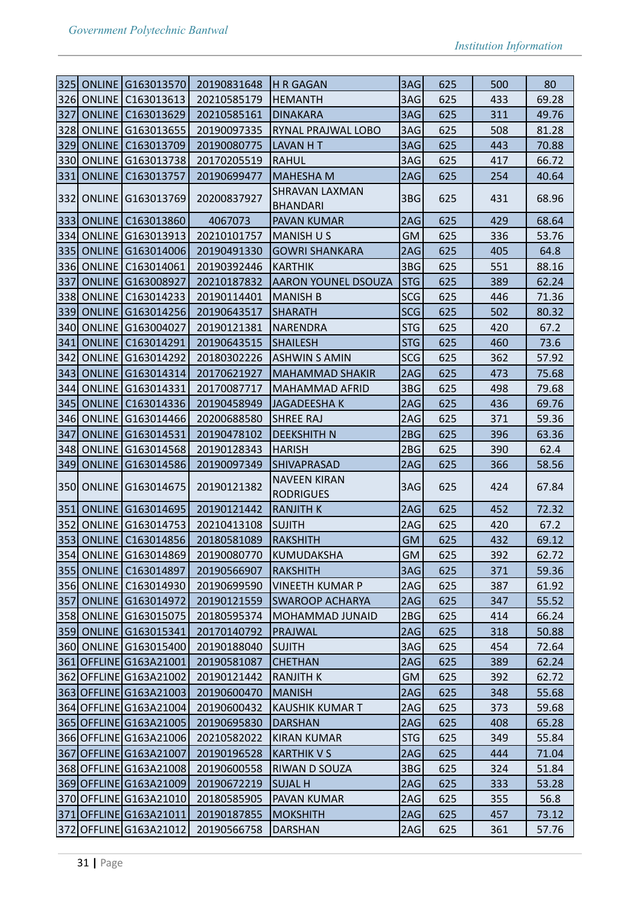| $ 325 $ |               | <b>ONLINE G163013570</b>   | 20190831648 | <b>H R GAGAN</b>                         | 3AG        | 625 | 500 | 80    |
|---------|---------------|----------------------------|-------------|------------------------------------------|------------|-----|-----|-------|
|         |               | 326 ONLINE C163013613      | 20210585179 | <b>HEMANTH</b>                           | 3AG        | 625 | 433 | 69.28 |
| 327     |               | <b>ONLINE   C163013629</b> | 20210585161 | <b>DINAKARA</b>                          | 3AG        | 625 | 311 | 49.76 |
| 328     |               | ONLINE G163013655          | 20190097335 | RYNAL PRAJWAL LOBO                       | 3AG        | 625 | 508 | 81.28 |
|         |               | 329 ONLINE C163013709      | 20190080775 | LAVAN H T                                | 3AG        | 625 | 443 | 70.88 |
|         |               | 330 ONLINE G163013738      | 20170205519 | RAHUL                                    | 3AG        | 625 | 417 | 66.72 |
| 331     | <b>ONLINE</b> | C163013757                 | 20190699477 | <b>MAHESHA M</b>                         | 2AG        | 625 | 254 | 40.64 |
|         |               | 332 ONLINE G163013769      | 20200837927 | <b>SHRAVAN LAXMAN</b><br><b>BHANDARI</b> | 3BG        | 625 | 431 | 68.96 |
|         |               | 333 ONLINE   C163013860    | 4067073     | PAVAN KUMAR                              | 2AG        | 625 | 429 | 68.64 |
|         |               | 334 ONLINE G163013913      | 20210101757 | <b>MANISH U S</b>                        | <b>GM</b>  | 625 | 336 | 53.76 |
|         |               | 335 ONLINE G163014006      | 20190491330 | <b>GOWRI SHANKARA</b>                    | 2AG        | 625 | 405 | 64.8  |
|         |               | 336 ONLINE   C163014061    | 20190392446 | <b>KARTHIK</b>                           | 3BG        | 625 | 551 | 88.16 |
| 337     |               | <b>ONLINE G163008927</b>   | 20210187832 | <b>AARON YOUNEL DSOUZA</b>               | <b>STG</b> | 625 | 389 | 62.24 |
|         |               | 338 ONLINE C163014233      | 20190114401 | <b>MANISH B</b>                          | <b>SCG</b> | 625 | 446 | 71.36 |
|         |               | 339 ONLINE G163014256      | 20190643517 | <b>SHARATH</b>                           | <b>SCG</b> | 625 | 502 | 80.32 |
|         |               | 340 ONLINE G163004027      | 20190121381 | NARENDRA                                 | <b>STG</b> | 625 | 420 | 67.2  |
| 341     |               | <b>ONLINE C163014291</b>   | 20190643515 | <b>SHAILESH</b>                          | <b>STG</b> | 625 | 460 | 73.6  |
| 342     |               | ONLINE   G163014292        | 20180302226 | <b>ASHWIN S AMIN</b>                     | <b>SCG</b> | 625 | 362 | 57.92 |
| 343     |               | ONLINE G163014314          | 20170621927 | <b>MAHAMMAD SHAKIR</b>                   | 2AG        | 625 | 473 | 75.68 |
|         |               | 344 ONLINE G163014331      | 20170087717 | <b>MAHAMMAD AFRID</b>                    | 3BG        | 625 | 498 | 79.68 |
|         |               | 345 ONLINE C163014336      | 20190458949 | JAGADEESHA K                             | 2AG        | 625 | 436 | 69.76 |
|         |               | 346 ONLINE G163014466      | 20200688580 | <b>SHREE RAJ</b>                         | 2AG        | 625 | 371 | 59.36 |
| 347     |               | <b>ONLINE G163014531</b>   | 20190478102 | <b>DEEKSHITH N</b>                       | 2BG        | 625 | 396 | 63.36 |
| 348     |               | <b>ONLINE G163014568</b>   | 20190128343 | <b>HARISH</b>                            | 2BG        | 625 | 390 | 62.4  |
| $ 349 $ |               | ONLINE G163014586          | 20190097349 | <b>SHIVAPRASAD</b>                       | 2AG        | 625 | 366 | 58.56 |
|         |               | 350 ONLINE G163014675      | 20190121382 | <b>NAVEEN KIRAN</b><br><b>RODRIGUES</b>  | 3AG        | 625 | 424 | 67.84 |
|         |               | 351 ONLINE G163014695      | 20190121442 | <b>RANJITH K</b>                         | 2AG        | 625 | 452 | 72.32 |
| 352     |               | ONLINE G163014753          | 20210413108 | <b>SUJITH</b>                            | 2AG        | 625 | 420 | 67.2  |
|         |               | 353 ONLINE C163014856      | 20180581089 | RAKSHITH                                 | <b>GM</b>  | 625 | 432 | 69.12 |
|         |               | 354 ONLINE G163014869      | 20190080770 | KUMUDAKSHA                               | <b>GM</b>  | 625 | 392 | 62.72 |
|         |               | 355 ONLINE   C163014897    | 20190566907 | <b>RAKSHITH</b>                          | 3AG        | 625 | 371 | 59.36 |
|         |               | 356 ONLINE C163014930      | 20190699590 | <b>VINEETH KUMAR P</b>                   | 2AG        | 625 | 387 | 61.92 |
|         |               | 357 ONLINE G163014972      | 20190121559 | SWAROOP ACHARYA                          | 2AG        | 625 | 347 | 55.52 |
|         |               | 358 ONLINE G163015075      | 20180595374 | <b>MOHAMMAD JUNAID</b>                   | 2BG        | 625 | 414 | 66.24 |
|         |               | 359 ONLINE G163015341      | 20170140792 | PRAJWAL                                  | 2AG        | 625 | 318 | 50.88 |
|         |               | 360 ONLINE G163015400      | 20190188040 | <b>SUJITH</b>                            | 3AG        | 625 | 454 | 72.64 |
|         |               | 361 OFFLINE G163A21001     | 20190581087 | <b>CHETHAN</b>                           | 2AG        | 625 | 389 | 62.24 |
|         |               | 362 OFFLINE G163A21002     | 20190121442 | RANJITH K                                | GM         | 625 | 392 | 62.72 |
|         |               | 363 OFFLINE G163A21003     | 20190600470 | <b>MANISH</b>                            | 2AG        | 625 | 348 | 55.68 |
|         |               | 364 OFFLINE G163A21004     | 20190600432 | <b>KAUSHIK KUMAR T</b>                   | 2AG        | 625 | 373 | 59.68 |
|         |               | 365 OFFLINE G163A21005     | 20190695830 | <b>DARSHAN</b>                           | 2AG        | 625 | 408 | 65.28 |
|         |               | 366 OFFLINE G163A21006     | 20210582022 | <b>KIRAN KUMAR</b>                       | STG        | 625 | 349 | 55.84 |
|         |               | 367 OFFLINE G163A21007     | 20190196528 | <b>KARTHIK V S</b>                       | 2AG        | 625 | 444 | 71.04 |
|         |               | 368 OFFLINE G163A21008     | 20190600558 | RIWAN D SOUZA                            | 3BG        | 625 | 324 | 51.84 |
|         |               | 369 OFFLINE G163A21009     | 20190672219 | <b>SUJAL H</b>                           | 2AG        | 625 | 333 | 53.28 |
|         |               | 370 OFFLINE G163A21010     | 20180585905 | PAVAN KUMAR                              | 2AG        | 625 | 355 | 56.8  |
|         |               | 371 OFFLINE G163A21011     | 20190187855 | <b>MOKSHITH</b>                          | 2AG        | 625 | 457 | 73.12 |
|         |               | 372 OFFLINE G163A21012     | 20190566758 | DARSHAN                                  | 2AG        | 625 | 361 | 57.76 |
|         |               |                            |             |                                          |            |     |     |       |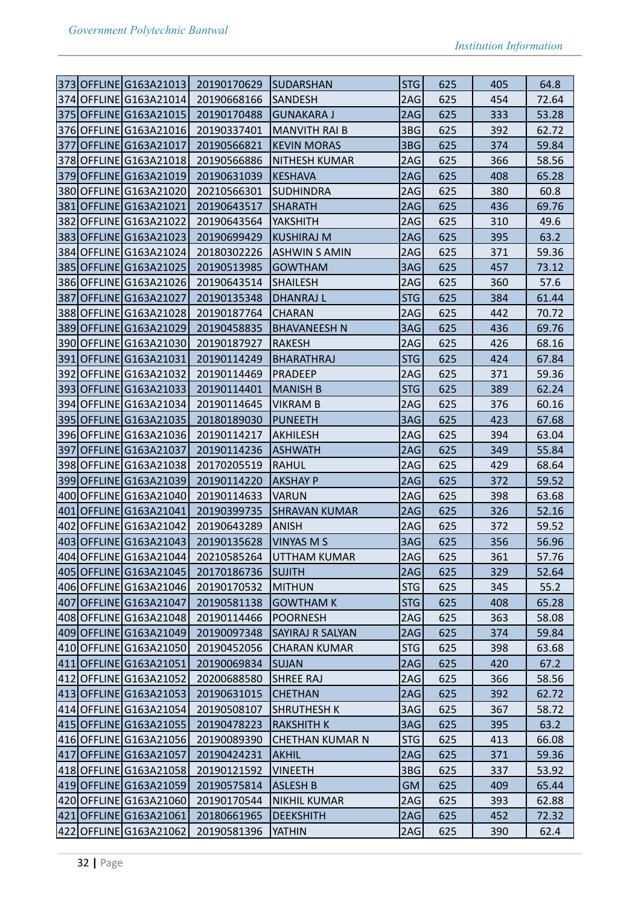| 373 OFFLINE G163A21013 20190170629 |                                    | <b>SUDARSHAN</b>       | STG             | 625 | 405 | 64.8  |
|------------------------------------|------------------------------------|------------------------|-----------------|-----|-----|-------|
| 374 OFFLINE G163A21014             | 20190668166                        | <b>SANDESH</b>         | 2AG             | 625 | 454 | 72.64 |
| 375 OFFLINE G163A21015             | 20190170488                        | <b>GUNAKARA J</b>      | 2AG             | 625 | 333 | 53.28 |
| 376 OFFLINE G163A21016             | 20190337401                        | <b>MANVITH RAI B</b>   | 3BG             | 625 | 392 | 62.72 |
| 377 OFFLINE G163A21017             | 20190566821                        | <b>KEVIN MORAS</b>     | 3BG             | 625 | 374 | 59.84 |
| 378 OFFLINE G163A21018             | 20190566886                        | <b>NITHESH KUMAR</b>   | 2AG             | 625 | 366 | 58.56 |
| 379 OFFLINE G163A21019             | 20190631039                        | KESHAVA                | 2AG             | 625 | 408 | 65.28 |
| 380 OFFLINE G163A21020             | 20210566301                        | <b>SUDHINDRA</b>       | 2AG             | 625 | 380 | 60.8  |
| 381 OFFLINE G163A21021             | 20190643517                        | <b>SHARATH</b>         | 2AG             | 625 | 436 | 69.76 |
| 382 OFFLINE G163A21022             | 20190643564                        | YAKSHITH               | 2AG             | 625 | 310 | 49.6  |
| 383 OFFLINE G163A21023             | 20190699429                        | <b>KUSHIRAJ M</b>      | 2AG             | 625 | 395 | 63.2  |
| 384 OFFLINE G163A21024             | 20180302226                        | ASHWIN S AMIN          | 2AG             | 625 | 371 | 59.36 |
| 385 OFFLINE G163A21025             | 20190513985                        | <b>GOWTHAM</b>         | 3AG             | 625 | 457 | 73.12 |
| 386 OFFLINE G163A21026             | 20190643514                        | <b>SHAILESH</b>        | 2AG             | 625 | 360 | 57.6  |
| 387 OFFLINE G163A21027             | 20190135348                        | <b>DHANRAJ L</b>       | <b>STG</b>      | 625 | 384 | 61.44 |
| 388 OFFLINE G163A21028             | 20190187764                        | <b>CHARAN</b>          | 2AG             | 625 | 442 | 70.72 |
| 389 OFFLINE G163A21029             | 20190458835                        | <b>BHAVANEESH N</b>    | 3AG             | 625 | 436 | 69.76 |
| 390 OFFLINE G163A21030             | 20190187927                        | <b>RAKESH</b>          | 2AG             | 625 | 426 | 68.16 |
| 391 OFFLINE G163A21031             | 20190114249                        | <b>BHARATHRAJ</b>      | <b>STG</b>      | 625 | 424 | 67.84 |
| 392 OFFLINE G163A21032             | 20190114469                        | <b>PRADEEP</b>         | 2AG             | 625 | 371 | 59.36 |
| 393 OFFLINE G163A21033             | 20190114401                        | <b>MANISH B</b>        | <b>STG</b>      | 625 | 389 | 62.24 |
| 394 OFFLINE G163A21034             | 20190114645                        | <b>VIKRAM B</b>        | 2AG             | 625 | 376 | 60.16 |
| 395 OFFLINE G163A21035             | 20180189030                        | PUNEETH                | 3AG             | 625 | 423 | 67.68 |
| 396 OFFLINE G163A21036             | 20190114217                        | AKHILESH               | 2AG             | 625 | 394 | 63.04 |
| 397 OFFLINE G163A21037             | 20190114236                        | <b>ASHWATH</b>         | 2AG             | 625 | 349 | 55.84 |
| 398 OFFLINE G163A21038             | 20170205519                        | RAHUL                  | 2AG             | 625 | 429 | 68.64 |
| 399 OFFLINE G163A21039             | 20190114220                        | AKSHAY P               | 2AG             | 625 | 372 | 59.52 |
| 400 OFFLINE G163A21040             | 20190114633                        | <b>VARUN</b>           | 2AG             | 625 | 398 | 63.68 |
| 401 OFFLINE G163A21041             | 20190399735                        | SHRAVAN KUMAR          | 2AG             | 625 | 326 | 52.16 |
| 402 OFFLINE G163A21042             | 20190643289                        | <b>ANISH</b>           | 2AG             | 625 | 372 | 59.52 |
| 403 OFFLINE G163A21043             | 20190135628                        | <b>VINYAS M S</b>      | 3AG             | 625 | 356 | 56.96 |
|                                    | 404 OFFLINE G163A21044 20210585264 | UTTHAM KUMAR           | 2AG             | 625 | 361 | 57.76 |
| 405 OFFLINE G163A21045             | 20170186736                        | <b>SUJITH</b>          | 2AG             | 625 | 329 | 52.64 |
| 406 OFFLINE G163A21046             | 20190170532                        | MITHUN                 | STG             | 625 | 345 | 55.2  |
| 407 OFFLINE G163A21047             | 20190581138                        | <b>GOWTHAM K</b>       | STG             | 625 | 408 | 65.28 |
| 408 OFFLINE G163A21048             | 20190114466                        | <b>POORNESH</b>        | 2AG             | 625 | 363 | 58.08 |
| 409 OFFLINE G163A21049             | 20190097348                        | SAYIRAJ R SALYAN       | 2AG             | 625 | 374 | 59.84 |
| 410 OFFLINE G163A21050             | 20190452056                        | <b>CHARAN KUMAR</b>    | STG             | 625 | 398 | 63.68 |
| 411 OFFLINE G163A21051             | 20190069834                        | <b>SUJAN</b>           | 2AG             | 625 | 420 | 67.2  |
| 412 OFFLINE G163A21052             | 20200688580                        | <b>SHREE RAJ</b>       | 2AG             | 625 | 366 | 58.56 |
| 413 OFFLINE G163A21053             | 20190631015                        | <b>CHETHAN</b>         | 2AG             | 625 | 392 | 62.72 |
| 414 OFFLINE G163A21054             | 20190508107                        | SHRUTHESH K            | 3AG             | 625 | 367 | 58.72 |
| 415 OFFLINE G163A21055             | 20190478223                        | RAKSHITH K             | 3AG             | 625 | 395 | 63.2  |
| 416 OFFLINE G163A21056             | 20190089390                        | <b>CHETHAN KUMAR N</b> | STG             | 625 | 413 | 66.08 |
| 417 OFFLINE G163A21057             | 20190424231                        | <b>AKHIL</b>           | 2AG             | 625 | 371 | 59.36 |
| 418 OFFLINE G163A21058             |                                    |                        | 3B <sub>G</sub> |     | 337 | 53.92 |
| 419 OFFLINE G163A21059             | 20190121592                        | <b>VINEETH</b>         |                 | 625 |     |       |
|                                    | 20190575814                        | ASLESH B               | <b>GM</b>       | 625 | 409 | 65.44 |
| 420 OFFLINE G163A21060             | 20190170544                        | NIKHIL KUMAR           | 2AG             | 625 | 393 | 62.88 |
| 421 OFFLINE G163A21061             | 20180661965                        | <b>DEEKSHITH</b>       | 2AG             | 625 | 452 | 72.32 |
| 422 OFFLINE G163A21062             | 20190581396                        | YATHIN                 | 2AG             | 625 | 390 | 62.4  |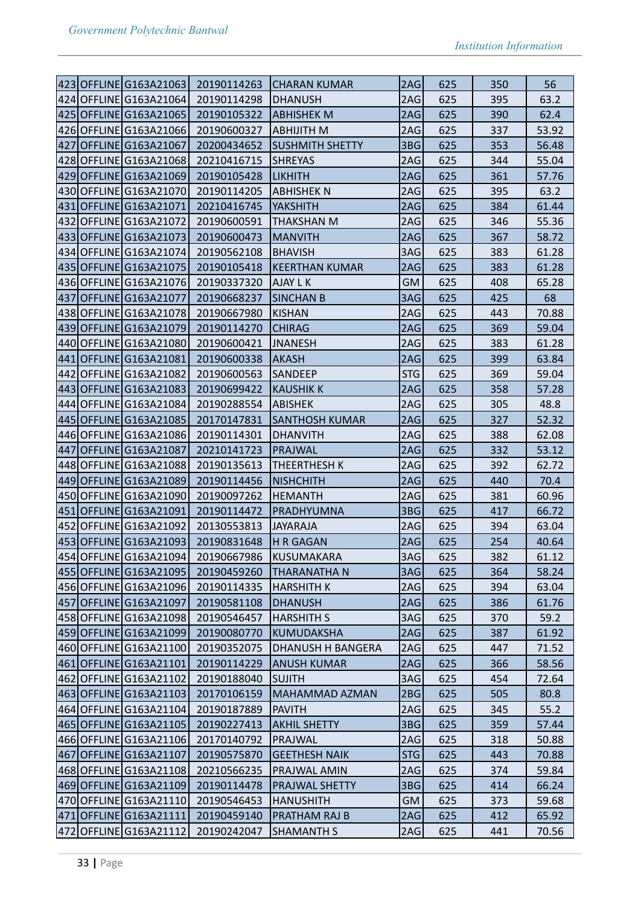| 423 OFFLINE G163A21063             | 20190114263 | CHARAN KUMAR           | 2AG             | 625 | 350 | 56    |
|------------------------------------|-------------|------------------------|-----------------|-----|-----|-------|
| 424 OFFLINE G163A21064             | 20190114298 | <b>DHANUSH</b>         | 2AG             | 625 | 395 | 63.2  |
| 425 OFFLINE G163A21065             | 20190105322 | <b>ABHISHEK M</b>      | 2AG             | 625 | 390 | 62.4  |
| 426 OFFLINE G163A21066             | 20190600327 | ABHIJITH M             | 2AG             | 625 | 337 | 53.92 |
| 427 OFFLINE G163A21067             | 20200434652 | <b>SUSHMITH SHETTY</b> | 3BG             | 625 | 353 | 56.48 |
| 428 OFFLINE G163A21068             | 20210416715 | <b>SHREYAS</b>         | 2AG             | 625 | 344 | 55.04 |
| 429 OFFLINE G163A21069             | 20190105428 | <b>LIKHITH</b>         | 2AG             | 625 | 361 | 57.76 |
| 430 OFFLINE G163A21070             | 20190114205 | <b>ABHISHEK N</b>      | 2AG             | 625 | 395 | 63.2  |
| 431 OFFLINE G163A21071             | 20210416745 | YAKSHITH               | 2AG             | 625 | 384 | 61.44 |
| 432 OFFLINE G163A21072             | 20190600591 | THAKSHAN M             | 2AG             | 625 | 346 | 55.36 |
| 433 OFFLINE G163A21073             | 20190600473 | <b>MANVITH</b>         | 2AG             | 625 | 367 | 58.72 |
| 434 OFFLINE G163A21074             | 20190562108 | <b>BHAVISH</b>         | 3AG             | 625 | 383 | 61.28 |
| 435 OFFLINE G163A21075             | 20190105418 | <b>KEERTHAN KUMAR</b>  | 2AG             | 625 | 383 | 61.28 |
| 436 OFFLINE G163A21076             | 20190337320 | AJAY L K               | <b>GM</b>       | 625 | 408 | 65.28 |
| 437 OFFLINE G163A21077             | 20190668237 | <b>SINCHAN B</b>       | 3AG             | 625 | 425 | 68    |
| 438 OFFLINE G163A21078             | 20190667980 | <b>KISHAN</b>          | 2AG             | 625 | 443 | 70.88 |
| 439 OFFLINE G163A21079             | 20190114270 | <b>CHIRAG</b>          | 2AG             | 625 | 369 | 59.04 |
| 440 OFFLINE G163A21080             | 20190600421 | <b>JNANESH</b>         | 2AG             | 625 | 383 | 61.28 |
| 441 OFFLINE G163A21081             | 20190600338 | AKASH                  | 2AG             | 625 | 399 | 63.84 |
| 442 OFFLINE G163A21082             | 20190600563 | <b>SANDEEP</b>         | STG             | 625 | 369 | 59.04 |
| 443 OFFLINE G163A21083             | 20190699422 | <b>KAUSHIK K</b>       | 2AG             | 625 | 358 | 57.28 |
| 444 OFFLINE G163A21084             | 20190288554 | <b>ABISHEK</b>         | 2AG             | 625 | 305 | 48.8  |
| 445 OFFLINE G163A21085             | 20170147831 | <b>SANTHOSH KUMAR</b>  | 2AG             | 625 | 327 | 52.32 |
| 446 OFFLINE G163A21086             | 20190114301 | <b>DHANVITH</b>        | 2AG             | 625 | 388 | 62.08 |
| 447 OFFLINE G163A21087             | 20210141723 | PRAJWAL                | 2AG             | 625 | 332 | 53.12 |
| 448 OFFLINE G163A21088             | 20190135613 | THEERTHESH K           | 2AG             | 625 | 392 | 62.72 |
| 449 OFFLINE G163A21089             | 20190114456 | <b>NISHCHITH</b>       | 2AG             | 625 | 440 | 70.4  |
| 450 OFFLINE G163A21090             | 20190097262 | HEMANTH                | 2AG             | 625 | 381 | 60.96 |
| 451 OFFLINE G163A21091             | 20190114472 | PRADHYUMNA             | 3B <sub>G</sub> | 625 | 417 | 66.72 |
| 452 OFFLINE G163A21092             | 20130553813 | JAYARAJA               | 2AG             | 625 | 394 | 63.04 |
| 453 OFFLINE G163A21093             | 20190831648 | <b>H R GAGAN</b>       | 2AG             | 625 | 254 | 40.64 |
| 454 OFFLINE G163A21094 20190667986 |             | KUSUMAKARA             | 3AG             | 625 | 382 | 61.12 |
| 455 OFFLINE G163A21095             | 20190459260 | <b>THARANATHA N</b>    | 3AG             | 625 | 364 | 58.24 |
| 456 OFFLINE G163A21096             | 20190114335 | HARSHITH K             | 2AG             | 625 | 394 | 63.04 |
| 457 OFFLINE G163A21097             | 20190581108 | <b>DHANUSH</b>         | 2AG             | 625 | 386 | 61.76 |
| 458 OFFLINE G163A21098             | 20190546457 | <b>HARSHITH S</b>      | 3AG             | 625 | 370 | 59.2  |
| 459 OFFLINE G163A21099             | 20190080770 | KUMUDAKSHA             | 2AG             | 625 | 387 | 61.92 |
| 460 OFFLINE G163A21100             | 20190352075 | DHANUSH H BANGERA      | 2AG             | 625 | 447 | 71.52 |
| 461 OFFLINE G163A21101             | 20190114229 | <b>ANUSH KUMAR</b>     | 2AG             | 625 | 366 | 58.56 |
| 462 OFFLINE G163A21102             | 20190188040 | SUJITH                 | 3AG             | 625 | 454 | 72.64 |
| 463 OFFLINE G163A21103             | 20170106159 | <b>MAHAMMAD AZMAN</b>  | 2BG             | 625 | 505 | 80.8  |
| 464 OFFLINE G163A21104             | 20190187889 | PAVITH                 | 2AG             | 625 | 345 | 55.2  |
| 465 OFFLINE G163A21105             | 20190227413 | <b>AKHIL SHETTY</b>    | 3BG             | 625 | 359 | 57.44 |
| 466 OFFLINE G163A21106             | 20170140792 | PRAJWAL                | 2AG             | 625 | 318 | 50.88 |
| 467 OFFLINE G163A21107             | 20190575870 | <b>GEETHESH NAIK</b>   | STG             | 625 | 443 | 70.88 |
| 468 OFFLINE G163A21108             | 20210566235 | PRAJWAL AMIN           | 2AG             | 625 | 374 | 59.84 |
| 469 OFFLINE G163A21109             | 20190114478 | PRAJWAL SHETTY         | 3BG             | 625 | 414 | 66.24 |
| 470 OFFLINE G163A21110             | 20190546453 | HANUSHITH              | GM.             | 625 | 373 | 59.68 |
| 471 OFFLINE G163A21111             | 20190459140 | <b>PRATHAM RAJ B</b>   | 2AG             | 625 | 412 | 65.92 |
| 472 OFFLINE G163A21112             | 20190242047 | <b>SHAMANTH S</b>      | 2AG             | 625 | 441 | 70.56 |
|                                    |             |                        |                 |     |     |       |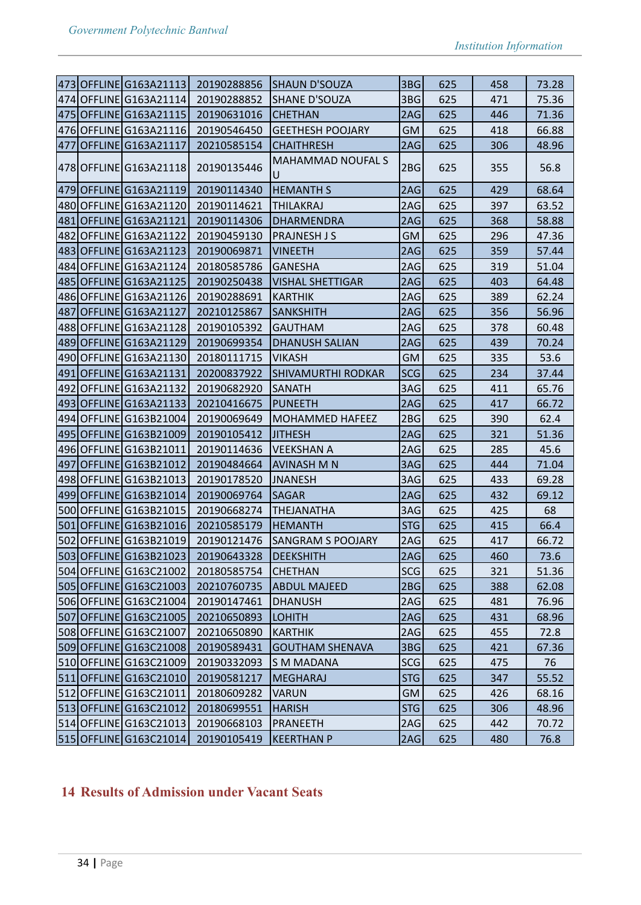| 3BG<br>625<br>73.28<br>473 OFFLINE G163A21113<br>20190288856<br>SHAUN D'SOUZA<br>458<br>474 OFFLINE G163A21114<br>3BG<br>20190288852<br><b>SHANE D'SOUZA</b><br>625<br>471<br>75.36<br>475 OFFLINE G163A21115<br>20190631016<br><b>CHETHAN</b><br>2AG<br>625<br>446<br>71.36<br>476 OFFLINE G163A21116<br>20190546450<br><b>GM</b><br>625<br>66.88<br><b>GEETHESH POOJARY</b><br>418<br>477 OFFLINE G163A21117<br>2AG<br>625<br>20210585154<br><b>CHAITHRESH</b><br>306<br>48.96<br><b>MAHAMMAD NOUFAL S</b><br>20190135446<br>2BG<br>355<br>56.8<br> 478 OFFLINE G163A21118 <br>625<br>U<br>625<br>479 OFFLINE G163A21119<br>20190114340<br>2AG<br>429<br>68.64<br><b>HEMANTH S</b><br>480 OFFLINE G163A21120<br>20190114621<br>2AG<br>625<br>397<br>63.52<br><b>THILAKRAJ</b><br>481 OFFLINE G163A21121<br>2AG<br>625<br>58.88<br>20190114306<br>DHARMENDRA<br>368<br>482 OFFLINE G163A21122<br>625<br>20190459130<br> PRAJNESH J S<br>GM<br>296<br>47.36<br>625<br>359<br>483 OFFLINE G163A21123<br>20190069871<br>2AG<br>57.44<br><b>VINEETH</b><br>484 OFFLINE G163A21124<br>2AG<br>625<br>20180585786<br>GANESHA<br>319<br>51.04<br>485 OFFLINE G163A21125<br>20190250438<br><b>VISHAL SHETTIGAR</b><br>2AG<br>625<br>403<br>64.48<br>486 OFFLINE G163A21126<br>625<br>389<br>62.24<br>20190288691<br><b>KARTHIK</b><br>2AG<br>487 OFFLINE G163A21127<br>625<br>20210125867<br>2AG<br>356<br>56.96<br> SANKSHITH<br>488 OFFLINE G163A21128<br>20190105392<br>2AG<br>625<br>378<br>60.48<br><b>GAUTHAM</b><br>489 OFFLINE G163A21129<br>2AG<br>625<br>70.24<br>20190699354<br><b>DHANUSH SALIAN</b><br>439<br>490 OFFLINE G163A21130<br>625<br>20180111715<br><b>VIKASH</b><br>GM<br>335<br>53.6<br><b>SCG</b><br>625<br>491 OFFLINE G163A21131<br>20200837922<br><b>SHIVAMURTHI RODKAR</b><br>234<br>37.44<br>492 OFFLINE G163A21132<br>3AG<br>625<br>411<br>20190682920<br> SANATH<br>65.76<br>493 OFFLINE G163A21133<br>625<br>20210416675<br>PUNEETH<br>2AG<br>417<br>66.72<br>494 OFFLINE G163B21004<br>20190069649<br>MOHAMMED HAFEEZ<br>2BG<br>625<br>390<br>62.4<br>495 OFFLINE G163B21009<br>2AG<br>625<br>321<br>51.36<br>20190105412<br><b>JITHESH</b><br>496 OFFLINE G163B21011<br>20190114636<br><b>VEEKSHAN A</b><br>2AG<br>625<br>285<br>45.6<br>497 OFFLINE G163B21012<br>625<br>444<br>71.04<br>20190484664<br> AVINASH M N<br>3AG<br>498 OFFLINE G163B21013<br>20190178520<br>3AG<br>625<br>433<br>69.28<br><b>JNANESH</b><br>499 OFFLINE G163B21014<br>20190069764<br><b>SAGAR</b><br>2AG<br>625<br>432<br>69.12<br>500 OFFLINE G163B21015<br><b>THEJANATHA</b><br>625<br>425<br>68<br>20190668274<br>3AG<br>501 OFFLINE G163B21016<br>20210585179<br><b>STG</b><br>625<br>415<br>66.4<br><b>HEMANTH</b><br>502 OFFLINE G163B21019<br>20190121476<br>625<br><b>SANGRAM S POOJARY</b><br>2AG<br>417<br>66.72<br>503 OFFLINE G163B21023 20190643328<br>2AG<br>DEEKSHITH<br>625<br>460<br>73.6<br>504 OFFLINE G163C21002<br>20180585754<br><b>CHETHAN</b><br>SCG<br>625<br>321<br>51.36<br>625<br>505 OFFLINE G163C21003<br>20210760735<br><b>ABDUL MAJEED</b><br>2BGI<br>388<br>62.08<br>506 OFFLINE G163C21004<br>2AG<br>76.96<br>20190147461<br>DHANUSH<br>625<br>481<br>507 OFFLINE G163C21005<br>20210650893<br>2AG<br>431<br><b>LOHITH</b><br>625<br>68.96<br>508 OFFLINE G163C21007<br>72.8<br>20210650890<br>KARTHIK<br>2AG<br>625<br>455<br>509 OFFLINE G163C21008<br>20190589431<br>3BG<br>625<br>421<br><b>GOUTHAM SHENAVA</b><br>67.36<br>510 OFFLINE G163C21009<br>20190332093<br>SCG<br>S M MADANA<br>625<br>475<br>76<br>511 OFFLINE G163C21010<br>20190581217<br>STG<br>625<br>55.52<br> MEGHARAJ<br>347<br>512 OFFLINE G163C21011<br>20180609282<br><b>VARUN</b><br><b>GM</b><br>625<br>426<br>68.16<br>513 OFFLINE G163C21012<br>20180699551<br><b>HARISH</b><br>STG<br>625<br>306<br>48.96<br>514 OFFLINE G163C21013<br>2AG<br>20190668103<br>PRANEETH<br>625<br>442<br>70.72<br>515 OFFLINE G163C21014<br>20190105419<br> KEERTHAN P<br>625<br>480<br>76.8<br> 2AG |  |  |  |  |
|-------------------------------------------------------------------------------------------------------------------------------------------------------------------------------------------------------------------------------------------------------------------------------------------------------------------------------------------------------------------------------------------------------------------------------------------------------------------------------------------------------------------------------------------------------------------------------------------------------------------------------------------------------------------------------------------------------------------------------------------------------------------------------------------------------------------------------------------------------------------------------------------------------------------------------------------------------------------------------------------------------------------------------------------------------------------------------------------------------------------------------------------------------------------------------------------------------------------------------------------------------------------------------------------------------------------------------------------------------------------------------------------------------------------------------------------------------------------------------------------------------------------------------------------------------------------------------------------------------------------------------------------------------------------------------------------------------------------------------------------------------------------------------------------------------------------------------------------------------------------------------------------------------------------------------------------------------------------------------------------------------------------------------------------------------------------------------------------------------------------------------------------------------------------------------------------------------------------------------------------------------------------------------------------------------------------------------------------------------------------------------------------------------------------------------------------------------------------------------------------------------------------------------------------------------------------------------------------------------------------------------------------------------------------------------------------------------------------------------------------------------------------------------------------------------------------------------------------------------------------------------------------------------------------------------------------------------------------------------------------------------------------------------------------------------------------------------------------------------------------------------------------------------------------------------------------------------------------------------------------------------------------------------------------------------------------------------------------------------------------------------------------------------------------------------------------------------------------------------------------------------------------------------------------------------------------------------------------------------------------------------------------------------------------------------------------------------------------------------------------------------------------------------------------------------------------------------------------------------------------------------------------------------------------------------------------------------------------------------------------------------------|--|--|--|--|
|                                                                                                                                                                                                                                                                                                                                                                                                                                                                                                                                                                                                                                                                                                                                                                                                                                                                                                                                                                                                                                                                                                                                                                                                                                                                                                                                                                                                                                                                                                                                                                                                                                                                                                                                                                                                                                                                                                                                                                                                                                                                                                                                                                                                                                                                                                                                                                                                                                                                                                                                                                                                                                                                                                                                                                                                                                                                                                                                                                                                                                                                                                                                                                                                                                                                                                                                                                                                                                                                                                                                                                                                                                                                                                                                                                                                                                                                                                                                                                                                             |  |  |  |  |
|                                                                                                                                                                                                                                                                                                                                                                                                                                                                                                                                                                                                                                                                                                                                                                                                                                                                                                                                                                                                                                                                                                                                                                                                                                                                                                                                                                                                                                                                                                                                                                                                                                                                                                                                                                                                                                                                                                                                                                                                                                                                                                                                                                                                                                                                                                                                                                                                                                                                                                                                                                                                                                                                                                                                                                                                                                                                                                                                                                                                                                                                                                                                                                                                                                                                                                                                                                                                                                                                                                                                                                                                                                                                                                                                                                                                                                                                                                                                                                                                             |  |  |  |  |
|                                                                                                                                                                                                                                                                                                                                                                                                                                                                                                                                                                                                                                                                                                                                                                                                                                                                                                                                                                                                                                                                                                                                                                                                                                                                                                                                                                                                                                                                                                                                                                                                                                                                                                                                                                                                                                                                                                                                                                                                                                                                                                                                                                                                                                                                                                                                                                                                                                                                                                                                                                                                                                                                                                                                                                                                                                                                                                                                                                                                                                                                                                                                                                                                                                                                                                                                                                                                                                                                                                                                                                                                                                                                                                                                                                                                                                                                                                                                                                                                             |  |  |  |  |
|                                                                                                                                                                                                                                                                                                                                                                                                                                                                                                                                                                                                                                                                                                                                                                                                                                                                                                                                                                                                                                                                                                                                                                                                                                                                                                                                                                                                                                                                                                                                                                                                                                                                                                                                                                                                                                                                                                                                                                                                                                                                                                                                                                                                                                                                                                                                                                                                                                                                                                                                                                                                                                                                                                                                                                                                                                                                                                                                                                                                                                                                                                                                                                                                                                                                                                                                                                                                                                                                                                                                                                                                                                                                                                                                                                                                                                                                                                                                                                                                             |  |  |  |  |
|                                                                                                                                                                                                                                                                                                                                                                                                                                                                                                                                                                                                                                                                                                                                                                                                                                                                                                                                                                                                                                                                                                                                                                                                                                                                                                                                                                                                                                                                                                                                                                                                                                                                                                                                                                                                                                                                                                                                                                                                                                                                                                                                                                                                                                                                                                                                                                                                                                                                                                                                                                                                                                                                                                                                                                                                                                                                                                                                                                                                                                                                                                                                                                                                                                                                                                                                                                                                                                                                                                                                                                                                                                                                                                                                                                                                                                                                                                                                                                                                             |  |  |  |  |
|                                                                                                                                                                                                                                                                                                                                                                                                                                                                                                                                                                                                                                                                                                                                                                                                                                                                                                                                                                                                                                                                                                                                                                                                                                                                                                                                                                                                                                                                                                                                                                                                                                                                                                                                                                                                                                                                                                                                                                                                                                                                                                                                                                                                                                                                                                                                                                                                                                                                                                                                                                                                                                                                                                                                                                                                                                                                                                                                                                                                                                                                                                                                                                                                                                                                                                                                                                                                                                                                                                                                                                                                                                                                                                                                                                                                                                                                                                                                                                                                             |  |  |  |  |
|                                                                                                                                                                                                                                                                                                                                                                                                                                                                                                                                                                                                                                                                                                                                                                                                                                                                                                                                                                                                                                                                                                                                                                                                                                                                                                                                                                                                                                                                                                                                                                                                                                                                                                                                                                                                                                                                                                                                                                                                                                                                                                                                                                                                                                                                                                                                                                                                                                                                                                                                                                                                                                                                                                                                                                                                                                                                                                                                                                                                                                                                                                                                                                                                                                                                                                                                                                                                                                                                                                                                                                                                                                                                                                                                                                                                                                                                                                                                                                                                             |  |  |  |  |
|                                                                                                                                                                                                                                                                                                                                                                                                                                                                                                                                                                                                                                                                                                                                                                                                                                                                                                                                                                                                                                                                                                                                                                                                                                                                                                                                                                                                                                                                                                                                                                                                                                                                                                                                                                                                                                                                                                                                                                                                                                                                                                                                                                                                                                                                                                                                                                                                                                                                                                                                                                                                                                                                                                                                                                                                                                                                                                                                                                                                                                                                                                                                                                                                                                                                                                                                                                                                                                                                                                                                                                                                                                                                                                                                                                                                                                                                                                                                                                                                             |  |  |  |  |
|                                                                                                                                                                                                                                                                                                                                                                                                                                                                                                                                                                                                                                                                                                                                                                                                                                                                                                                                                                                                                                                                                                                                                                                                                                                                                                                                                                                                                                                                                                                                                                                                                                                                                                                                                                                                                                                                                                                                                                                                                                                                                                                                                                                                                                                                                                                                                                                                                                                                                                                                                                                                                                                                                                                                                                                                                                                                                                                                                                                                                                                                                                                                                                                                                                                                                                                                                                                                                                                                                                                                                                                                                                                                                                                                                                                                                                                                                                                                                                                                             |  |  |  |  |
|                                                                                                                                                                                                                                                                                                                                                                                                                                                                                                                                                                                                                                                                                                                                                                                                                                                                                                                                                                                                                                                                                                                                                                                                                                                                                                                                                                                                                                                                                                                                                                                                                                                                                                                                                                                                                                                                                                                                                                                                                                                                                                                                                                                                                                                                                                                                                                                                                                                                                                                                                                                                                                                                                                                                                                                                                                                                                                                                                                                                                                                                                                                                                                                                                                                                                                                                                                                                                                                                                                                                                                                                                                                                                                                                                                                                                                                                                                                                                                                                             |  |  |  |  |
|                                                                                                                                                                                                                                                                                                                                                                                                                                                                                                                                                                                                                                                                                                                                                                                                                                                                                                                                                                                                                                                                                                                                                                                                                                                                                                                                                                                                                                                                                                                                                                                                                                                                                                                                                                                                                                                                                                                                                                                                                                                                                                                                                                                                                                                                                                                                                                                                                                                                                                                                                                                                                                                                                                                                                                                                                                                                                                                                                                                                                                                                                                                                                                                                                                                                                                                                                                                                                                                                                                                                                                                                                                                                                                                                                                                                                                                                                                                                                                                                             |  |  |  |  |
|                                                                                                                                                                                                                                                                                                                                                                                                                                                                                                                                                                                                                                                                                                                                                                                                                                                                                                                                                                                                                                                                                                                                                                                                                                                                                                                                                                                                                                                                                                                                                                                                                                                                                                                                                                                                                                                                                                                                                                                                                                                                                                                                                                                                                                                                                                                                                                                                                                                                                                                                                                                                                                                                                                                                                                                                                                                                                                                                                                                                                                                                                                                                                                                                                                                                                                                                                                                                                                                                                                                                                                                                                                                                                                                                                                                                                                                                                                                                                                                                             |  |  |  |  |
|                                                                                                                                                                                                                                                                                                                                                                                                                                                                                                                                                                                                                                                                                                                                                                                                                                                                                                                                                                                                                                                                                                                                                                                                                                                                                                                                                                                                                                                                                                                                                                                                                                                                                                                                                                                                                                                                                                                                                                                                                                                                                                                                                                                                                                                                                                                                                                                                                                                                                                                                                                                                                                                                                                                                                                                                                                                                                                                                                                                                                                                                                                                                                                                                                                                                                                                                                                                                                                                                                                                                                                                                                                                                                                                                                                                                                                                                                                                                                                                                             |  |  |  |  |
|                                                                                                                                                                                                                                                                                                                                                                                                                                                                                                                                                                                                                                                                                                                                                                                                                                                                                                                                                                                                                                                                                                                                                                                                                                                                                                                                                                                                                                                                                                                                                                                                                                                                                                                                                                                                                                                                                                                                                                                                                                                                                                                                                                                                                                                                                                                                                                                                                                                                                                                                                                                                                                                                                                                                                                                                                                                                                                                                                                                                                                                                                                                                                                                                                                                                                                                                                                                                                                                                                                                                                                                                                                                                                                                                                                                                                                                                                                                                                                                                             |  |  |  |  |
|                                                                                                                                                                                                                                                                                                                                                                                                                                                                                                                                                                                                                                                                                                                                                                                                                                                                                                                                                                                                                                                                                                                                                                                                                                                                                                                                                                                                                                                                                                                                                                                                                                                                                                                                                                                                                                                                                                                                                                                                                                                                                                                                                                                                                                                                                                                                                                                                                                                                                                                                                                                                                                                                                                                                                                                                                                                                                                                                                                                                                                                                                                                                                                                                                                                                                                                                                                                                                                                                                                                                                                                                                                                                                                                                                                                                                                                                                                                                                                                                             |  |  |  |  |
|                                                                                                                                                                                                                                                                                                                                                                                                                                                                                                                                                                                                                                                                                                                                                                                                                                                                                                                                                                                                                                                                                                                                                                                                                                                                                                                                                                                                                                                                                                                                                                                                                                                                                                                                                                                                                                                                                                                                                                                                                                                                                                                                                                                                                                                                                                                                                                                                                                                                                                                                                                                                                                                                                                                                                                                                                                                                                                                                                                                                                                                                                                                                                                                                                                                                                                                                                                                                                                                                                                                                                                                                                                                                                                                                                                                                                                                                                                                                                                                                             |  |  |  |  |
|                                                                                                                                                                                                                                                                                                                                                                                                                                                                                                                                                                                                                                                                                                                                                                                                                                                                                                                                                                                                                                                                                                                                                                                                                                                                                                                                                                                                                                                                                                                                                                                                                                                                                                                                                                                                                                                                                                                                                                                                                                                                                                                                                                                                                                                                                                                                                                                                                                                                                                                                                                                                                                                                                                                                                                                                                                                                                                                                                                                                                                                                                                                                                                                                                                                                                                                                                                                                                                                                                                                                                                                                                                                                                                                                                                                                                                                                                                                                                                                                             |  |  |  |  |
|                                                                                                                                                                                                                                                                                                                                                                                                                                                                                                                                                                                                                                                                                                                                                                                                                                                                                                                                                                                                                                                                                                                                                                                                                                                                                                                                                                                                                                                                                                                                                                                                                                                                                                                                                                                                                                                                                                                                                                                                                                                                                                                                                                                                                                                                                                                                                                                                                                                                                                                                                                                                                                                                                                                                                                                                                                                                                                                                                                                                                                                                                                                                                                                                                                                                                                                                                                                                                                                                                                                                                                                                                                                                                                                                                                                                                                                                                                                                                                                                             |  |  |  |  |
|                                                                                                                                                                                                                                                                                                                                                                                                                                                                                                                                                                                                                                                                                                                                                                                                                                                                                                                                                                                                                                                                                                                                                                                                                                                                                                                                                                                                                                                                                                                                                                                                                                                                                                                                                                                                                                                                                                                                                                                                                                                                                                                                                                                                                                                                                                                                                                                                                                                                                                                                                                                                                                                                                                                                                                                                                                                                                                                                                                                                                                                                                                                                                                                                                                                                                                                                                                                                                                                                                                                                                                                                                                                                                                                                                                                                                                                                                                                                                                                                             |  |  |  |  |
|                                                                                                                                                                                                                                                                                                                                                                                                                                                                                                                                                                                                                                                                                                                                                                                                                                                                                                                                                                                                                                                                                                                                                                                                                                                                                                                                                                                                                                                                                                                                                                                                                                                                                                                                                                                                                                                                                                                                                                                                                                                                                                                                                                                                                                                                                                                                                                                                                                                                                                                                                                                                                                                                                                                                                                                                                                                                                                                                                                                                                                                                                                                                                                                                                                                                                                                                                                                                                                                                                                                                                                                                                                                                                                                                                                                                                                                                                                                                                                                                             |  |  |  |  |
|                                                                                                                                                                                                                                                                                                                                                                                                                                                                                                                                                                                                                                                                                                                                                                                                                                                                                                                                                                                                                                                                                                                                                                                                                                                                                                                                                                                                                                                                                                                                                                                                                                                                                                                                                                                                                                                                                                                                                                                                                                                                                                                                                                                                                                                                                                                                                                                                                                                                                                                                                                                                                                                                                                                                                                                                                                                                                                                                                                                                                                                                                                                                                                                                                                                                                                                                                                                                                                                                                                                                                                                                                                                                                                                                                                                                                                                                                                                                                                                                             |  |  |  |  |
|                                                                                                                                                                                                                                                                                                                                                                                                                                                                                                                                                                                                                                                                                                                                                                                                                                                                                                                                                                                                                                                                                                                                                                                                                                                                                                                                                                                                                                                                                                                                                                                                                                                                                                                                                                                                                                                                                                                                                                                                                                                                                                                                                                                                                                                                                                                                                                                                                                                                                                                                                                                                                                                                                                                                                                                                                                                                                                                                                                                                                                                                                                                                                                                                                                                                                                                                                                                                                                                                                                                                                                                                                                                                                                                                                                                                                                                                                                                                                                                                             |  |  |  |  |
|                                                                                                                                                                                                                                                                                                                                                                                                                                                                                                                                                                                                                                                                                                                                                                                                                                                                                                                                                                                                                                                                                                                                                                                                                                                                                                                                                                                                                                                                                                                                                                                                                                                                                                                                                                                                                                                                                                                                                                                                                                                                                                                                                                                                                                                                                                                                                                                                                                                                                                                                                                                                                                                                                                                                                                                                                                                                                                                                                                                                                                                                                                                                                                                                                                                                                                                                                                                                                                                                                                                                                                                                                                                                                                                                                                                                                                                                                                                                                                                                             |  |  |  |  |
|                                                                                                                                                                                                                                                                                                                                                                                                                                                                                                                                                                                                                                                                                                                                                                                                                                                                                                                                                                                                                                                                                                                                                                                                                                                                                                                                                                                                                                                                                                                                                                                                                                                                                                                                                                                                                                                                                                                                                                                                                                                                                                                                                                                                                                                                                                                                                                                                                                                                                                                                                                                                                                                                                                                                                                                                                                                                                                                                                                                                                                                                                                                                                                                                                                                                                                                                                                                                                                                                                                                                                                                                                                                                                                                                                                                                                                                                                                                                                                                                             |  |  |  |  |
|                                                                                                                                                                                                                                                                                                                                                                                                                                                                                                                                                                                                                                                                                                                                                                                                                                                                                                                                                                                                                                                                                                                                                                                                                                                                                                                                                                                                                                                                                                                                                                                                                                                                                                                                                                                                                                                                                                                                                                                                                                                                                                                                                                                                                                                                                                                                                                                                                                                                                                                                                                                                                                                                                                                                                                                                                                                                                                                                                                                                                                                                                                                                                                                                                                                                                                                                                                                                                                                                                                                                                                                                                                                                                                                                                                                                                                                                                                                                                                                                             |  |  |  |  |
|                                                                                                                                                                                                                                                                                                                                                                                                                                                                                                                                                                                                                                                                                                                                                                                                                                                                                                                                                                                                                                                                                                                                                                                                                                                                                                                                                                                                                                                                                                                                                                                                                                                                                                                                                                                                                                                                                                                                                                                                                                                                                                                                                                                                                                                                                                                                                                                                                                                                                                                                                                                                                                                                                                                                                                                                                                                                                                                                                                                                                                                                                                                                                                                                                                                                                                                                                                                                                                                                                                                                                                                                                                                                                                                                                                                                                                                                                                                                                                                                             |  |  |  |  |
|                                                                                                                                                                                                                                                                                                                                                                                                                                                                                                                                                                                                                                                                                                                                                                                                                                                                                                                                                                                                                                                                                                                                                                                                                                                                                                                                                                                                                                                                                                                                                                                                                                                                                                                                                                                                                                                                                                                                                                                                                                                                                                                                                                                                                                                                                                                                                                                                                                                                                                                                                                                                                                                                                                                                                                                                                                                                                                                                                                                                                                                                                                                                                                                                                                                                                                                                                                                                                                                                                                                                                                                                                                                                                                                                                                                                                                                                                                                                                                                                             |  |  |  |  |
|                                                                                                                                                                                                                                                                                                                                                                                                                                                                                                                                                                                                                                                                                                                                                                                                                                                                                                                                                                                                                                                                                                                                                                                                                                                                                                                                                                                                                                                                                                                                                                                                                                                                                                                                                                                                                                                                                                                                                                                                                                                                                                                                                                                                                                                                                                                                                                                                                                                                                                                                                                                                                                                                                                                                                                                                                                                                                                                                                                                                                                                                                                                                                                                                                                                                                                                                                                                                                                                                                                                                                                                                                                                                                                                                                                                                                                                                                                                                                                                                             |  |  |  |  |
|                                                                                                                                                                                                                                                                                                                                                                                                                                                                                                                                                                                                                                                                                                                                                                                                                                                                                                                                                                                                                                                                                                                                                                                                                                                                                                                                                                                                                                                                                                                                                                                                                                                                                                                                                                                                                                                                                                                                                                                                                                                                                                                                                                                                                                                                                                                                                                                                                                                                                                                                                                                                                                                                                                                                                                                                                                                                                                                                                                                                                                                                                                                                                                                                                                                                                                                                                                                                                                                                                                                                                                                                                                                                                                                                                                                                                                                                                                                                                                                                             |  |  |  |  |
|                                                                                                                                                                                                                                                                                                                                                                                                                                                                                                                                                                                                                                                                                                                                                                                                                                                                                                                                                                                                                                                                                                                                                                                                                                                                                                                                                                                                                                                                                                                                                                                                                                                                                                                                                                                                                                                                                                                                                                                                                                                                                                                                                                                                                                                                                                                                                                                                                                                                                                                                                                                                                                                                                                                                                                                                                                                                                                                                                                                                                                                                                                                                                                                                                                                                                                                                                                                                                                                                                                                                                                                                                                                                                                                                                                                                                                                                                                                                                                                                             |  |  |  |  |
|                                                                                                                                                                                                                                                                                                                                                                                                                                                                                                                                                                                                                                                                                                                                                                                                                                                                                                                                                                                                                                                                                                                                                                                                                                                                                                                                                                                                                                                                                                                                                                                                                                                                                                                                                                                                                                                                                                                                                                                                                                                                                                                                                                                                                                                                                                                                                                                                                                                                                                                                                                                                                                                                                                                                                                                                                                                                                                                                                                                                                                                                                                                                                                                                                                                                                                                                                                                                                                                                                                                                                                                                                                                                                                                                                                                                                                                                                                                                                                                                             |  |  |  |  |
|                                                                                                                                                                                                                                                                                                                                                                                                                                                                                                                                                                                                                                                                                                                                                                                                                                                                                                                                                                                                                                                                                                                                                                                                                                                                                                                                                                                                                                                                                                                                                                                                                                                                                                                                                                                                                                                                                                                                                                                                                                                                                                                                                                                                                                                                                                                                                                                                                                                                                                                                                                                                                                                                                                                                                                                                                                                                                                                                                                                                                                                                                                                                                                                                                                                                                                                                                                                                                                                                                                                                                                                                                                                                                                                                                                                                                                                                                                                                                                                                             |  |  |  |  |
|                                                                                                                                                                                                                                                                                                                                                                                                                                                                                                                                                                                                                                                                                                                                                                                                                                                                                                                                                                                                                                                                                                                                                                                                                                                                                                                                                                                                                                                                                                                                                                                                                                                                                                                                                                                                                                                                                                                                                                                                                                                                                                                                                                                                                                                                                                                                                                                                                                                                                                                                                                                                                                                                                                                                                                                                                                                                                                                                                                                                                                                                                                                                                                                                                                                                                                                                                                                                                                                                                                                                                                                                                                                                                                                                                                                                                                                                                                                                                                                                             |  |  |  |  |
|                                                                                                                                                                                                                                                                                                                                                                                                                                                                                                                                                                                                                                                                                                                                                                                                                                                                                                                                                                                                                                                                                                                                                                                                                                                                                                                                                                                                                                                                                                                                                                                                                                                                                                                                                                                                                                                                                                                                                                                                                                                                                                                                                                                                                                                                                                                                                                                                                                                                                                                                                                                                                                                                                                                                                                                                                                                                                                                                                                                                                                                                                                                                                                                                                                                                                                                                                                                                                                                                                                                                                                                                                                                                                                                                                                                                                                                                                                                                                                                                             |  |  |  |  |
|                                                                                                                                                                                                                                                                                                                                                                                                                                                                                                                                                                                                                                                                                                                                                                                                                                                                                                                                                                                                                                                                                                                                                                                                                                                                                                                                                                                                                                                                                                                                                                                                                                                                                                                                                                                                                                                                                                                                                                                                                                                                                                                                                                                                                                                                                                                                                                                                                                                                                                                                                                                                                                                                                                                                                                                                                                                                                                                                                                                                                                                                                                                                                                                                                                                                                                                                                                                                                                                                                                                                                                                                                                                                                                                                                                                                                                                                                                                                                                                                             |  |  |  |  |
|                                                                                                                                                                                                                                                                                                                                                                                                                                                                                                                                                                                                                                                                                                                                                                                                                                                                                                                                                                                                                                                                                                                                                                                                                                                                                                                                                                                                                                                                                                                                                                                                                                                                                                                                                                                                                                                                                                                                                                                                                                                                                                                                                                                                                                                                                                                                                                                                                                                                                                                                                                                                                                                                                                                                                                                                                                                                                                                                                                                                                                                                                                                                                                                                                                                                                                                                                                                                                                                                                                                                                                                                                                                                                                                                                                                                                                                                                                                                                                                                             |  |  |  |  |
|                                                                                                                                                                                                                                                                                                                                                                                                                                                                                                                                                                                                                                                                                                                                                                                                                                                                                                                                                                                                                                                                                                                                                                                                                                                                                                                                                                                                                                                                                                                                                                                                                                                                                                                                                                                                                                                                                                                                                                                                                                                                                                                                                                                                                                                                                                                                                                                                                                                                                                                                                                                                                                                                                                                                                                                                                                                                                                                                                                                                                                                                                                                                                                                                                                                                                                                                                                                                                                                                                                                                                                                                                                                                                                                                                                                                                                                                                                                                                                                                             |  |  |  |  |
|                                                                                                                                                                                                                                                                                                                                                                                                                                                                                                                                                                                                                                                                                                                                                                                                                                                                                                                                                                                                                                                                                                                                                                                                                                                                                                                                                                                                                                                                                                                                                                                                                                                                                                                                                                                                                                                                                                                                                                                                                                                                                                                                                                                                                                                                                                                                                                                                                                                                                                                                                                                                                                                                                                                                                                                                                                                                                                                                                                                                                                                                                                                                                                                                                                                                                                                                                                                                                                                                                                                                                                                                                                                                                                                                                                                                                                                                                                                                                                                                             |  |  |  |  |
|                                                                                                                                                                                                                                                                                                                                                                                                                                                                                                                                                                                                                                                                                                                                                                                                                                                                                                                                                                                                                                                                                                                                                                                                                                                                                                                                                                                                                                                                                                                                                                                                                                                                                                                                                                                                                                                                                                                                                                                                                                                                                                                                                                                                                                                                                                                                                                                                                                                                                                                                                                                                                                                                                                                                                                                                                                                                                                                                                                                                                                                                                                                                                                                                                                                                                                                                                                                                                                                                                                                                                                                                                                                                                                                                                                                                                                                                                                                                                                                                             |  |  |  |  |
|                                                                                                                                                                                                                                                                                                                                                                                                                                                                                                                                                                                                                                                                                                                                                                                                                                                                                                                                                                                                                                                                                                                                                                                                                                                                                                                                                                                                                                                                                                                                                                                                                                                                                                                                                                                                                                                                                                                                                                                                                                                                                                                                                                                                                                                                                                                                                                                                                                                                                                                                                                                                                                                                                                                                                                                                                                                                                                                                                                                                                                                                                                                                                                                                                                                                                                                                                                                                                                                                                                                                                                                                                                                                                                                                                                                                                                                                                                                                                                                                             |  |  |  |  |
|                                                                                                                                                                                                                                                                                                                                                                                                                                                                                                                                                                                                                                                                                                                                                                                                                                                                                                                                                                                                                                                                                                                                                                                                                                                                                                                                                                                                                                                                                                                                                                                                                                                                                                                                                                                                                                                                                                                                                                                                                                                                                                                                                                                                                                                                                                                                                                                                                                                                                                                                                                                                                                                                                                                                                                                                                                                                                                                                                                                                                                                                                                                                                                                                                                                                                                                                                                                                                                                                                                                                                                                                                                                                                                                                                                                                                                                                                                                                                                                                             |  |  |  |  |
|                                                                                                                                                                                                                                                                                                                                                                                                                                                                                                                                                                                                                                                                                                                                                                                                                                                                                                                                                                                                                                                                                                                                                                                                                                                                                                                                                                                                                                                                                                                                                                                                                                                                                                                                                                                                                                                                                                                                                                                                                                                                                                                                                                                                                                                                                                                                                                                                                                                                                                                                                                                                                                                                                                                                                                                                                                                                                                                                                                                                                                                                                                                                                                                                                                                                                                                                                                                                                                                                                                                                                                                                                                                                                                                                                                                                                                                                                                                                                                                                             |  |  |  |  |
|                                                                                                                                                                                                                                                                                                                                                                                                                                                                                                                                                                                                                                                                                                                                                                                                                                                                                                                                                                                                                                                                                                                                                                                                                                                                                                                                                                                                                                                                                                                                                                                                                                                                                                                                                                                                                                                                                                                                                                                                                                                                                                                                                                                                                                                                                                                                                                                                                                                                                                                                                                                                                                                                                                                                                                                                                                                                                                                                                                                                                                                                                                                                                                                                                                                                                                                                                                                                                                                                                                                                                                                                                                                                                                                                                                                                                                                                                                                                                                                                             |  |  |  |  |

# **Results of Admission under Vacant Seats**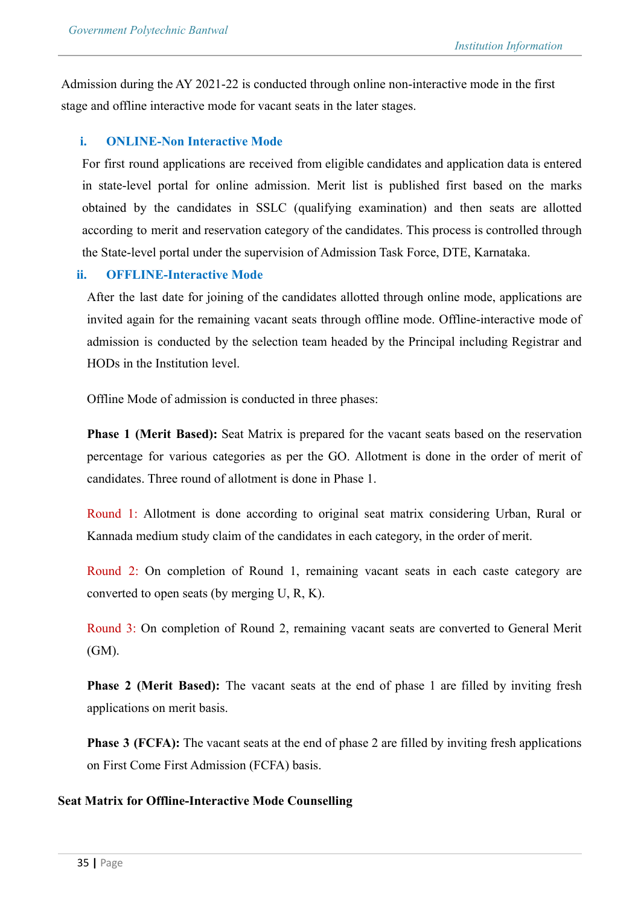Admission during the AY 2021-22 is conducted through online non-interactive mode in the first stage and offline interactive mode for vacant seats in the later stages.

### **i. ONLINE-Non Interactive Mode**

For first round applications are received from eligible candidates and application data is entered in state-level portal for online admission. Merit list is published first based on the marks obtained by the candidates in SSLC (qualifying examination) and then seats are allotted according to merit and reservation category of the candidates. This process is controlled through the State-level portal under the supervision of Admission Task Force, DTE, Karnataka.

### **ii. OFFLINE-Interactive Mode**

After the last date for joining of the candidates allotted through online mode, applications are invited again for the remaining vacant seats through offline mode. Offline-interactive mode of admission is conducted by the selection team headed by the Principal including Registrar and HODs in the Institution level.

Offline Mode of admission is conducted in three phases:

**Phase 1 (Merit Based):** Seat Matrix is prepared for the vacant seats based on the reservation percentage for various categories as per the GO. Allotment is done in the order of merit of candidates. Three round of allotment is done in Phase 1.

Round 1: Allotment is done according to original seat matrix considering Urban, Rural or Kannada medium study claim of the candidates in each category, in the order of merit.

Round 2: On completion of Round 1, remaining vacant seats in each caste category are converted to open seats (by merging U, R, K).

Round 3: On completion of Round 2, remaining vacant seats are converted to General Merit (GM).

**Phase 2 (Merit Based):** The vacant seats at the end of phase 1 are filled by inviting fresh applications on merit basis.

**Phase 3 (FCFA):** The vacant seats at the end of phase 2 are filled by inviting fresh applications on First Come First Admission (FCFA) basis.

### **Seat Matrix for Offline-Interactive Mode Counselling**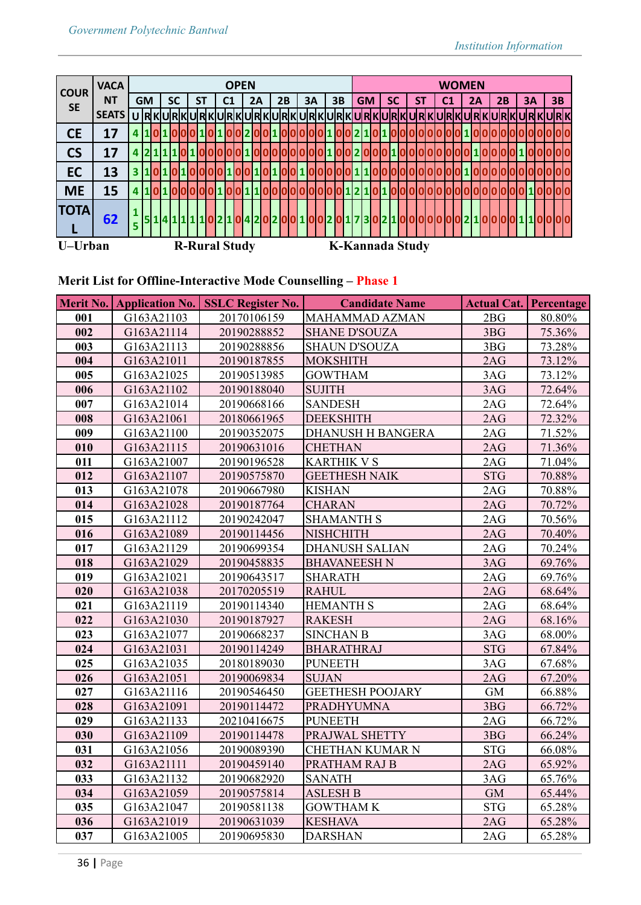| <b>COUR</b> | <b>VACA</b>  |    | <b>OPEN</b> |  |  |           |  |    |                      | <b>WOMEN</b>   |  |                                                                                         |  |    |  |    |    |              |           |  |                        |           |  |  |    |  |  |                |  |    |  |    |  |    |  |            |  |
|-------------|--------------|----|-------------|--|--|-----------|--|----|----------------------|----------------|--|-----------------------------------------------------------------------------------------|--|----|--|----|----|--------------|-----------|--|------------------------|-----------|--|--|----|--|--|----------------|--|----|--|----|--|----|--|------------|--|
| <b>SE</b>   | <b>NT</b>    |    | <b>GM</b>   |  |  | <b>SC</b> |  | SΤ |                      | C <sub>1</sub> |  | 2A                                                                                      |  | 2B |  | 3A | 3B |              | <b>GM</b> |  |                        | <b>SC</b> |  |  | SΤ |  |  | C <sub>1</sub> |  | 2A |  | 2B |  | 3A |  | 3 <b>B</b> |  |
|             | <b>SEATS</b> |    |             |  |  |           |  |    |                      |                |  |                                                                                         |  |    |  |    |    |              |           |  |                        |           |  |  |    |  |  |                |  |    |  |    |  |    |  |            |  |
| <b>CE</b>   | 17           |    |             |  |  |           |  |    |                      |                |  |                                                                                         |  |    |  |    |    | $\mathbf{z}$ |           |  |                        |           |  |  |    |  |  |                |  |    |  |    |  |    |  |            |  |
| <b>CS</b>   | 17           |    |             |  |  |           |  |    |                      |                |  |                                                                                         |  |    |  |    |    |              |           |  |                        |           |  |  |    |  |  |                |  |    |  |    |  |    |  |            |  |
| EC          | 13           | 3  |             |  |  |           |  |    |                      |                |  |                                                                                         |  |    |  |    |    |              |           |  |                        |           |  |  |    |  |  |                |  |    |  |    |  |    |  |            |  |
| <b>ME</b>   | 15           |    |             |  |  |           |  |    |                      |                |  |                                                                                         |  |    |  |    |    |              |           |  |                        |           |  |  |    |  |  |                |  |    |  |    |  |    |  |            |  |
| <b>TOTA</b> | 62           | 5. |             |  |  |           |  |    |                      |                |  | <u> 4 1 1 1 1 0 2 1 0 4 2 0 2 0 0 1 0 0 2 0 1 7 3 0 2 1 0 0 0 0 0 0 0 2 1 0 0 0 0 1</u> |  |    |  |    |    |              |           |  |                        |           |  |  |    |  |  |                |  |    |  |    |  |    |  | 10000      |  |
| U-Urban     |              |    |             |  |  |           |  |    | <b>R-Rural Study</b> |                |  |                                                                                         |  |    |  |    |    |              |           |  | <b>K-Kannada Study</b> |           |  |  |    |  |  |                |  |    |  |    |  |    |  |            |  |

# **Merit List for Offline-Interactive Mode Counselling – Phase 1**

|     |            | Merit No. Application No. SSLC Register No. | <b>Candidate Name</b>    |            | <b>Actual Cat. Percentage</b> |  |
|-----|------------|---------------------------------------------|--------------------------|------------|-------------------------------|--|
| 001 | G163A21103 | 20170106159                                 | MAHAMMAD AZMAN           | 2BG        | 80.80%                        |  |
| 002 | G163A21114 | 20190288852                                 | <b>SHANE D'SOUZA</b>     | 3BG        | 75.36%                        |  |
| 003 | G163A21113 | 20190288856                                 | <b>SHAUN D'SOUZA</b>     | 3BG        | 73.28%                        |  |
| 004 | G163A21011 | 20190187855                                 | <b>MOKSHITH</b>          | 2AG        | 73.12%                        |  |
| 005 | G163A21025 | 20190513985                                 | <b>GOWTHAM</b>           | 3AG        | 73.12%                        |  |
| 006 | G163A21102 | 20190188040                                 | <b>SUJITH</b>            | 3AG        | 72.64%                        |  |
| 007 | G163A21014 | 20190668166                                 | <b>SANDESH</b>           | 2AG        | 72.64%                        |  |
| 008 | G163A21061 | 20180661965                                 | <b>DEEKSHITH</b>         | 2AG        | 72.32%                        |  |
| 009 | G163A21100 | 20190352075                                 | <b>DHANUSH H BANGERA</b> | 2AG        | 71.52%                        |  |
| 010 | G163A21115 | 20190631016                                 | <b>CHETHAN</b>           | 2AG        | 71.36%                        |  |
| 011 | G163A21007 | 20190196528                                 | <b>KARTHIK V S</b>       | 2AG        | 71.04%                        |  |
| 012 | G163A21107 | 20190575870                                 | <b>GEETHESH NAIK</b>     | <b>STG</b> | 70.88%                        |  |
| 013 | G163A21078 | 20190667980                                 | <b>KISHAN</b>            | 2AG        | 70.88%                        |  |
| 014 | G163A21028 | 20190187764                                 | <b>CHARAN</b>            | 2AG        | 70.72%                        |  |
| 015 | G163A21112 | 20190242047                                 | <b>SHAMANTH S</b>        | 2AG        | 70.56%                        |  |
| 016 | G163A21089 | 20190114456                                 | <b>NISHCHITH</b>         | 2AG        | 70.40%                        |  |
| 017 | G163A21129 | 20190699354                                 | <b>DHANUSH SALIAN</b>    | 2AG        | 70.24%                        |  |
| 018 | G163A21029 | 20190458835                                 | <b>BHAVANEESH N</b>      | 3AG        | 69.76%                        |  |
| 019 | G163A21021 | 20190643517                                 | <b>SHARATH</b>           | 2AG        | 69.76%                        |  |
| 020 | G163A21038 | 20170205519                                 | <b>RAHUL</b>             | 2AG        | 68.64%                        |  |
| 021 | G163A21119 | 20190114340                                 | <b>HEMANTH S</b>         | 2AG        | 68.64%                        |  |
| 022 | G163A21030 | 20190187927                                 | <b>RAKESH</b>            | 2AG        | 68.16%                        |  |
| 023 | G163A21077 | 20190668237                                 | <b>SINCHAN B</b>         | 3AG        | 68.00%                        |  |
| 024 | G163A21031 | 20190114249                                 | <b>BHARATHRAJ</b>        | <b>STG</b> | 67.84%                        |  |
| 025 | G163A21035 | 20180189030                                 | <b>PUNEETH</b>           | 3AG        | 67.68%                        |  |
| 026 | G163A21051 | 20190069834                                 | <b>SUJAN</b>             | 2AG        | 67.20%                        |  |
| 027 | G163A21116 | 20190546450                                 | <b>GEETHESH POOJARY</b>  | <b>GM</b>  | 66.88%                        |  |
| 028 | G163A21091 | 20190114472                                 | <b>PRADHYUMNA</b>        | 3BG        | 66.72%                        |  |
| 029 | G163A21133 | 20210416675                                 | <b>PUNEETH</b>           | 2AG        | 66.72%                        |  |
| 030 | G163A21109 | 20190114478                                 | PRAJWAL SHETTY           | 3BG        | 66.24%                        |  |
| 031 | G163A21056 | 20190089390                                 | CHETHAN KUMAR N          | <b>STG</b> | 66.08%                        |  |
| 032 | G163A21111 | 20190459140                                 | PRATHAM RAJ B            | 2AG        | 65.92%                        |  |
| 033 | G163A21132 | 20190682920                                 | <b>SANATH</b>            | 3AG        | 65.76%                        |  |
| 034 | G163A21059 | 20190575814                                 | <b>ASLESH B</b>          | <b>GM</b>  | 65.44%                        |  |
| 035 | G163A21047 | 20190581138                                 | <b>GOWTHAM K</b>         | <b>STG</b> | 65.28%                        |  |
| 036 | G163A21019 | 20190631039                                 | <b>KESHAVA</b>           | 2AG        | 65.28%                        |  |
| 037 | G163A21005 | 20190695830                                 | <b>DARSHAN</b>           | 2AG        | 65.28%                        |  |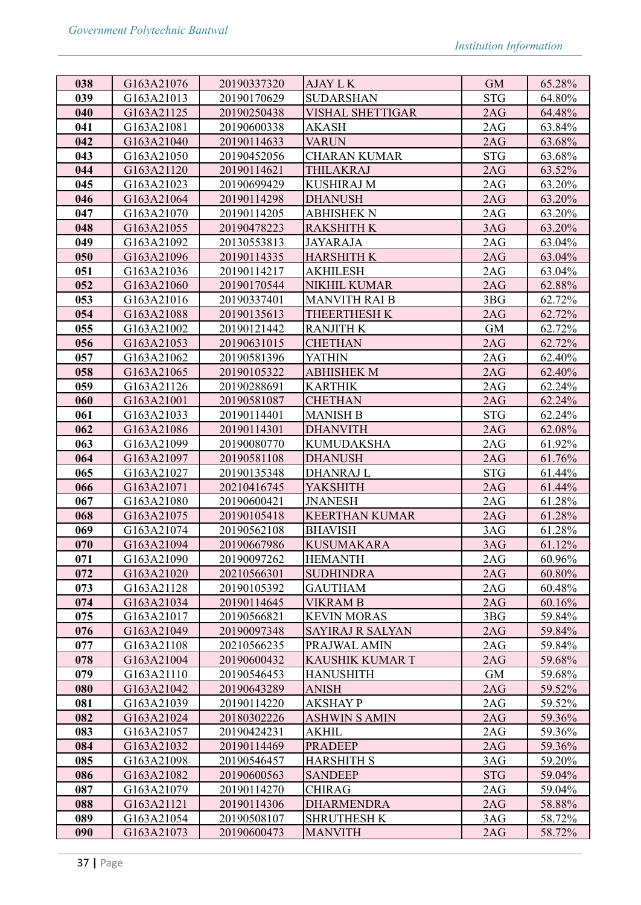| 038 | G163A21076 | 20190337320 | <b>AJAY L K</b>         | <b>GM</b>        | 65.28% |
|-----|------------|-------------|-------------------------|------------------|--------|
| 039 | G163A21013 | 20190170629 | <b>SUDARSHAN</b>        | <b>STG</b>       | 64.80% |
| 040 | G163A21125 | 20190250438 | VISHAL SHETTIGAR        | 2AG              | 64.48% |
| 041 | G163A21081 | 20190600338 | <b>AKASH</b>            | 2AG              | 63.84% |
| 042 | G163A21040 | 20190114633 | <b>VARUN</b>            | 2AG              | 63.68% |
| 043 | G163A21050 | 20190452056 | CHARAN KUMAR            | <b>STG</b>       | 63.68% |
| 044 | G163A21120 | 20190114621 | THILAKRAJ               | 2AG              | 63.52% |
| 045 | G163A21023 | 20190699429 | <b>KUSHIRAJ M</b>       | 2AG              | 63.20% |
| 046 | G163A21064 | 20190114298 | <b>DHANUSH</b>          | 2AG              | 63.20% |
| 047 | G163A21070 | 20190114205 | ABHISHEK N              | 2AG              | 63.20% |
| 048 | G163A21055 | 20190478223 | <b>RAKSHITH K</b>       | 3AG              | 63.20% |
| 049 | G163A21092 | 20130553813 | <b>JAYARAJA</b>         | 2AG              | 63.04% |
| 050 | G163A21096 | 20190114335 | <b>HARSHITH K</b>       | 2AG              | 63.04% |
| 051 | G163A21036 | 20190114217 | AKHILESH                | 2AG              | 63.04% |
| 052 | G163A21060 | 20190170544 | <b>NIKHIL KUMAR</b>     | 2AG              | 62.88% |
| 053 | G163A21016 | 20190337401 | <b>MANVITH RAI B</b>    | 3BG              | 62.72% |
| 054 | G163A21088 | 20190135613 | THEERTHESH K            | 2AG              | 62.72% |
| 055 | G163A21002 | 20190121442 | <b>RANJITH K</b>        | <b>GM</b>        | 62.72% |
| 056 | G163A21053 | 20190631015 | <b>CHETHAN</b>          | 2AG              | 62.72% |
| 057 | G163A21062 | 20190581396 | <b>YATHIN</b>           | 2AG              | 62.40% |
| 058 | G163A21065 | 20190105322 | <b>ABHISHEK M</b>       | 2AG              | 62.40% |
| 059 | G163A21126 | 20190288691 | <b>KARTHIK</b>          | 2AG              | 62.24% |
| 060 | G163A21001 | 20190581087 | <b>CHETHAN</b>          | 2AG              | 62.24% |
| 061 | G163A21033 | 20190114401 | <b>MANISH B</b>         | <b>STG</b>       | 62.24% |
| 062 | G163A21086 | 20190114301 | <b>DHANVITH</b>         | 2AG              | 62.08% |
| 063 | G163A21099 | 20190080770 | <b>KUMUDAKSHA</b>       | 2AG              | 61.92% |
| 064 | G163A21097 | 20190581108 | <b>DHANUSH</b>          | 2AG              | 61.76% |
| 065 | G163A21027 | 20190135348 | <b>DHANRAJ L</b>        | <b>STG</b>       | 61.44% |
| 066 | G163A21071 | 20210416745 | <b>YAKSHITH</b>         | 2AG              | 61.44% |
| 067 | G163A21080 | 20190600421 | <b>JNANESH</b>          | 2AG              | 61.28% |
| 068 | G163A21075 | 20190105418 | <b>KEERTHAN KUMAR</b>   | 2AG              | 61.28% |
| 069 | G163A21074 | 20190562108 | <b>BHAVISH</b>          | 3AG              | 61.28% |
| 070 | G163A21094 | 20190667986 | <b>KUSUMAKARA</b>       | 3AG              | 61.12% |
| 071 | G163A21090 | 20190097262 | <b>HEMANTH</b>          | 2AG              | 60.96% |
| 072 | G163A21020 | 20210566301 | <b>SUDHINDRA</b>        | 2AG              | 60.80% |
| 073 | G163A21128 | 20190105392 | <b>GAUTHAM</b>          | 2AG              | 60.48% |
| 074 | G163A21034 | 20190114645 | <b>VIKRAM B</b>         | 2AG              | 60.16% |
| 075 | G163A21017 | 20190566821 | <b>KEVIN MORAS</b>      | 3 <sub>B</sub> G | 59.84% |
| 076 | G163A21049 | 20190097348 | <b>SAYIRAJ R SALYAN</b> | 2AG              | 59.84% |
| 077 | G163A21108 | 20210566235 | PRAJWAL AMIN            | 2AG              | 59.84% |
| 078 | G163A21004 | 20190600432 | <b>KAUSHIK KUMAR T</b>  | 2AG              | 59.68% |
| 079 | G163A21110 | 20190546453 | <b>HANUSHITH</b>        | <b>GM</b>        | 59.68% |
| 080 | G163A21042 | 20190643289 | <b>ANISH</b>            | 2AG              | 59.52% |
| 081 | G163A21039 | 20190114220 | <b>AKSHAY P</b>         | 2AG              | 59.52% |
| 082 | G163A21024 | 20180302226 | <b>ASHWIN S AMIN</b>    | 2AG              | 59.36% |
| 083 | G163A21057 | 20190424231 | <b>AKHIL</b>            | 2AG              | 59.36% |
| 084 | G163A21032 | 20190114469 | <b>PRADEEP</b>          | 2AG              | 59.36% |
| 085 | G163A21098 | 20190546457 | <b>HARSHITH S</b>       | 3AG              | 59.20% |
| 086 | G163A21082 | 20190600563 | <b>SANDEEP</b>          | <b>STG</b>       | 59.04% |
| 087 | G163A21079 | 20190114270 | <b>CHIRAG</b>           | 2AG              | 59.04% |
| 088 | G163A21121 | 20190114306 | <b>DHARMENDRA</b>       | 2AG              | 58.88% |
| 089 | G163A21054 | 20190508107 | <b>SHRUTHESH K</b>      | 3AG              | 58.72% |
| 090 | G163A21073 | 20190600473 | <b>MANVITH</b>          | 2AG              | 58.72% |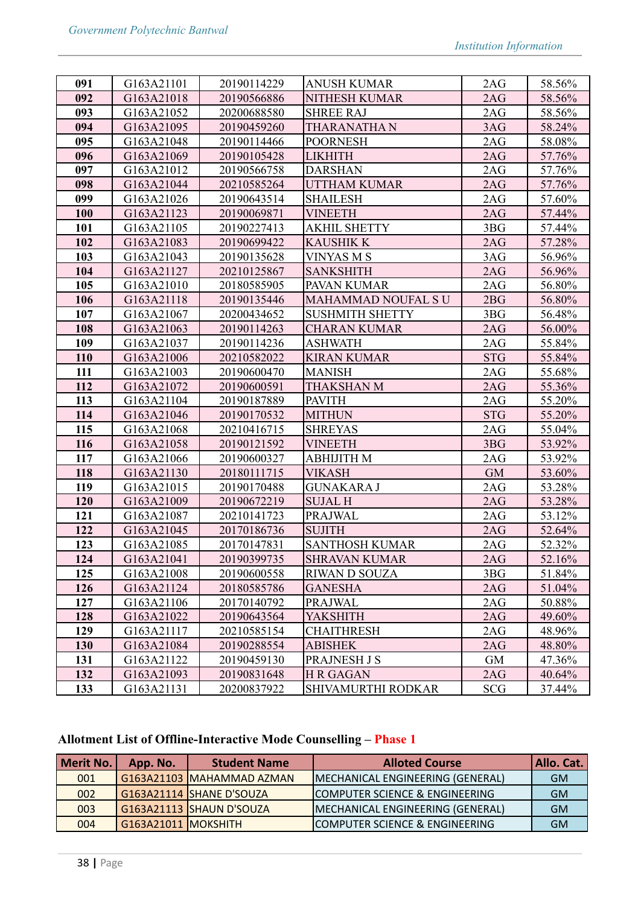| 091 | G163A21101 | 20190114229 | <b>ANUSH KUMAR</b>        | 2AG              | 58.56% |
|-----|------------|-------------|---------------------------|------------------|--------|
| 092 | G163A21018 | 20190566886 | NITHESH KUMAR             | 2AG              | 58.56% |
| 093 | G163A21052 | 20200688580 | <b>SHREE RAJ</b>          | 2AG              | 58.56% |
| 094 | G163A21095 | 20190459260 | <b>THARANATHAN</b>        | 3AG              | 58.24% |
| 095 | G163A21048 | 20190114466 | <b>POORNESH</b>           | 2AG              | 58.08% |
| 096 | G163A21069 | 20190105428 | <b>LIKHITH</b>            | 2AG              | 57.76% |
| 097 | G163A21012 | 20190566758 | <b>DARSHAN</b>            | 2AG              | 57.76% |
| 098 | G163A21044 | 20210585264 | <b>UTTHAM KUMAR</b>       | 2AG              | 57.76% |
| 099 | G163A21026 | 20190643514 | <b>SHAILESH</b>           | 2AG              | 57.60% |
| 100 | G163A21123 | 20190069871 | <b>VINEETH</b>            | 2AG              | 57.44% |
| 101 | G163A21105 | 20190227413 | <b>AKHIL SHETTY</b>       | 3BG              | 57.44% |
| 102 | G163A21083 | 20190699422 | <b>KAUSHIK K</b>          | 2AG              | 57.28% |
| 103 | G163A21043 | 20190135628 | <b>VINYAS M S</b>         | 3AG              | 56.96% |
| 104 | G163A21127 | 20210125867 | <b>SANKSHITH</b>          | 2AG              | 56.96% |
| 105 | G163A21010 | 20180585905 | PAVAN KUMAR               | 2AG              | 56.80% |
| 106 | G163A21118 | 20190135446 | <b>MAHAMMAD NOUFAL SU</b> | 2BG              | 56.80% |
| 107 | G163A21067 | 20200434652 | <b>SUSHMITH SHETTY</b>    | 3 <sub>B</sub> G | 56.48% |
| 108 | G163A21063 | 20190114263 | <b>CHARAN KUMAR</b>       | 2AG              | 56.00% |
| 109 | G163A21037 | 20190114236 | <b>ASHWATH</b>            | 2AG              | 55.84% |
| 110 | G163A21006 | 20210582022 | <b>KIRAN KUMAR</b>        | <b>STG</b>       | 55.84% |
| 111 | G163A21003 | 20190600470 | <b>MANISH</b>             | 2AG              | 55.68% |
| 112 | G163A21072 | 20190600591 | THAKSHAN M                | 2AG              | 55.36% |
| 113 | G163A21104 | 20190187889 | <b>PAVITH</b>             | 2AG              | 55.20% |
| 114 | G163A21046 | 20190170532 | <b>MITHUN</b>             | <b>STG</b>       | 55.20% |
| 115 | G163A21068 | 20210416715 | <b>SHREYAS</b>            | 2AG              | 55.04% |
| 116 | G163A21058 | 20190121592 | <b>VINEETH</b>            | 3 <sub>B</sub>   | 53.92% |
| 117 | G163A21066 | 20190600327 | <b>ABHIJITH M</b>         | 2AG              | 53.92% |
| 118 | G163A21130 | 20180111715 | VIKASH                    | <b>GM</b>        | 53.60% |
| 119 | G163A21015 | 20190170488 | <b>GUNAKARA J</b>         | 2AG              | 53.28% |
| 120 | G163A21009 | 20190672219 | <b>SUJAL H</b>            | 2AG              | 53.28% |
| 121 | G163A21087 | 20210141723 | <b>PRAJWAL</b>            | 2AG              | 53.12% |
| 122 | G163A21045 | 20170186736 | <b>SUJITH</b>             | 2AG              | 52.64% |
| 123 | G163A21085 | 20170147831 | <b>SANTHOSH KUMAR</b>     | 2AG              | 52.32% |
| 124 | G163A21041 | 20190399735 | <b>SHRAVAN KUMAR</b>      | 2AG              | 52.16% |
| 125 | G163A21008 | 20190600558 | <b>RIWAN D SOUZA</b>      | 3BG              | 51.84% |
| 126 | G163A21124 | 20180585786 | <b>GANESHA</b>            | 2AG              | 51.04% |
| 127 | G163A21106 | 20170140792 | PRAJWAL                   | 2AG              | 50.88% |
| 128 | G163A21022 | 20190643564 | <b>YAKSHITH</b>           | 2AG              | 49.60% |
| 129 | G163A21117 | 20210585154 | <b>CHAITHRESH</b>         | 2AG              | 48.96% |
| 130 | G163A21084 | 20190288554 | <b>ABISHEK</b>            | 2AG              | 48.80% |
| 131 | G163A21122 | 20190459130 | <b>PRAJNESH J S</b>       | <b>GM</b>        | 47.36% |
| 132 | G163A21093 | 20190831648 | <b>H R GAGAN</b>          | 2AG              | 40.64% |
| 133 | G163A21131 | 20200837922 | SHIVAMURTHI RODKAR        | <b>SCG</b>       | 37.44% |

# **Allotment List of Offline-Interactive Mode Counselling – Phase 1**

| Merit No. | App. No.            | <b>Student Name</b>       | <b>Alloted Course</b>                     | Allo. Cat. |
|-----------|---------------------|---------------------------|-------------------------------------------|------------|
| 001       |                     | G163A21103 MAHAMMAD AZMAN | MECHANICAL ENGINEERING (GENERAL)          | <b>GM</b>  |
| 002       |                     | G163A21114 SHANE D'SOUZA  | COMPUTER SCIENCE & ENGINEERING            | <b>GM</b>  |
| 003       |                     | G163A21113 SHAUN D'SOUZA  | MECHANICAL ENGINEERING (GENERAL)          | <b>GM</b>  |
| 004       | G163A21011 MOKSHITH |                           | <b>COMPUTER SCIENCE &amp; ENGINEERING</b> | <b>GM</b>  |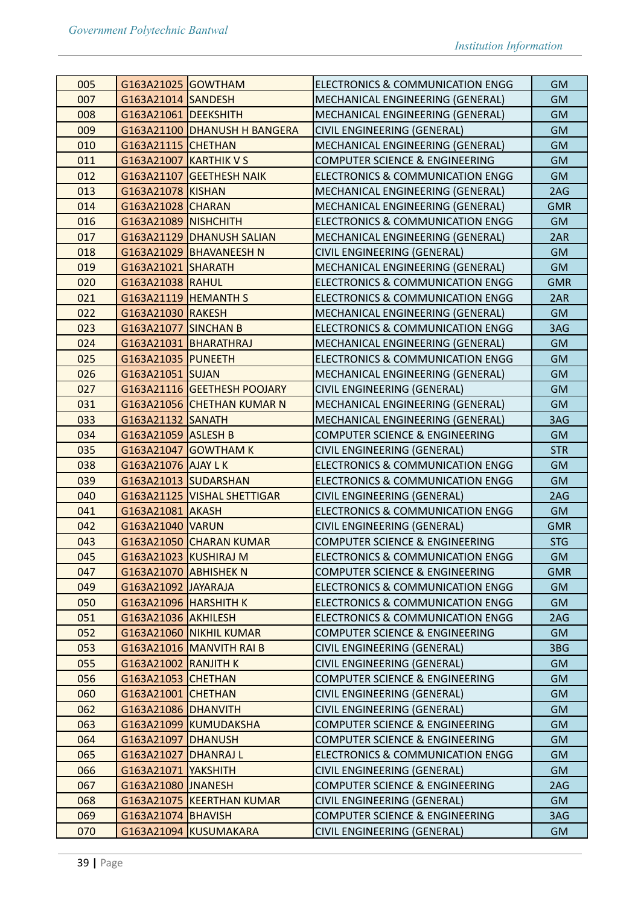| 005 | G163A21025 GOWTHAM            |                              | <b>ELECTRONICS &amp; COMMUNICATION ENGG</b> | <b>GM</b>  |
|-----|-------------------------------|------------------------------|---------------------------------------------|------------|
| 007 | G163A21014 SANDESH            |                              | MECHANICAL ENGINEERING (GENERAL)            | <b>GM</b>  |
| 008 | G163A21061 DEEKSHITH          |                              | MECHANICAL ENGINEERING (GENERAL)            | <b>GM</b>  |
| 009 |                               | G163A21100 DHANUSH H BANGERA | CIVIL ENGINEERING (GENERAL)                 | <b>GM</b>  |
| 010 | G163A21115 CHETHAN            |                              | MECHANICAL ENGINEERING (GENERAL)            | <b>GM</b>  |
| 011 | <b>G163A21007 KARTHIK V S</b> |                              | COMPUTER SCIENCE & ENGINEERING              | <b>GM</b>  |
| 012 |                               | G163A21107 GEETHESH NAIK     | <b>ELECTRONICS &amp; COMMUNICATION ENGG</b> | <b>GM</b>  |
| 013 | G163A21078 KISHAN             |                              | MECHANICAL ENGINEERING (GENERAL)            | 2AG        |
| 014 | G163A21028 CHARAN             |                              | MECHANICAL ENGINEERING (GENERAL)            | <b>GMR</b> |
| 016 | G163A21089 NISHCHITH          |                              | <b>ELECTRONICS &amp; COMMUNICATION ENGG</b> | <b>GM</b>  |
| 017 |                               | G163A21129 DHANUSH SALIAN    | MECHANICAL ENGINEERING (GENERAL)            | 2AR        |
| 018 |                               | G163A21029 BHAVANEESH N      | CIVIL ENGINEERING (GENERAL)                 | <b>GM</b>  |
| 019 | G163A21021 SHARATH            |                              | MECHANICAL ENGINEERING (GENERAL)            | <b>GM</b>  |
| 020 | G163A21038 RAHUL              |                              | <b>ELECTRONICS &amp; COMMUNICATION ENGG</b> | <b>GMR</b> |
| 021 | G163A21119 HEMANTH S          |                              | <b>ELECTRONICS &amp; COMMUNICATION ENGG</b> | 2AR        |
| 022 | G163A21030 RAKESH             |                              | MECHANICAL ENGINEERING (GENERAL)            | <b>GM</b>  |
| 023 | <b>G163A21077 SINCHAN B</b>   |                              | <b>ELECTRONICS &amp; COMMUNICATION ENGG</b> | 3AG        |
| 024 |                               | G163A21031   BHARATHRAJ      | MECHANICAL ENGINEERING (GENERAL)            | <b>GM</b>  |
| 025 | G163A21035 PUNEETH            |                              | <b>ELECTRONICS &amp; COMMUNICATION ENGG</b> | <b>GM</b>  |
| 026 | G163A21051 SUJAN              |                              | MECHANICAL ENGINEERING (GENERAL)            | <b>GM</b>  |
| 027 |                               | G163A21116 GEETHESH POOJARY  | CIVIL ENGINEERING (GENERAL)                 | <b>GM</b>  |
| 031 |                               | G163A21056 CHETHAN KUMAR N   | MECHANICAL ENGINEERING (GENERAL)            | <b>GM</b>  |
| 033 | G163A21132 SANATH             |                              | MECHANICAL ENGINEERING (GENERAL)            | 3AG        |
| 034 | G163A21059 ASLESH B           |                              | COMPUTER SCIENCE & ENGINEERING              | <b>GM</b>  |
| 035 |                               | G163A21047 GOWTHAM K         | CIVIL ENGINEERING (GENERAL)                 | <b>STR</b> |
| 038 | G163A21076 AJAY LK            |                              | <b>ELECTRONICS &amp; COMMUNICATION ENGG</b> | <b>GM</b>  |
| 039 | G163A21013 SUDARSHAN          |                              | <b>ELECTRONICS &amp; COMMUNICATION ENGG</b> | <b>GM</b>  |
| 040 |                               | G163A21125 VISHAL SHETTIGAR  | CIVIL ENGINEERING (GENERAL)                 | 2AG        |
| 041 | G163A21081 AKASH              |                              | ELECTRONICS & COMMUNICATION ENGG            | <b>GM</b>  |
| 042 | G163A21040 VARUN              |                              | CIVIL ENGINEERING (GENERAL)                 | <b>GMR</b> |
| 043 |                               | G163A21050 CHARAN KUMAR      | COMPUTER SCIENCE & ENGINEERING              | <b>STG</b> |
| 045 | G163A21023 KUSHIRAJ M         |                              | ELECTRONICS & COMMUNICATION ENGG            | <b>GM</b>  |
| 047 | G163A21070 ABHISHEK N         |                              | COMPUTER SCIENCE & ENGINEERING              | <b>GMR</b> |
| 049 | G163A21092 JAYARAJA           |                              | <b>ELECTRONICS &amp; COMMUNICATION ENGG</b> | <b>GM</b>  |
| 050 | G163A21096 HARSHITH K         |                              | ELECTRONICS & COMMUNICATION ENGG            | <b>GM</b>  |
| 051 | G163A21036 AKHILESH           |                              | <b>ELECTRONICS &amp; COMMUNICATION ENGG</b> | 2AG        |
| 052 |                               | G163A21060 NIKHIL KUMAR      | COMPUTER SCIENCE & ENGINEERING              | <b>GM</b>  |
| 053 |                               | G163A21016 MANVITH RAI B     | CIVIL ENGINEERING (GENERAL)                 | 3BG        |
| 055 | <b>G163A21002 RANJITH K</b>   |                              | CIVIL ENGINEERING (GENERAL)                 | <b>GM</b>  |
| 056 | G163A21053 CHETHAN            |                              | COMPUTER SCIENCE & ENGINEERING              | <b>GM</b>  |
| 060 | G163A21001 CHETHAN            |                              | CIVIL ENGINEERING (GENERAL)                 | <b>GM</b>  |
| 062 | G163A21086 DHANVITH           |                              | CIVIL ENGINEERING (GENERAL)                 | <b>GM</b>  |
| 063 |                               | G163A21099 KUMUDAKSHA        | COMPUTER SCIENCE & ENGINEERING              | <b>GM</b>  |
| 064 | G163A21097   DHANUSH          |                              | COMPUTER SCIENCE & ENGINEERING              | <b>GM</b>  |
| 065 | G163A21027 DHANRAJ L          |                              | <b>ELECTRONICS &amp; COMMUNICATION ENGG</b> | <b>GM</b>  |
| 066 | G163A21071   YAKSHITH         |                              | CIVIL ENGINEERING (GENERAL)                 | <b>GM</b>  |
| 067 | G163A21080 JNANESH            |                              | COMPUTER SCIENCE & ENGINEERING              | 2AG        |
| 068 |                               | G163A21075 KEERTHAN KUMAR    | CIVIL ENGINEERING (GENERAL)                 | <b>GM</b>  |
| 069 | G163A21074                    | BHAVISH                      | COMPUTER SCIENCE & ENGINEERING              | 3AG        |
| 070 |                               | G163A21094 KUSUMAKARA        | CIVIL ENGINEERING (GENERAL)                 | <b>GM</b>  |
|     |                               |                              |                                             |            |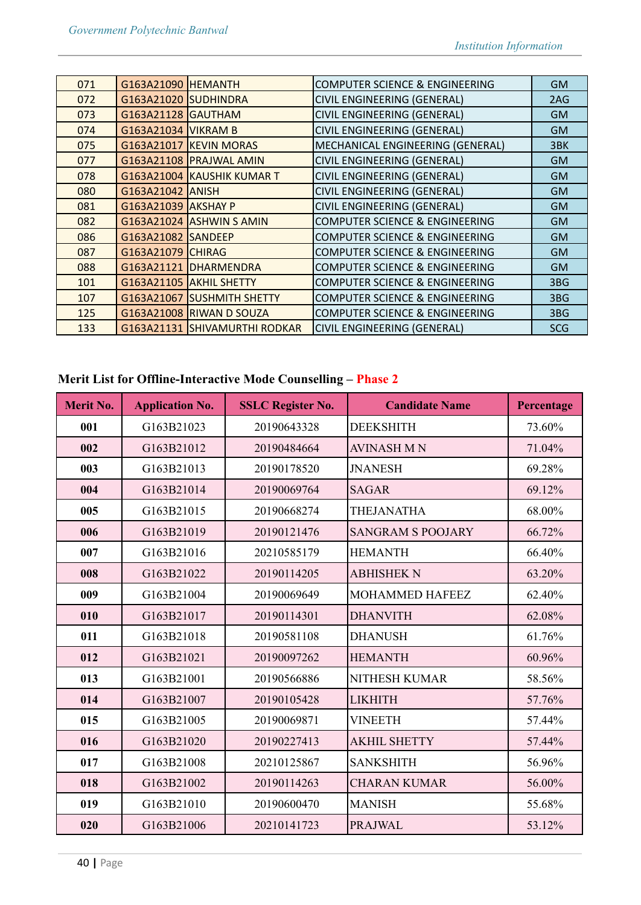| 071 | G163A21090 HEMANTH   |                               | <b>COMPUTER SCIENCE &amp; ENGINEERING</b> | <b>GM</b>  |
|-----|----------------------|-------------------------------|-------------------------------------------|------------|
| 072 | G163A21020 SUDHINDRA |                               | <b>CIVIL ENGINEERING (GENERAL)</b>        | 2AG        |
| 073 | G163A21128 GAUTHAM   |                               | CIVIL ENGINEERING (GENERAL)               | <b>GM</b>  |
| 074 | G163A21034 VIKRAM B  |                               | CIVIL ENGINEERING (GENERAL)               | <b>GM</b>  |
| 075 |                      | G163A21017 KEVIN MORAS        | MECHANICAL ENGINEERING (GENERAL)          | 3BK        |
| 077 |                      | G163A21108 PRAJWAL AMIN       | CIVIL ENGINEERING (GENERAL)               | <b>GM</b>  |
| 078 |                      | G163A21004 KAUSHIK KUMAR T    | CIVIL ENGINEERING (GENERAL)               | <b>GM</b>  |
| 080 | G163A21042 ANISH     |                               | CIVIL ENGINEERING (GENERAL)               | <b>GM</b>  |
| 081 | G163A21039 AKSHAY P  |                               | CIVIL ENGINEERING (GENERAL)               | <b>GM</b>  |
| 082 |                      | G163A21024 ASHWIN S AMIN      | <b>COMPUTER SCIENCE &amp; ENGINEERING</b> | <b>GM</b>  |
| 086 | G163A21082 SANDEEP   |                               | <b>COMPUTER SCIENCE &amp; ENGINEERING</b> | <b>GM</b>  |
| 087 | G163A21079 CHIRAG    |                               | <b>COMPUTER SCIENCE &amp; ENGINEERING</b> | <b>GM</b>  |
| 088 |                      | G163A21121 DHARMENDRA         | <b>COMPUTER SCIENCE &amp; ENGINEERING</b> | <b>GM</b>  |
| 101 |                      | G163A21105 AKHIL SHETTY       | <b>COMPUTER SCIENCE &amp; ENGINEERING</b> | 3BG        |
| 107 |                      | G163A21067 SUSHMITH SHETTY    | <b>COMPUTER SCIENCE &amp; ENGINEERING</b> | 3BG        |
| 125 |                      | G163A21008 RIWAN D SOUZA      | <b>COMPUTER SCIENCE &amp; ENGINEERING</b> | 3BG        |
| 133 |                      | G163A21131 SHIVAMURTHI RODKAR | <b>CIVIL ENGINEERING (GENERAL)</b>        | <b>SCG</b> |
|     |                      |                               |                                           |            |

# **Merit List for Offline-Interactive Mode Counselling – Phase 2**

| <b>Merit No.</b> | <b>Application No.</b> | <b>SSLC Register No.</b> | <b>Candidate Name</b>    | Percentage |
|------------------|------------------------|--------------------------|--------------------------|------------|
| 001              | G163B21023             | 20190643328              | <b>DEEKSHITH</b>         | 73.60%     |
| 002              | G163B21012             | 20190484664              | <b>AVINASH MN</b>        | 71.04%     |
| 003              | G163B21013             | 20190178520              | <b>JNANESH</b>           | 69.28%     |
| 004              | G163B21014             | 20190069764              | <b>SAGAR</b>             | 69.12%     |
| 005              | G163B21015             | 20190668274              | <b>THEJANATHA</b>        | 68.00%     |
| 006              | G163B21019             | 20190121476              | <b>SANGRAM S POOJARY</b> | 66.72%     |
| 007              | G163B21016             | 20210585179              | <b>HEMANTH</b>           | 66.40%     |
| 008              | G163B21022             | 20190114205              | <b>ABHISHEK N</b>        | 63.20%     |
| 009              | G163B21004             | 20190069649              | <b>MOHAMMED HAFEEZ</b>   | 62.40%     |
| 010              | G163B21017             | 20190114301              | <b>DHANVITH</b>          | 62.08%     |
| 011              | G163B21018             | 20190581108              | <b>DHANUSH</b>           | 61.76%     |
| 012              | G163B21021             | 20190097262              | <b>HEMANTH</b>           | 60.96%     |
| 013              | G163B21001             | 20190566886              | <b>NITHESH KUMAR</b>     | 58.56%     |
| 014              | G163B21007             | 20190105428              | <b>LIKHITH</b>           | 57.76%     |
| 015              | G163B21005             | 20190069871              | <b>VINEETH</b>           | 57.44%     |
| 016              | G163B21020             | 20190227413              | <b>AKHIL SHETTY</b>      | 57.44%     |
| 017              | G163B21008             | 20210125867              | <b>SANKSHITH</b>         | 56.96%     |
| 018              | G163B21002             | 20190114263              | <b>CHARAN KUMAR</b>      | 56.00%     |
| 019              | G163B21010             | 20190600470              | <b>MANISH</b>            | 55.68%     |
| 020              | G163B21006             | 20210141723              | <b>PRAJWAL</b>           | 53.12%     |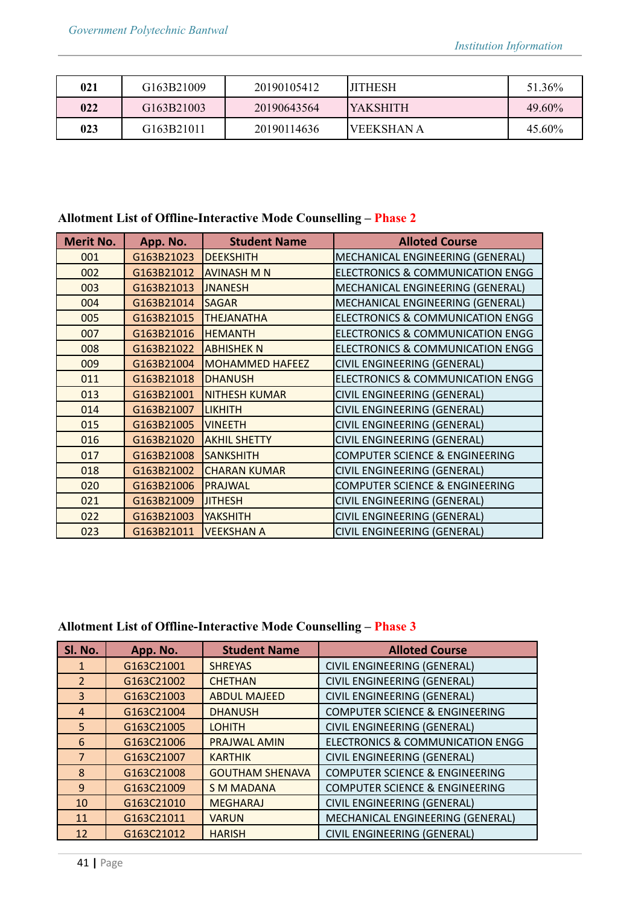| 021 | G163B21009 | 20190105412 | <b>IITHESH</b> | 51.36% |
|-----|------------|-------------|----------------|--------|
| 022 | G163B21003 | 20190643564 | IYAKSHITH      | 49.60% |
| 023 | G163B21011 | 20190114636 | IVEEKSHAN A    | 45.60% |

# **Allotment List of Offline-Interactive Mode Counselling – Phase 2**

| <b>Merit No.</b> | App. No.   | <b>Student Name</b>    | <b>Alloted Course</b>                       |
|------------------|------------|------------------------|---------------------------------------------|
| 001              | G163B21023 | <b>DEEKSHITH</b>       | MECHANICAL ENGINEERING (GENERAL)            |
| 002              | G163B21012 | <b>AVINASH M N</b>     | <b>ELECTRONICS &amp; COMMUNICATION ENGG</b> |
| 003              | G163B21013 | <b>JNANESH</b>         | MECHANICAL ENGINEERING (GENERAL)            |
| 004              | G163B21014 | <b>SAGAR</b>           | MECHANICAL ENGINEERING (GENERAL)            |
| 005              | G163B21015 | <b>THEJANATHA</b>      | <b>ELECTRONICS &amp; COMMUNICATION ENGG</b> |
| 007              | G163B21016 | <b>HEMANTH</b>         | <b>ELECTRONICS &amp; COMMUNICATION ENGG</b> |
| 008              | G163B21022 | <b>ABHISHEK N</b>      | <b>ELECTRONICS &amp; COMMUNICATION ENGG</b> |
| 009              | G163B21004 | <b>MOHAMMED HAFEEZ</b> | <b>CIVIL ENGINEERING (GENERAL)</b>          |
| 011              | G163B21018 | <b>DHANUSH</b>         | <b>ELECTRONICS &amp; COMMUNICATION ENGG</b> |
| 013              | G163B21001 | <b>NITHESH KUMAR</b>   | CIVIL ENGINEERING (GENERAL)                 |
| 014              | G163B21007 | <b>LIKHITH</b>         | CIVIL ENGINEERING (GENERAL)                 |
| 015              | G163B21005 | <b>VINEETH</b>         | CIVIL ENGINEERING (GENERAL)                 |
| 016              | G163B21020 | <b>AKHIL SHETTY</b>    | CIVIL ENGINEERING (GENERAL)                 |
| 017              | G163B21008 | <b>SANKSHITH</b>       | <b>COMPUTER SCIENCE &amp; ENGINEERING</b>   |
| 018              | G163B21002 | <b>CHARAN KUMAR</b>    | CIVIL ENGINEERING (GENERAL)                 |
| 020              | G163B21006 | PRAJWAL                | <b>COMPUTER SCIENCE &amp; ENGINEERING</b>   |
| 021              | G163B21009 | <b>JITHESH</b>         | CIVIL ENGINEERING (GENERAL)                 |
| 022              | G163B21003 | <b>YAKSHITH</b>        | CIVIL ENGINEERING (GENERAL)                 |
| 023              | G163B21011 | <b>VEEKSHAN A</b>      | <b>CIVIL ENGINEERING (GENERAL)</b>          |

# **Allotment List of Offline-Interactive Mode Counselling – Phase 3**

| Sl. No.        | App. No.   | <b>Student Name</b>    | <b>Alloted Course</b>                       |
|----------------|------------|------------------------|---------------------------------------------|
| -1             | G163C21001 | <b>SHREYAS</b>         | CIVIL ENGINEERING (GENERAL)                 |
| $\overline{2}$ | G163C21002 | <b>CHETHAN</b>         | CIVIL ENGINEERING (GENERAL)                 |
| 3              | G163C21003 | <b>ABDUL MAJEED</b>    | CIVIL ENGINEERING (GENERAL)                 |
| $\overline{4}$ | G163C21004 | <b>DHANUSH</b>         | <b>COMPUTER SCIENCE &amp; ENGINEERING</b>   |
| 5              | G163C21005 | <b>LOHITH</b>          | CIVIL ENGINEERING (GENERAL)                 |
| 6              | G163C21006 | <b>PRAJWAL AMIN</b>    | <b>ELECTRONICS &amp; COMMUNICATION ENGG</b> |
| $\overline{7}$ | G163C21007 | <b>KARTHIK</b>         | CIVIL ENGINEERING (GENERAL)                 |
| 8              | G163C21008 | <b>GOUTHAM SHENAVA</b> | <b>COMPUTER SCIENCE &amp; ENGINEERING</b>   |
| 9              | G163C21009 | <b>S M MADANA</b>      | <b>COMPUTER SCIENCE &amp; ENGINEERING</b>   |
| 10             | G163C21010 | <b>MEGHARAJ</b>        | CIVIL ENGINEERING (GENERAL)                 |
| 11             | G163C21011 | <b>VARUN</b>           | MECHANICAL ENGINEERING (GENERAL)            |
| 12             | G163C21012 | <b>HARISH</b>          | CIVIL ENGINEERING (GENERAL)                 |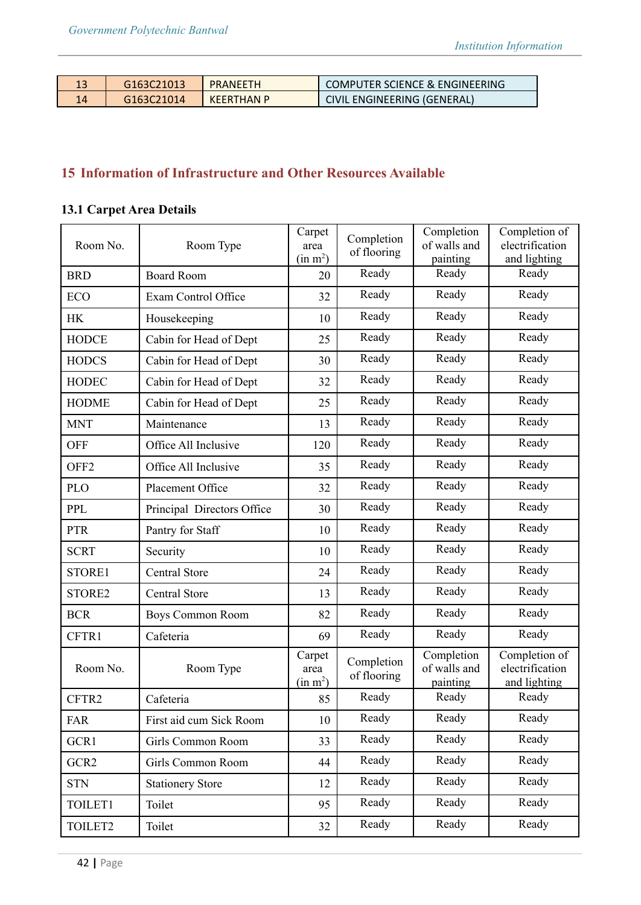| G <sub>163</sub> C <sub>21013</sub> | <b>PRANFFTH</b>   | <b>COMPUTER SCIENCE &amp; ENGINEERING</b> |
|-------------------------------------|-------------------|-------------------------------------------|
| G163C21014                          | <b>KEERTHAN P</b> | CIVIL ENGINEERING (GENERAL)               |

# **15 Information of Infrastructure and Other Resources Available**

# **13.1 Carpet Area Details**

| Room No.         | Room Type                  | Carpet<br>area<br>(in m <sup>2</sup> ) | Completion<br>of flooring | Completion<br>of walls and<br>painting | Completion of<br>electrification<br>and lighting |
|------------------|----------------------------|----------------------------------------|---------------------------|----------------------------------------|--------------------------------------------------|
| <b>BRD</b>       | <b>Board Room</b>          | 20                                     | Ready                     | Ready                                  | Ready                                            |
| <b>ECO</b>       | Exam Control Office        | 32                                     | Ready                     | Ready                                  | Ready                                            |
| <b>HK</b>        | Housekeeping               | 10                                     | Ready                     | Ready                                  | Ready                                            |
| <b>HODCE</b>     | Cabin for Head of Dept     | 25                                     | Ready                     | Ready                                  | Ready                                            |
| <b>HODCS</b>     | Cabin for Head of Dept     | 30                                     | Ready                     | Ready                                  | Ready                                            |
| <b>HODEC</b>     | Cabin for Head of Dept     | 32                                     | Ready                     | Ready                                  | Ready                                            |
| <b>HODME</b>     | Cabin for Head of Dept     | 25                                     | Ready                     | Ready                                  | Ready                                            |
| <b>MNT</b>       | Maintenance                | 13                                     | Ready                     | Ready                                  | Ready                                            |
| <b>OFF</b>       | Office All Inclusive       | 120                                    | Ready                     | Ready                                  | Ready                                            |
| OFF <sub>2</sub> | Office All Inclusive       | 35                                     | Ready                     | Ready                                  | Ready                                            |
| <b>PLO</b>       | Placement Office           | 32                                     | Ready                     | Ready                                  | Ready                                            |
| <b>PPL</b>       | Principal Directors Office | 30                                     | Ready                     | Ready                                  | Ready                                            |
| <b>PTR</b>       | Pantry for Staff           | 10                                     | Ready                     | Ready                                  | Ready                                            |
| <b>SCRT</b>      | Security                   | 10                                     | Ready                     | Ready                                  | Ready                                            |
| STORE1           | <b>Central Store</b>       | 24                                     | Ready                     | Ready                                  | Ready                                            |
| STORE2           | <b>Central Store</b>       | 13                                     | Ready                     | Ready                                  | Ready                                            |
| <b>BCR</b>       | Boys Common Room           | 82                                     | Ready                     | Ready                                  | Ready                                            |
| CFTR1            | Cafeteria                  | 69                                     | Ready                     | Ready                                  | Ready                                            |
| Room No.         | Room Type                  | Carpet<br>area<br>(in m <sup>2</sup> ) | Completion<br>of flooring | Completion<br>of walls and<br>painting | Completion of<br>electrification<br>and lighting |
| CFTR2            | Cafeteria                  | 85                                     | Ready                     | Ready                                  | Ready                                            |
| FAR              | First aid cum Sick Room    | 10                                     | Ready                     | Ready                                  | Ready                                            |
| GCR1             | Girls Common Room          | 33                                     | Ready                     | Ready                                  | Ready                                            |
| GCR <sub>2</sub> | Girls Common Room          | 44                                     | Ready                     | Ready                                  | Ready                                            |
| <b>STN</b>       | <b>Stationery Store</b>    | 12                                     | Ready                     | Ready                                  | Ready                                            |
| TOILET1          | Toilet                     | 95                                     | Ready                     | Ready                                  | Ready                                            |
| TOILET2          | Toilet                     | 32                                     | Ready                     | Ready                                  | Ready                                            |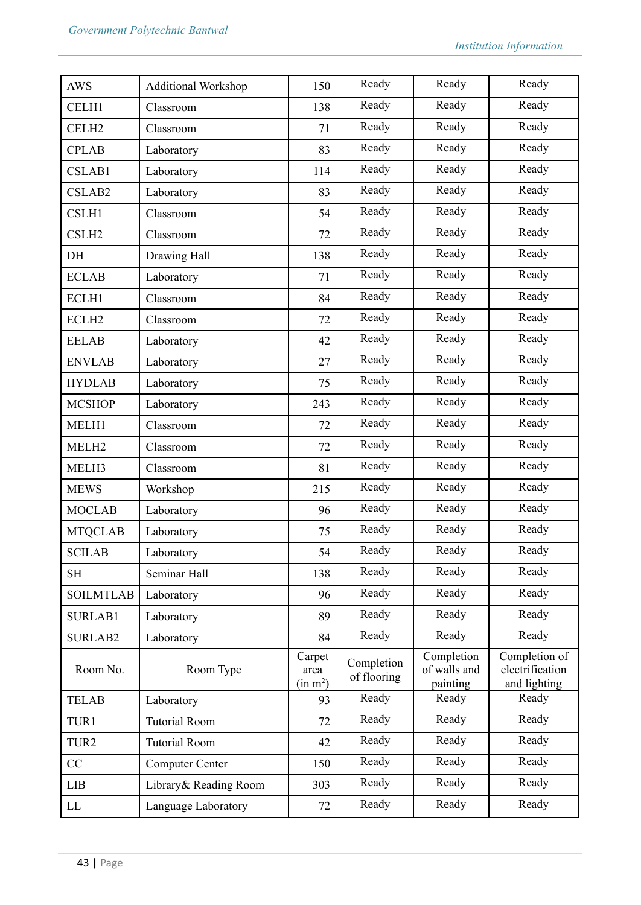| <b>AWS</b>        | <b>Additional Workshop</b> | 150                                    | Ready                     | Ready                                  | Ready                                            |
|-------------------|----------------------------|----------------------------------------|---------------------------|----------------------------------------|--------------------------------------------------|
| CELH1             | Classroom                  | 138                                    | Ready                     | Ready                                  | Ready                                            |
| CELH <sub>2</sub> | Classroom                  | 71                                     | Ready                     | Ready                                  | Ready                                            |
| <b>CPLAB</b>      | Laboratory                 | 83                                     | Ready                     | Ready                                  | Ready                                            |
| CSLAB1            | Laboratory                 | 114                                    | Ready                     | Ready                                  | Ready                                            |
| CSLAB2            | Laboratory                 | 83                                     | Ready                     | Ready                                  | Ready                                            |
| CSLH1             | Classroom                  | 54                                     | Ready                     | Ready                                  | Ready                                            |
| CSLH <sub>2</sub> | Classroom                  | 72                                     | Ready                     | Ready                                  | Ready                                            |
| DH                | Drawing Hall               | 138                                    | Ready                     | Ready                                  | Ready                                            |
| <b>ECLAB</b>      | Laboratory                 | 71                                     | Ready                     | Ready                                  | Ready                                            |
| ECLH1             | Classroom                  | 84                                     | Ready                     | Ready                                  | Ready                                            |
| ECLH <sub>2</sub> | Classroom                  | 72                                     | Ready                     | Ready                                  | Ready                                            |
| <b>EELAB</b>      | Laboratory                 | 42                                     | Ready                     | Ready                                  | Ready                                            |
| <b>ENVLAB</b>     | Laboratory                 | 27                                     | Ready                     | Ready                                  | Ready                                            |
| <b>HYDLAB</b>     | Laboratory                 | 75                                     | Ready                     | Ready                                  | Ready                                            |
| <b>MCSHOP</b>     | Laboratory                 | 243                                    | Ready                     | Ready                                  | Ready                                            |
| MELH1             | Classroom                  | 72                                     | Ready                     | Ready                                  | Ready                                            |
| MELH <sub>2</sub> | Classroom                  | 72                                     | Ready                     | Ready                                  | Ready                                            |
| MELH3             | Classroom                  | 81                                     | Ready                     | Ready                                  | Ready                                            |
| <b>MEWS</b>       | Workshop                   | 215                                    | Ready                     | Ready                                  | Ready                                            |
| <b>MOCLAB</b>     | Laboratory                 | 96                                     | Ready                     | Ready                                  | Ready                                            |
| <b>MTQCLAB</b>    | Laboratory                 | 75                                     | Ready                     | Ready                                  | Ready                                            |
| <b>SCILAB</b>     | Laboratory                 | 54                                     | Ready                     | Ready                                  | Ready                                            |
| <b>SH</b>         | Seminar Hall               | 138                                    | Ready                     | Ready                                  | Ready                                            |
| <b>SOILMTLAB</b>  | Laboratory                 | 96                                     | Ready                     | Ready                                  | Ready                                            |
| <b>SURLAB1</b>    | Laboratory                 | 89                                     | Ready                     | Ready                                  | Ready                                            |
| <b>SURLAB2</b>    | Laboratory                 | 84                                     | Ready                     | Ready                                  | Ready                                            |
| Room No.          | Room Type                  | Carpet<br>area<br>(in m <sup>2</sup> ) | Completion<br>of flooring | Completion<br>of walls and<br>painting | Completion of<br>electrification<br>and lighting |
| <b>TELAB</b>      | Laboratory                 | 93                                     | Ready                     | Ready                                  | Ready                                            |
| TUR1              | <b>Tutorial Room</b>       | 72                                     | Ready                     | Ready                                  | Ready                                            |
| TUR <sub>2</sub>  | <b>Tutorial Room</b>       | 42                                     | Ready                     | Ready                                  | Ready                                            |
| CC                | <b>Computer Center</b>     | 150                                    | Ready                     | Ready                                  | Ready                                            |
| <b>LIB</b>        | Library& Reading Room      | 303                                    | Ready                     | Ready                                  | Ready                                            |
| LL                | Language Laboratory        | 72                                     | Ready                     | Ready                                  | Ready                                            |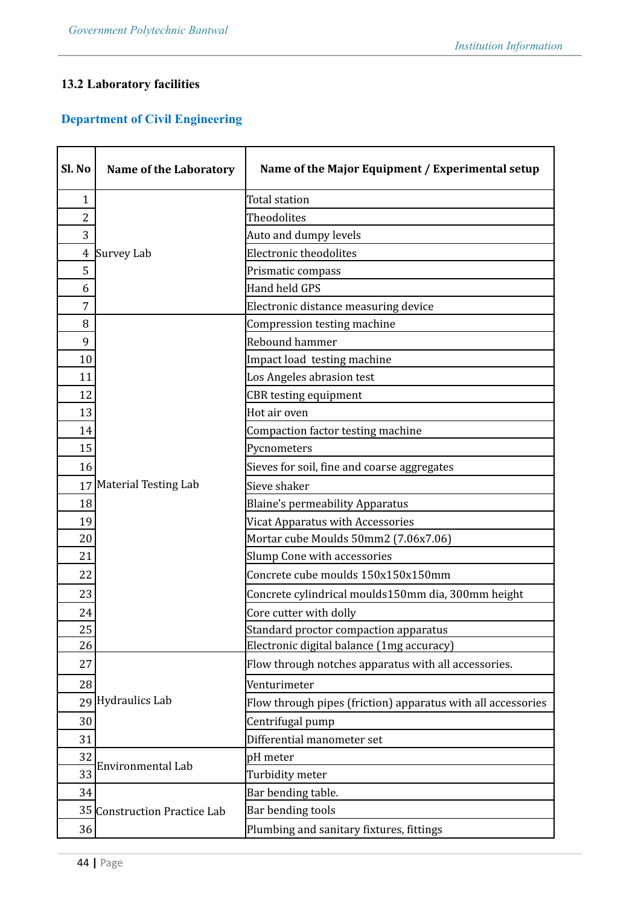# **13.2 Laboratory facilities**

# **Department of Civil Engineering**

| Sl. No         | <b>Name of the Laboratory</b>                     | Name of the Major Equipment / Experimental setup             |
|----------------|---------------------------------------------------|--------------------------------------------------------------|
| 1              |                                                   | Total station                                                |
| $\overline{2}$ |                                                   | Theodolites                                                  |
| 3              |                                                   | Auto and dumpy levels                                        |
| $\overline{4}$ | Survey Lab                                        | Electronic theodolites                                       |
| 5              |                                                   | Prismatic compass                                            |
| 6              |                                                   | Hand held GPS                                                |
| 7              |                                                   | Electronic distance measuring device                         |
| 8              |                                                   | Compression testing machine                                  |
| 9              |                                                   | Rebound hammer                                               |
| 10             |                                                   | Impact load testing machine                                  |
| 11             |                                                   | Los Angeles abrasion test                                    |
| 12             |                                                   | <b>CBR</b> testing equipment                                 |
| 13             |                                                   | Hot air oven                                                 |
| 14             |                                                   | Compaction factor testing machine                            |
| 15             |                                                   | Pycnometers                                                  |
| 16             |                                                   | Sieves for soil, fine and coarse aggregates                  |
| 17             | Material Testing Lab                              | Sieve shaker                                                 |
| 18             |                                                   | <b>Blaine's permeability Apparatus</b>                       |
| 19             |                                                   | Vicat Apparatus with Accessories                             |
| 20             |                                                   | Mortar cube Moulds 50mm2 (7.06x7.06)                         |
| 21             |                                                   | <b>Slump Cone with accessories</b>                           |
| 22             |                                                   | Concrete cube moulds 150x150x150mm                           |
| 23             |                                                   | Concrete cylindrical moulds150mm dia, 300mm height           |
| 24             |                                                   | Core cutter with dolly                                       |
| 25             |                                                   | Standard proctor compaction apparatus                        |
| 26             |                                                   | Electronic digital balance (1mg accuracy)                    |
| 27             |                                                   | Flow through notches apparatus with all accessories.         |
| 28             |                                                   | Venturimeter                                                 |
|                | 29 Hydraulics Lab                                 | Flow through pipes (friction) apparatus with all accessories |
| 30             |                                                   | Centrifugal pump                                             |
| 31             |                                                   | Differential manometer set                                   |
| 32             |                                                   | pH meter                                                     |
| 33             | Environmental Lab                                 | Turbidity meter                                              |
| 34             |                                                   | Bar bending table.                                           |
|                | Bar bending tools<br>35 Construction Practice Lab |                                                              |
| 36             |                                                   | Plumbing and sanitary fixtures, fittings                     |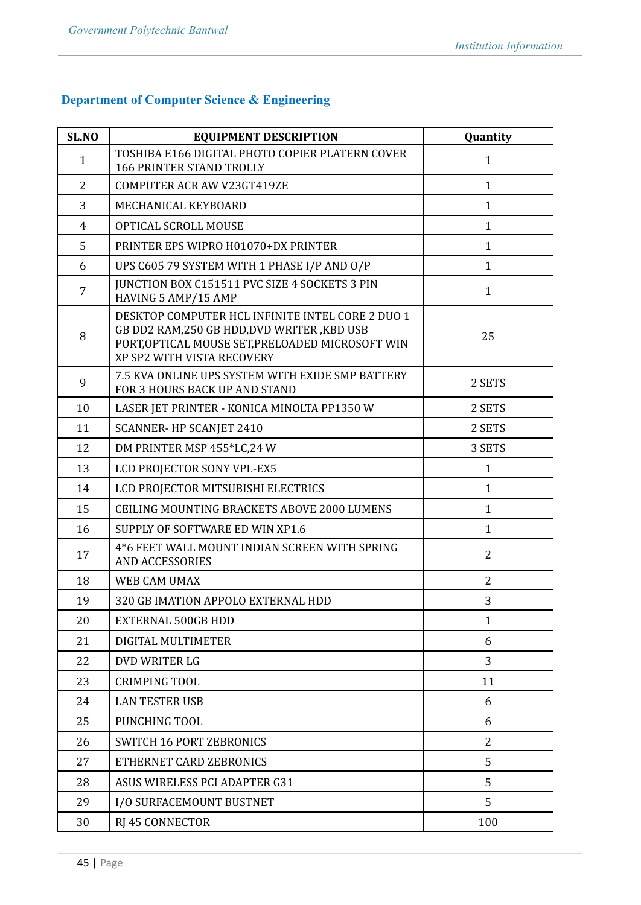# **Department of Computer Science & Engineering**

| SL.NO          | <b>EQUIPMENT DESCRIPTION</b>                                                                                                                                                      | Quantity       |
|----------------|-----------------------------------------------------------------------------------------------------------------------------------------------------------------------------------|----------------|
| $\mathbf{1}$   | TOSHIBA E166 DIGITAL PHOTO COPIER PLATERN COVER<br><b>166 PRINTER STAND TROLLY</b>                                                                                                | $\mathbf{1}$   |
| $\overline{2}$ | COMPUTER ACR AW V23GT419ZE                                                                                                                                                        | $\mathbf{1}$   |
| 3              | MECHANICAL KEYBOARD                                                                                                                                                               | $\mathbf{1}$   |
| $\overline{4}$ | OPTICAL SCROLL MOUSE                                                                                                                                                              | $\mathbf{1}$   |
| 5              | PRINTER EPS WIPRO H01070+DX PRINTER                                                                                                                                               | $\mathbf{1}$   |
| 6              | UPS C605 79 SYSTEM WITH 1 PHASE I/P AND O/P                                                                                                                                       | $\mathbf{1}$   |
| $\overline{7}$ | <b>JUNCTION BOX C151511 PVC SIZE 4 SOCKETS 3 PIN</b><br>HAVING 5 AMP/15 AMP                                                                                                       | $\mathbf{1}$   |
| 8              | DESKTOP COMPUTER HCL INFINITE INTEL CORE 2 DUO 1<br>GB DD2 RAM, 250 GB HDD, DVD WRITER, KBD USB<br>PORT, OPTICAL MOUSE SET, PRELOADED MICROSOFT WIN<br>XP SP2 WITH VISTA RECOVERY | 25             |
| 9              | 7.5 KVA ONLINE UPS SYSTEM WITH EXIDE SMP BATTERY<br>FOR 3 HOURS BACK UP AND STAND                                                                                                 | 2 SETS         |
| 10             | LASER JET PRINTER - KONICA MINOLTA PP1350 W                                                                                                                                       | 2 SETS         |
| 11             | <b>SCANNER-HP SCANJET 2410</b>                                                                                                                                                    | 2 SETS         |
| 12             | DM PRINTER MSP 455*LC,24 W                                                                                                                                                        | 3 SETS         |
| 13             | LCD PROJECTOR SONY VPL-EX5                                                                                                                                                        | $\mathbf{1}$   |
| 14             | LCD PROJECTOR MITSUBISHI ELECTRICS                                                                                                                                                | $\mathbf{1}$   |
| 15             | CEILING MOUNTING BRACKETS ABOVE 2000 LUMENS                                                                                                                                       | $\mathbf{1}$   |
| 16             | SUPPLY OF SOFTWARE ED WIN XP1.6                                                                                                                                                   | $\mathbf{1}$   |
| 17             | 4*6 FEET WALL MOUNT INDIAN SCREEN WITH SPRING<br><b>AND ACCESSORIES</b>                                                                                                           | $\overline{2}$ |
| 18             | <b>WEB CAM UMAX</b>                                                                                                                                                               | $\overline{2}$ |
| 19             | 320 GB IMATION APPOLO EXTERNAL HDD                                                                                                                                                | 3              |
| 20             | <b>EXTERNAL 500GB HDD</b>                                                                                                                                                         | $\mathbf{1}$   |
| 21             | DIGITAL MULTIMETER                                                                                                                                                                | 6              |
| 22             | DVD WRITER LG                                                                                                                                                                     | 3              |
| 23             | <b>CRIMPING TOOL</b>                                                                                                                                                              | 11             |
| 24             | <b>LAN TESTER USB</b>                                                                                                                                                             | 6              |
| 25             | PUNCHING TOOL                                                                                                                                                                     | 6              |
| 26             | <b>SWITCH 16 PORT ZEBRONICS</b>                                                                                                                                                   | 2              |
| 27             | ETHERNET CARD ZEBRONICS                                                                                                                                                           | 5              |
| 28             | ASUS WIRELESS PCI ADAPTER G31                                                                                                                                                     | 5              |
| 29             | I/O SURFACEMOUNT BUSTNET                                                                                                                                                          | 5              |
| 30             | <b>RJ 45 CONNECTOR</b>                                                                                                                                                            | 100            |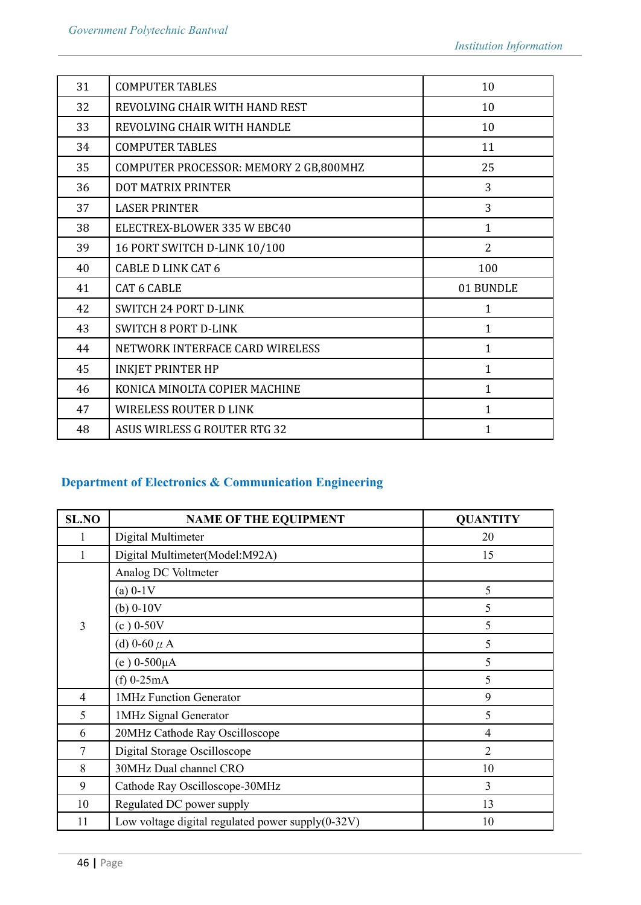| 31 | <b>COMPUTER TABLES</b>                 | 10           |
|----|----------------------------------------|--------------|
| 32 | REVOLVING CHAIR WITH HAND REST         | 10           |
| 33 | REVOLVING CHAIR WITH HANDLE            | 10           |
| 34 | <b>COMPUTER TABLES</b>                 | 11           |
| 35 | COMPUTER PROCESSOR: MEMORY 2 GB,800MHZ | 25           |
| 36 | <b>DOT MATRIX PRINTER</b>              | 3            |
| 37 | <b>LASER PRINTER</b>                   | 3            |
| 38 | ELECTREX-BLOWER 335 W EBC40            | $\mathbf{1}$ |
| 39 | 16 PORT SWITCH D-LINK 10/100           | 2            |
| 40 | <b>CABLE D LINK CAT 6</b>              | 100          |
| 41 | <b>CAT 6 CABLE</b>                     | 01 BUNDLE    |
| 42 | SWITCH 24 PORT D-LINK                  | 1            |
| 43 | <b>SWITCH 8 PORT D-LINK</b>            | $\mathbf{1}$ |
| 44 | NETWORK INTERFACE CARD WIRELESS        | $\mathbf{1}$ |
| 45 | <b>INKJET PRINTER HP</b>               | $\mathbf{1}$ |
| 46 | KONICA MINOLTA COPIER MACHINE          | $\mathbf{1}$ |
| 47 | <b>WIRELESS ROUTER D LINK</b>          | $\mathbf{1}$ |
| 48 | ASUS WIRLESS G ROUTER RTG 32           | $\mathbf{1}$ |
|    |                                        |              |

# **Department of Electronics & Communication Engineering**

| <b>SL.NO</b>   | <b>NAME OF THE EQUIPMENT</b>                      | <b>QUANTITY</b> |
|----------------|---------------------------------------------------|-----------------|
|                | Digital Multimeter                                | 20              |
|                | Digital Multimeter(Model:M92A)                    | 15              |
|                | Analog DC Voltmeter                               |                 |
|                | $(a) 0-1V$                                        | 5               |
|                | (b) $0-10V$                                       | 5               |
| $\overline{3}$ | $(c) 0-50V$                                       | 5               |
|                | (d) 0-60 $\mu$ A                                  | 5               |
|                | $(e) 0 - 500 \mu A$                               | 5               |
|                | $(f)$ 0-25mA                                      | 5               |
| 4              | 1MHz Function Generator                           | 9               |
| 5              | 1MHz Signal Generator                             | 5               |
| 6              | 20MHz Cathode Ray Oscilloscope                    | 4               |
| $\overline{7}$ | Digital Storage Oscilloscope                      | $\overline{2}$  |
| 8              | 30MHz Dual channel CRO                            | 10              |
| 9              | Cathode Ray Oscilloscope-30MHz                    | $\overline{3}$  |
| 10             | Regulated DC power supply                         | 13              |
| 11             | Low voltage digital regulated power supply(0-32V) | 10              |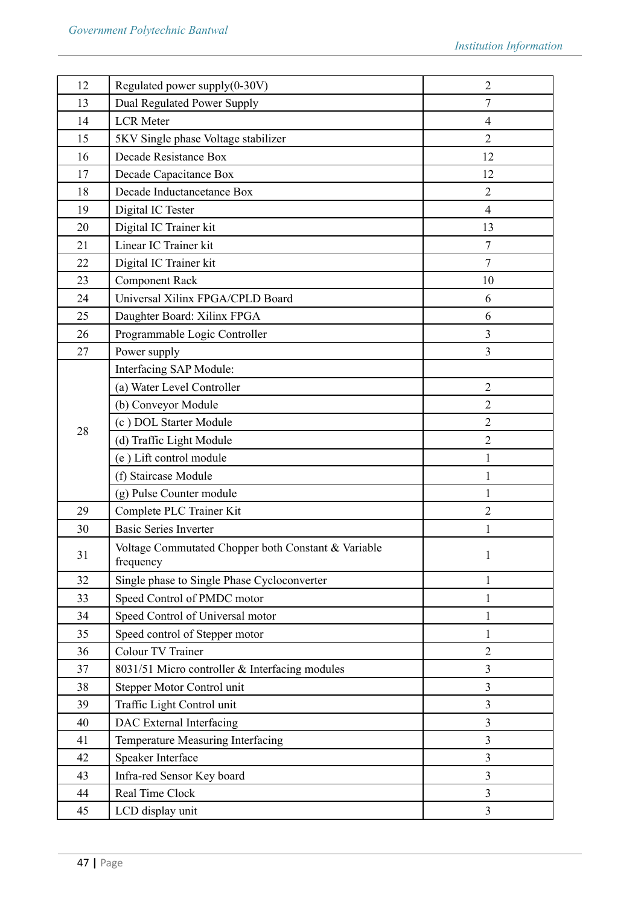| 12 | Regulated power supply(0-30V)                                    | $\overline{2}$ |
|----|------------------------------------------------------------------|----------------|
| 13 | Dual Regulated Power Supply                                      | $\tau$         |
| 14 | <b>LCR</b> Meter                                                 | $\overline{4}$ |
| 15 | 5KV Single phase Voltage stabilizer                              | $\overline{2}$ |
| 16 | Decade Resistance Box                                            | 12             |
| 17 | Decade Capacitance Box                                           | 12             |
| 18 | Decade Inductancetance Box                                       | $\overline{2}$ |
| 19 | Digital IC Tester                                                | $\overline{4}$ |
| 20 | Digital IC Trainer kit                                           | 13             |
| 21 | Linear IC Trainer kit                                            | $\tau$         |
| 22 | Digital IC Trainer kit                                           | 7              |
| 23 | <b>Component Rack</b>                                            | 10             |
| 24 | Universal Xilinx FPGA/CPLD Board                                 | 6              |
| 25 | Daughter Board: Xilinx FPGA                                      | 6              |
| 26 | Programmable Logic Controller                                    | 3              |
| 27 | Power supply                                                     | 3              |
|    | Interfacing SAP Module:                                          |                |
|    | (a) Water Level Controller                                       | $\overline{2}$ |
|    | (b) Conveyor Module                                              | $\overline{2}$ |
|    | (c) DOL Starter Module                                           | $\overline{2}$ |
| 28 | (d) Traffic Light Module                                         | $\overline{2}$ |
|    | (e) Lift control module                                          | 1              |
|    | (f) Staircase Module                                             | 1              |
|    | (g) Pulse Counter module                                         | 1              |
| 29 | Complete PLC Trainer Kit                                         | $\overline{2}$ |
| 30 | <b>Basic Series Inverter</b>                                     | 1              |
| 31 | Voltage Commutated Chopper both Constant & Variable<br>frequency |                |
| 32 | Single phase to Single Phase Cycloconverter                      | 1              |
| 33 | Speed Control of PMDC motor                                      | 1              |
| 34 | Speed Control of Universal motor                                 | 1              |
| 35 | Speed control of Stepper motor                                   | 1              |
| 36 | Colour TV Trainer                                                | $\overline{2}$ |
| 37 | 8031/51 Micro controller & Interfacing modules                   | 3              |
| 38 | Stepper Motor Control unit                                       | 3              |
| 39 | Traffic Light Control unit                                       | 3              |
| 40 | DAC External Interfacing                                         | 3              |
| 41 | Temperature Measuring Interfacing                                | 3              |
| 42 | Speaker Interface                                                | 3              |
| 43 | Infra-red Sensor Key board                                       | 3              |
| 44 | Real Time Clock                                                  | 3              |
| 45 | LCD display unit                                                 | 3              |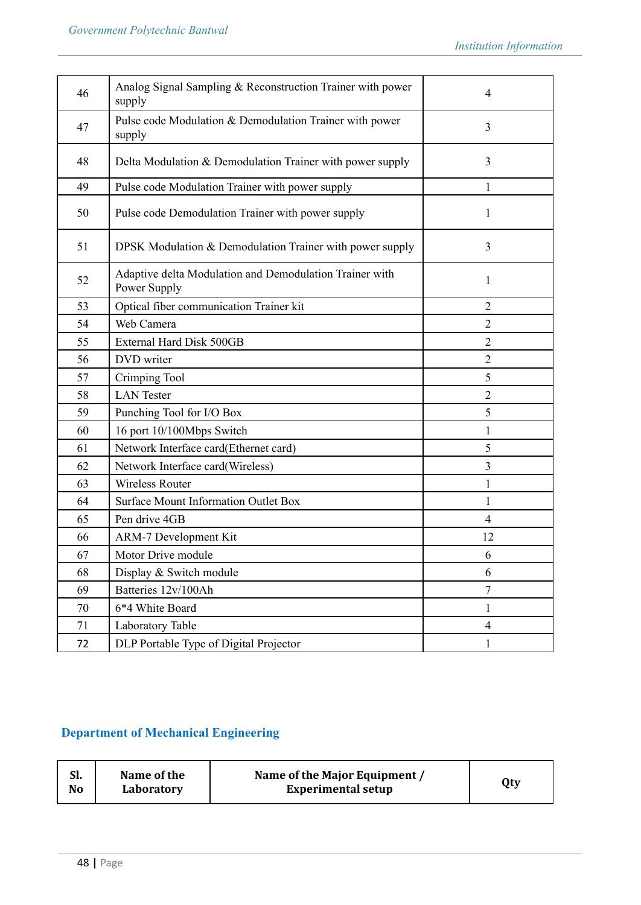| 46 | Analog Signal Sampling & Reconstruction Trainer with power<br>supply    | 4                       |
|----|-------------------------------------------------------------------------|-------------------------|
| 47 | Pulse code Modulation & Demodulation Trainer with power<br>supply       | 3                       |
| 48 | Delta Modulation & Demodulation Trainer with power supply               | 3                       |
| 49 | Pulse code Modulation Trainer with power supply                         | 1                       |
| 50 | Pulse code Demodulation Trainer with power supply                       | 1                       |
| 51 | DPSK Modulation & Demodulation Trainer with power supply                | 3                       |
| 52 | Adaptive delta Modulation and Demodulation Trainer with<br>Power Supply | 1                       |
| 53 | Optical fiber communication Trainer kit                                 | $\overline{2}$          |
| 54 | Web Camera                                                              | $\overline{2}$          |
| 55 | <b>External Hard Disk 500GB</b>                                         | $\overline{2}$          |
| 56 | DVD writer                                                              | $\overline{2}$          |
| 57 | Crimping Tool                                                           | 5                       |
| 58 | <b>LAN</b> Tester                                                       | $\overline{2}$          |
| 59 | Punching Tool for I/O Box                                               | 5                       |
| 60 | 16 port 10/100Mbps Switch                                               | 1                       |
| 61 | Network Interface card(Ethernet card)                                   | 5                       |
| 62 | Network Interface card(Wireless)                                        | 3                       |
| 63 | <b>Wireless Router</b>                                                  | 1                       |
| 64 | <b>Surface Mount Information Outlet Box</b>                             | 1                       |
| 65 | Pen drive 4GB                                                           | 4                       |
| 66 | <b>ARM-7 Development Kit</b>                                            | 12                      |
| 67 | Motor Drive module                                                      | 6                       |
| 68 | Display & Switch module                                                 | 6                       |
| 69 | Batteries 12v/100Ah                                                     | 7                       |
| 70 | 6*4 White Board                                                         | $\mathbf{1}$            |
| 71 | Laboratory Table                                                        | $\overline{\mathbf{4}}$ |
| 72 | DLP Portable Type of Digital Projector                                  | 1                       |

# **Department of Mechanical Engineering**

| СI<br>м.<br>No | Name of the<br>Laboratory | Name of the Major Equipment /<br><b>Experimental setup</b> | Qty |
|----------------|---------------------------|------------------------------------------------------------|-----|
|----------------|---------------------------|------------------------------------------------------------|-----|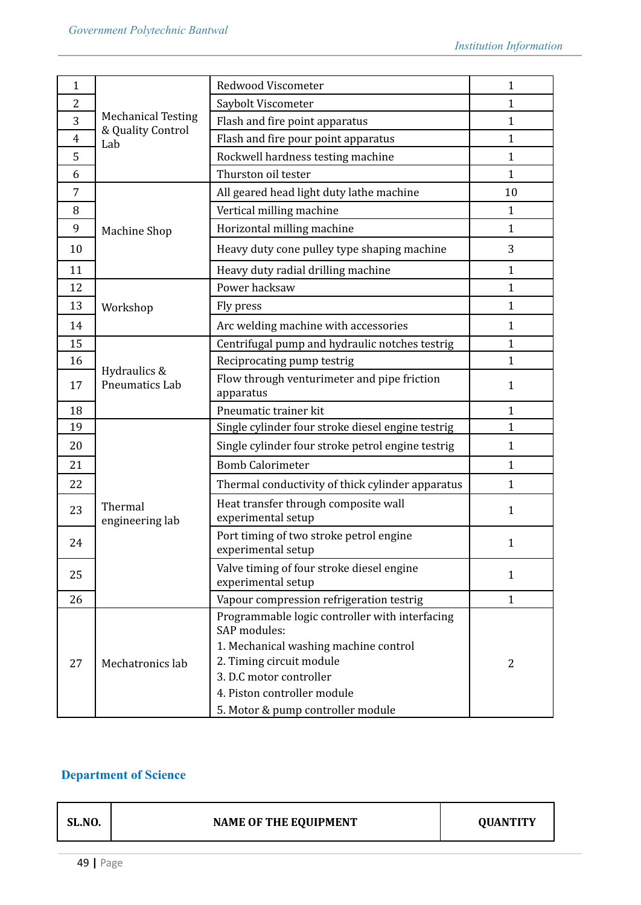| $\mathbf{1}$   |                                       | Redwood Viscometer                                                                                                                                                                                                                 | $\mathbf{1}$ |
|----------------|---------------------------------------|------------------------------------------------------------------------------------------------------------------------------------------------------------------------------------------------------------------------------------|--------------|
| $\overline{2}$ |                                       | Saybolt Viscometer                                                                                                                                                                                                                 | $\mathbf{1}$ |
| 3              | <b>Mechanical Testing</b>             | Flash and fire point apparatus                                                                                                                                                                                                     | $\mathbf{1}$ |
| $\overline{4}$ | & Quality Control<br>Lab              | Flash and fire pour point apparatus                                                                                                                                                                                                | $\mathbf{1}$ |
| 5              |                                       | Rockwell hardness testing machine                                                                                                                                                                                                  | $\mathbf{1}$ |
| 6              |                                       | Thurston oil tester                                                                                                                                                                                                                | $\mathbf{1}$ |
| 7              |                                       | All geared head light duty lathe machine                                                                                                                                                                                           | 10           |
| 8              |                                       | Vertical milling machine                                                                                                                                                                                                           | $\mathbf{1}$ |
| 9              | <b>Machine Shop</b>                   | Horizontal milling machine                                                                                                                                                                                                         | $\mathbf{1}$ |
| 10             |                                       | Heavy duty cone pulley type shaping machine                                                                                                                                                                                        | 3            |
| 11             |                                       | Heavy duty radial drilling machine                                                                                                                                                                                                 | $\mathbf{1}$ |
| 12             |                                       | Power hacksaw                                                                                                                                                                                                                      | $\mathbf{1}$ |
| 13             | Workshop                              | Fly press                                                                                                                                                                                                                          | $\mathbf{1}$ |
| 14             |                                       | Arc welding machine with accessories                                                                                                                                                                                               | $\mathbf{1}$ |
| 15             |                                       | Centrifugal pump and hydraulic notches testrig                                                                                                                                                                                     | $\mathbf{1}$ |
| 16             |                                       | Reciprocating pump testrig                                                                                                                                                                                                         | $\mathbf{1}$ |
| 17             | Hydraulics &<br><b>Pneumatics Lab</b> | Flow through venturimeter and pipe friction<br>apparatus                                                                                                                                                                           |              |
| 18             |                                       | Pneumatic trainer kit                                                                                                                                                                                                              | $\mathbf{1}$ |
| 19             |                                       | Single cylinder four stroke diesel engine testrig                                                                                                                                                                                  | $\mathbf{1}$ |
| 20             |                                       | Single cylinder four stroke petrol engine testrig                                                                                                                                                                                  | $\mathbf{1}$ |
| 21             |                                       | <b>Bomb Calorimeter</b>                                                                                                                                                                                                            | $\mathbf{1}$ |
| 22             |                                       | Thermal conductivity of thick cylinder apparatus                                                                                                                                                                                   | $\mathbf{1}$ |
| 23             | Thermal<br>engineering lab            | Heat transfer through composite wall<br>experimental setup                                                                                                                                                                         | $\mathbf{1}$ |
| 24             |                                       | Port timing of two stroke petrol engine<br>experimental setup                                                                                                                                                                      |              |
| 25             |                                       | Valve timing of four stroke diesel engine<br>experimental setup                                                                                                                                                                    | $\mathbf{1}$ |
| 26             |                                       | Vapour compression refrigeration testrig                                                                                                                                                                                           | $\mathbf{1}$ |
| 27             | Mechatronics lab                      | Programmable logic controller with interfacing<br>SAP modules:<br>1. Mechanical washing machine control<br>2. Timing circuit module<br>3. D.C motor controller<br>4. Piston controller module<br>5. Motor & pump controller module | 2            |
|                |                                       |                                                                                                                                                                                                                                    |              |

# **Department of Science**

| <b>SL.NO.</b> | <b>NAME OF THE EQUIPMENT</b> | <b>OUANTITY</b> |
|---------------|------------------------------|-----------------|
|               |                              |                 |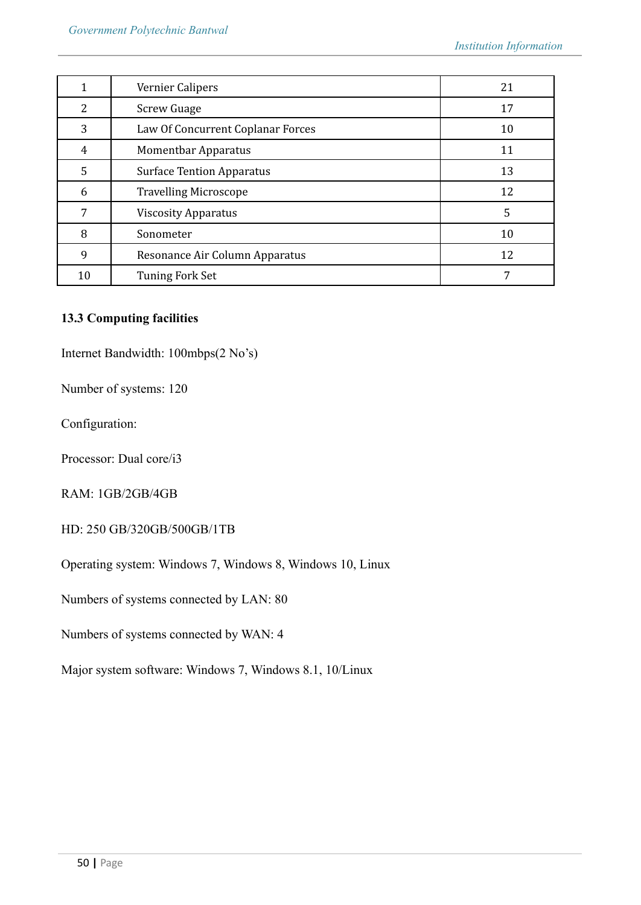|    | Vernier Calipers                  | 21 |
|----|-----------------------------------|----|
| 2  | <b>Screw Guage</b>                | 17 |
| 3  | Law Of Concurrent Coplanar Forces | 10 |
| 4  | <b>Momentbar Apparatus</b>        | 11 |
| 5  | <b>Surface Tention Apparatus</b>  | 13 |
| 6  | <b>Travelling Microscope</b>      | 12 |
| 7  | <b>Viscosity Apparatus</b>        | 5  |
| 8  | Sonometer                         | 10 |
| 9  | Resonance Air Column Apparatus    | 12 |
| 10 | Tuning Fork Set                   |    |

# **13.3 Computing facilities**

Internet Bandwidth: 100mbps(2 No's)

Number of systems: 120

Configuration:

Processor: Dual core/i3

RAM: 1GB/2GB/4GB

HD: 250 GB/320GB/500GB/1TB

Operating system: Windows 7, Windows 8, Windows 10, Linux

Numbers of systems connected by LAN: 80

Numbers of systems connected by WAN: 4

Major system software: Windows 7, Windows 8.1, 10/Linux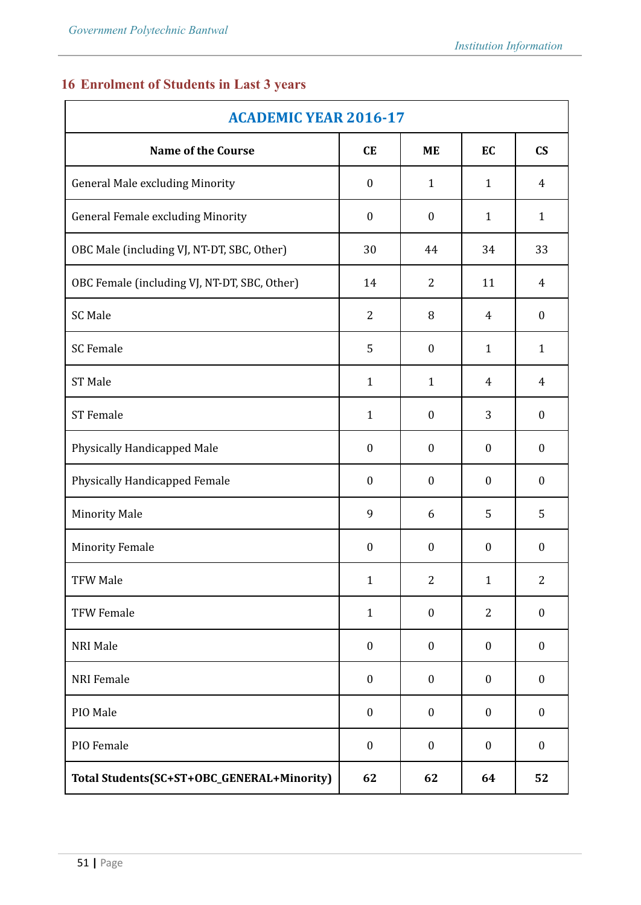# **16 Enrolment of Students in Last 3 years**

| <b>ACADEMIC YEAR 2016-17</b>                 |                  |                  |                  |                        |  |
|----------------------------------------------|------------------|------------------|------------------|------------------------|--|
| <b>Name of the Course</b>                    | CE               | <b>ME</b>        | EC               | $\mathbf{C}\mathbf{S}$ |  |
| <b>General Male excluding Minority</b>       | $\boldsymbol{0}$ | $\mathbf{1}$     | $\mathbf{1}$     | $\overline{4}$         |  |
| <b>General Female excluding Minority</b>     | $\boldsymbol{0}$ | $\boldsymbol{0}$ | $\mathbf{1}$     | $\mathbf{1}$           |  |
| OBC Male (including VJ, NT-DT, SBC, Other)   | 30               | 44               | 34               | 33                     |  |
| OBC Female (including VJ, NT-DT, SBC, Other) | 14               | 2                | 11               | 4                      |  |
| <b>SC Male</b>                               | $\overline{2}$   | 8                | 4                | $\boldsymbol{0}$       |  |
| <b>SC Female</b>                             | 5                | $\boldsymbol{0}$ | $\mathbf{1}$     | $\mathbf{1}$           |  |
| <b>ST Male</b>                               | $\mathbf{1}$     | $\mathbf{1}$     | 4                | $\overline{4}$         |  |
| <b>ST</b> Female                             | $\mathbf{1}$     | $\boldsymbol{0}$ | 3                | $\boldsymbol{0}$       |  |
| Physically Handicapped Male                  | $\boldsymbol{0}$ | $\boldsymbol{0}$ | $\boldsymbol{0}$ | $\boldsymbol{0}$       |  |
| Physically Handicapped Female                | $\boldsymbol{0}$ | $\boldsymbol{0}$ | $\boldsymbol{0}$ | $\boldsymbol{0}$       |  |
| <b>Minority Male</b>                         | 9                | 6                | 5                | 5                      |  |
| <b>Minority Female</b>                       | $\boldsymbol{0}$ | $\boldsymbol{0}$ | $\boldsymbol{0}$ | $\boldsymbol{0}$       |  |
| <b>TFW Male</b>                              | $\mathbf{1}$     | $\overline{2}$   | $\mathbf{1}$     | 2                      |  |
| <b>TFW Female</b>                            | $\mathbf{1}$     | $\boldsymbol{0}$ | $\overline{2}$   | $\boldsymbol{0}$       |  |
| NRI Male                                     | $\boldsymbol{0}$ | $\boldsymbol{0}$ | $\boldsymbol{0}$ | $\boldsymbol{0}$       |  |
| <b>NRI</b> Female                            | $\boldsymbol{0}$ | $\boldsymbol{0}$ | $\boldsymbol{0}$ | $\boldsymbol{0}$       |  |
| PIO Male                                     | $\boldsymbol{0}$ | $\boldsymbol{0}$ | $\boldsymbol{0}$ | $\boldsymbol{0}$       |  |
| PIO Female                                   | $\boldsymbol{0}$ | $\boldsymbol{0}$ | $\boldsymbol{0}$ | $\boldsymbol{0}$       |  |
| Total Students(SC+ST+OBC_GENERAL+Minority)   | 62               | 62               | 64               | 52                     |  |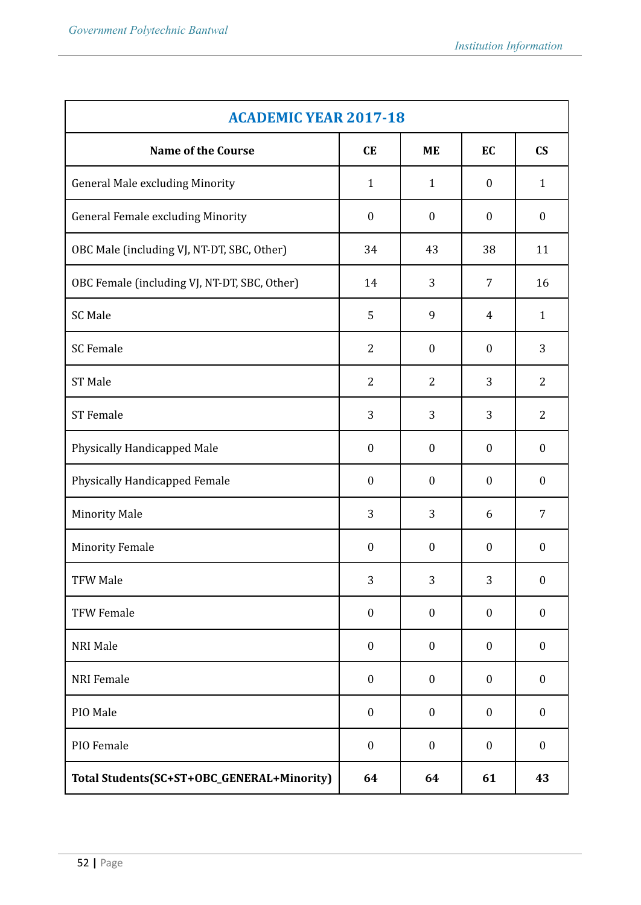| <b>ACADEMIC YEAR 2017-18</b>                 |                  |                  |                  |                        |  |
|----------------------------------------------|------------------|------------------|------------------|------------------------|--|
| <b>Name of the Course</b>                    | <b>CE</b>        | <b>ME</b>        | EC               | $\mathbf{C}\mathbf{S}$ |  |
| <b>General Male excluding Minority</b>       | $\mathbf{1}$     | $\mathbf{1}$     | $\boldsymbol{0}$ | $\mathbf{1}$           |  |
| <b>General Female excluding Minority</b>     | $\boldsymbol{0}$ | $\boldsymbol{0}$ | $\boldsymbol{0}$ | $\boldsymbol{0}$       |  |
| OBC Male (including VJ, NT-DT, SBC, Other)   | 34               | 43               | 38               | 11                     |  |
| OBC Female (including VJ, NT-DT, SBC, Other) | 14               | 3                | 7                | 16                     |  |
| <b>SC Male</b>                               | 5                | 9                | 4                | $\mathbf{1}$           |  |
| <b>SC</b> Female                             | $\overline{2}$   | $\boldsymbol{0}$ | $\boldsymbol{0}$ | 3                      |  |
| <b>ST Male</b>                               | $\overline{2}$   | 2                | 3                | $\overline{2}$         |  |
| <b>ST</b> Female                             | 3                | 3                | 3                | $\overline{2}$         |  |
| Physically Handicapped Male                  | $\boldsymbol{0}$ | $\boldsymbol{0}$ | $\boldsymbol{0}$ | $\boldsymbol{0}$       |  |
| Physically Handicapped Female                | $\boldsymbol{0}$ | $\boldsymbol{0}$ | $\boldsymbol{0}$ | $\boldsymbol{0}$       |  |
| <b>Minority Male</b>                         | 3                | 3                | 6                | $\overline{7}$         |  |
| <b>Minority Female</b>                       | $\boldsymbol{0}$ | $\boldsymbol{0}$ | $\boldsymbol{0}$ | $\boldsymbol{0}$       |  |
| <b>TFW Male</b>                              | 3                | 3                | 3                | $\boldsymbol{0}$       |  |
| <b>TFW Female</b>                            | $\boldsymbol{0}$ | $\boldsymbol{0}$ | $\boldsymbol{0}$ | $\boldsymbol{0}$       |  |
| <b>NRI Male</b>                              | $\boldsymbol{0}$ | $\boldsymbol{0}$ | $\boldsymbol{0}$ | $\boldsymbol{0}$       |  |
| <b>NRI</b> Female                            | $\boldsymbol{0}$ | $\boldsymbol{0}$ | $\boldsymbol{0}$ | $\boldsymbol{0}$       |  |
| PIO Male                                     | $\boldsymbol{0}$ | $\boldsymbol{0}$ | $\boldsymbol{0}$ | $\boldsymbol{0}$       |  |
| PIO Female                                   | $\boldsymbol{0}$ | $\boldsymbol{0}$ | $\boldsymbol{0}$ | $\boldsymbol{0}$       |  |
| Total Students(SC+ST+OBC_GENERAL+Minority)   | 64               | 64               | 61               | 43                     |  |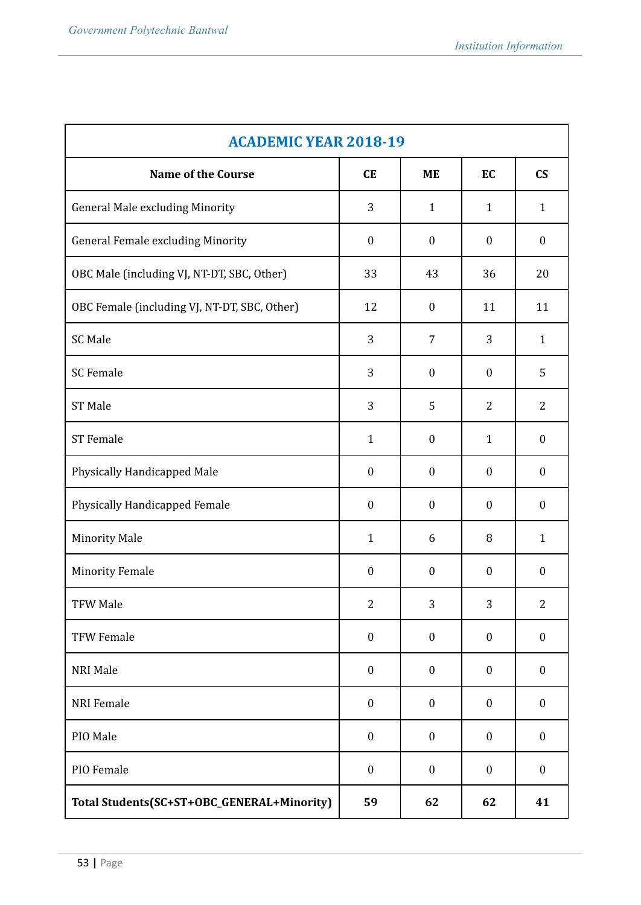| <b>ACADEMIC YEAR 2018-19</b>                 |                  |                  |                  |                        |  |
|----------------------------------------------|------------------|------------------|------------------|------------------------|--|
| <b>Name of the Course</b>                    | <b>CE</b>        | <b>ME</b>        | EC               | $\mathbf{C}\mathbf{S}$ |  |
| <b>General Male excluding Minority</b>       | 3                | $\mathbf{1}$     | $\mathbf{1}$     | $\mathbf{1}$           |  |
| <b>General Female excluding Minority</b>     | $\boldsymbol{0}$ | $\boldsymbol{0}$ | $\boldsymbol{0}$ | $\boldsymbol{0}$       |  |
| OBC Male (including VJ, NT-DT, SBC, Other)   | 33               | 43               | 36               | 20                     |  |
| OBC Female (including VJ, NT-DT, SBC, Other) | 12               | $\boldsymbol{0}$ | 11               | 11                     |  |
| <b>SC Male</b>                               | 3                | $\overline{7}$   | 3                | $\mathbf{1}$           |  |
| <b>SC</b> Female                             | 3                | $\boldsymbol{0}$ | $\boldsymbol{0}$ | 5                      |  |
| <b>ST Male</b>                               | 3                | 5                | $\overline{2}$   | $\overline{2}$         |  |
| <b>ST</b> Female                             | $\mathbf{1}$     | $\boldsymbol{0}$ | $\mathbf{1}$     | $\boldsymbol{0}$       |  |
| Physically Handicapped Male                  | $\boldsymbol{0}$ | $\boldsymbol{0}$ | $\boldsymbol{0}$ | $\boldsymbol{0}$       |  |
| Physically Handicapped Female                | $\boldsymbol{0}$ | $\boldsymbol{0}$ | $\boldsymbol{0}$ | $\boldsymbol{0}$       |  |
| <b>Minority Male</b>                         | $\mathbf{1}$     | 6                | 8                | $\mathbf{1}$           |  |
| <b>Minority Female</b>                       | $\boldsymbol{0}$ | $\boldsymbol{0}$ | $\boldsymbol{0}$ | $\boldsymbol{0}$       |  |
| <b>TFW Male</b>                              | $\overline{2}$   | 3                | 3                | $\overline{2}$         |  |
| <b>TFW Female</b>                            | $\boldsymbol{0}$ | $\boldsymbol{0}$ | $\boldsymbol{0}$ | $\boldsymbol{0}$       |  |
| NRI Male                                     | $\boldsymbol{0}$ | $\boldsymbol{0}$ | $\boldsymbol{0}$ | $\boldsymbol{0}$       |  |
| <b>NRI</b> Female                            | $\boldsymbol{0}$ | $\boldsymbol{0}$ | $\boldsymbol{0}$ | $\boldsymbol{0}$       |  |
| PIO Male                                     | $\boldsymbol{0}$ | $\boldsymbol{0}$ | $\boldsymbol{0}$ | $\boldsymbol{0}$       |  |
| PIO Female                                   | $\boldsymbol{0}$ | $\boldsymbol{0}$ | $\boldsymbol{0}$ | $\boldsymbol{0}$       |  |
| Total Students(SC+ST+OBC_GENERAL+Minority)   | 59               | 62               | 62               | 41                     |  |